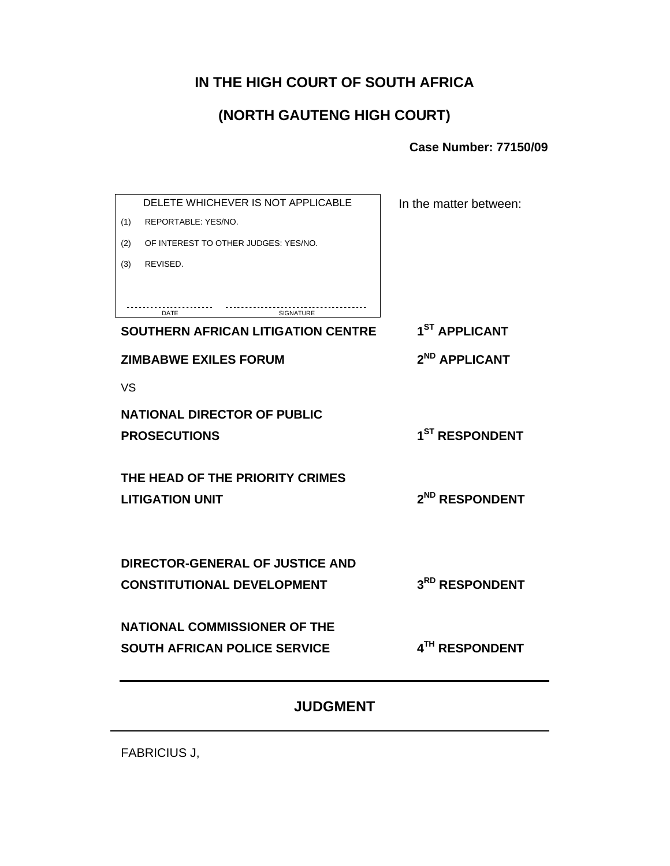### **IN THE HIGH COURT OF SOUTH AFRICA**

# **(NORTH GAUTENG HIGH COURT)**

**Case Number: 77150/09**

| DELETE WHICHEVER IS NOT APPLICABLE                        | In the matter between:     |
|-----------------------------------------------------------|----------------------------|
| REPORTABLE: YES/NO.<br>(1)                                |                            |
| OF INTEREST TO OTHER JUDGES: YES/NO.<br>(2)               |                            |
| REVISED.<br>(3)                                           |                            |
|                                                           |                            |
| <b>DATE</b><br>SIGNATURE                                  |                            |
| <b>SOUTHERN AFRICAN LITIGATION CENTRE</b>                 | 1 <sup>ST</sup> APPLICANT  |
| <b>ZIMBABWE EXILES FORUM</b>                              | 2 <sup>ND</sup> APPLICANT  |
| <b>VS</b>                                                 |                            |
| <b>NATIONAL DIRECTOR OF PUBLIC</b>                        |                            |
| <b>PROSECUTIONS</b>                                       | 1 <sup>ST</sup> RESPONDENT |
|                                                           |                            |
| THE HEAD OF THE PRIORITY CRIMES<br><b>LITIGATION UNIT</b> | 2 <sup>ND</sup> RESPONDENT |
|                                                           |                            |
|                                                           |                            |
| <b>DIRECTOR-GENERAL OF JUSTICE AND</b>                    |                            |
| <b>CONSTITUTIONAL DEVELOPMENT</b>                         | 3RD RESPONDENT             |
| <b>NATIONAL COMMISSIONER OF THE</b>                       |                            |
| <b>SOUTH AFRICAN POLICE SERVICE</b>                       | 4TH RESPONDENT             |
|                                                           |                            |
| <b>JUDGMENT</b>                                           |                            |

FABRICIUS J,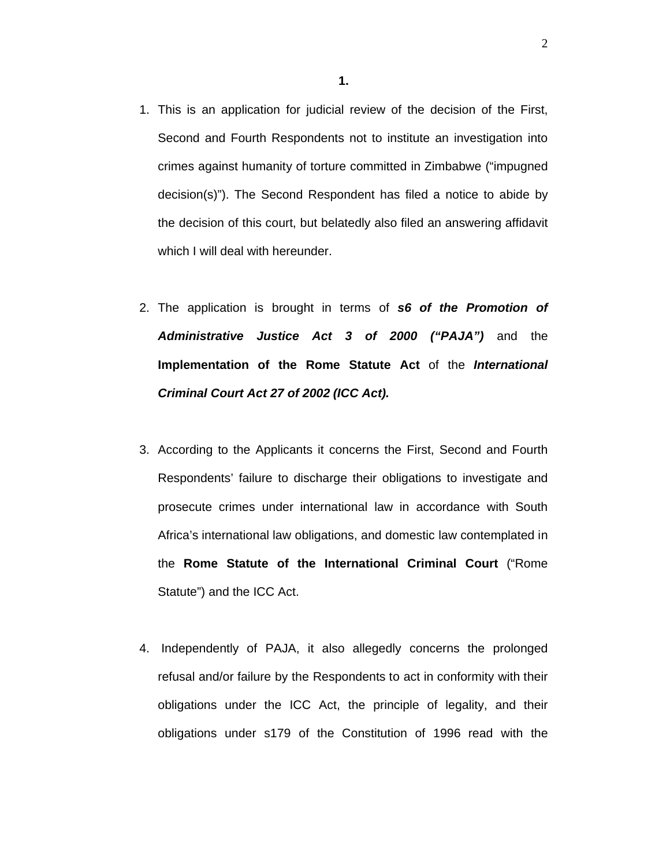- 1. This is an application for judicial review of the decision of the First, Second and Fourth Respondents not to institute an investigation into crimes against humanity of torture committed in Zimbabwe ("impugned decision(s)"). The Second Respondent has filed a notice to abide by the decision of this court, but belatedly also filed an answering affidavit which I will deal with hereunder.
- 2. The application is brought in terms of *s6 of the Promotion of Administrative Justice Act 3 of 2000 ("PAJA")* and the **Implementation of the Rome Statute Act** of the *International Criminal Court Act 27 of 2002 (ICC Act).*
- 3. According to the Applicants it concerns the First, Second and Fourth Respondents' failure to discharge their obligations to investigate and prosecute crimes under international law in accordance with South Africa's international law obligations, and domestic law contemplated in the **Rome Statute of the International Criminal Court** ("Rome Statute") and the ICC Act.
- 4. Independently of PAJA, it also allegedly concerns the prolonged refusal and/or failure by the Respondents to act in conformity with their obligations under the ICC Act, the principle of legality, and their obligations under s179 of the Constitution of 1996 read with the

2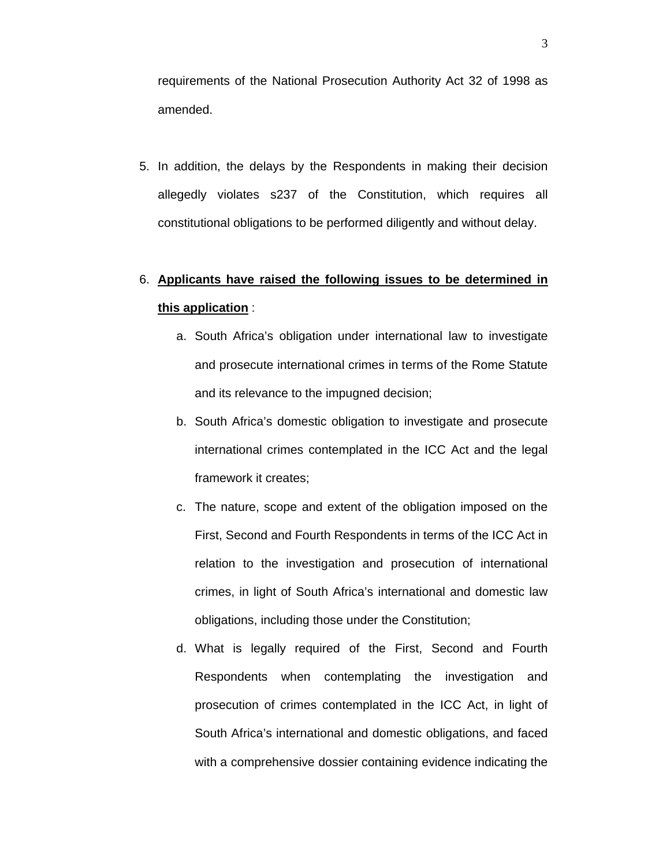requirements of the National Prosecution Authority Act 32 of 1998 as amended.

5. In addition, the delays by the Respondents in making their decision allegedly violates s237 of the Constitution, which requires all constitutional obligations to be performed diligently and without delay.

# 6. **Applicants have raised the following issues to be determined in this application** :

- a. South Africa's obligation under international law to investigate and prosecute international crimes in terms of the Rome Statute and its relevance to the impugned decision;
- b. South Africa's domestic obligation to investigate and prosecute international crimes contemplated in the ICC Act and the legal framework it creates;
- c. The nature, scope and extent of the obligation imposed on the First, Second and Fourth Respondents in terms of the ICC Act in relation to the investigation and prosecution of international crimes, in light of South Africa's international and domestic law obligations, including those under the Constitution;
- d. What is legally required of the First, Second and Fourth Respondents when contemplating the investigation and prosecution of crimes contemplated in the ICC Act, in light of South Africa's international and domestic obligations, and faced with a comprehensive dossier containing evidence indicating the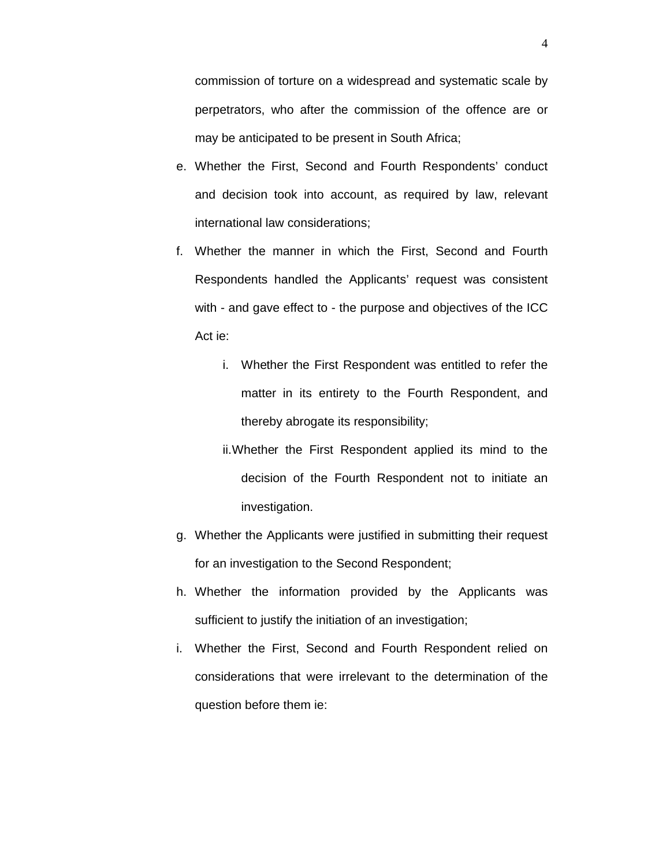commission of torture on a widespread and systematic scale by perpetrators, who after the commission of the offence are or may be anticipated to be present in South Africa;

- e. Whether the First, Second and Fourth Respondents' conduct and decision took into account, as required by law, relevant international law considerations;
- f. Whether the manner in which the First, Second and Fourth Respondents handled the Applicants' request was consistent with - and gave effect to - the purpose and objectives of the ICC Act ie:
	- i. Whether the First Respondent was entitled to refer the matter in its entirety to the Fourth Respondent, and thereby abrogate its responsibility;
	- ii.Whether the First Respondent applied its mind to the decision of the Fourth Respondent not to initiate an investigation.
- g. Whether the Applicants were justified in submitting their request for an investigation to the Second Respondent;
- h. Whether the information provided by the Applicants was sufficient to justify the initiation of an investigation;
- i. Whether the First, Second and Fourth Respondent relied on considerations that were irrelevant to the determination of the question before them ie: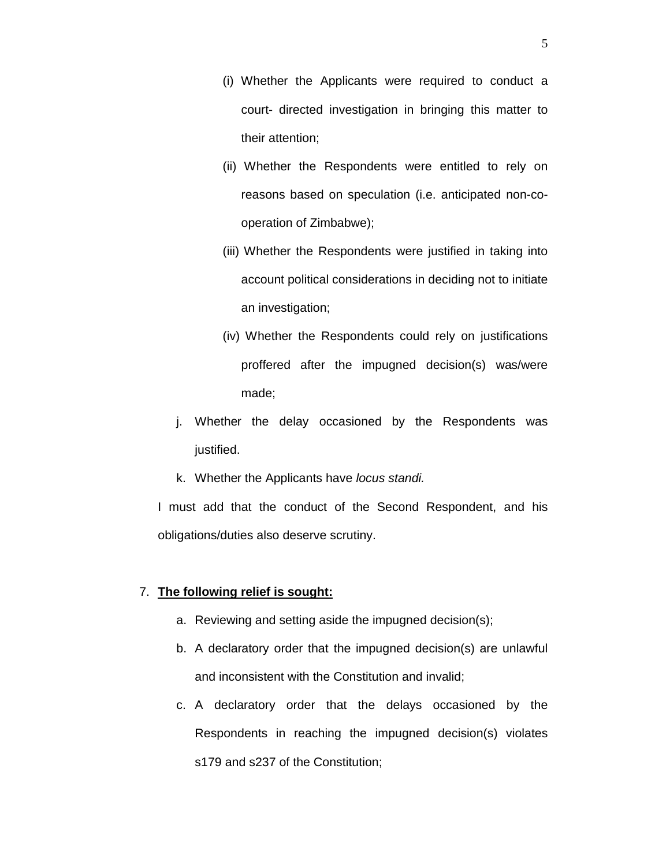- (i) Whether the Applicants were required to conduct a court- directed investigation in bringing this matter to their attention;
- (ii) Whether the Respondents were entitled to rely on reasons based on speculation (i.e. anticipated non-cooperation of Zimbabwe);
- (iii) Whether the Respondents were justified in taking into account political considerations in deciding not to initiate an investigation;
- (iv) Whether the Respondents could rely on justifications proffered after the impugned decision(s) was/were made;
- j. Whether the delay occasioned by the Respondents was justified.
- k. Whether the Applicants have *locus standi.*

I must add that the conduct of the Second Respondent, and his obligations/duties also deserve scrutiny.

### 7. **The following relief is sought:**

- a. Reviewing and setting aside the impugned decision(s);
- b. A declaratory order that the impugned decision(s) are unlawful and inconsistent with the Constitution and invalid;
- c. A declaratory order that the delays occasioned by the Respondents in reaching the impugned decision(s) violates s179 and s237 of the Constitution;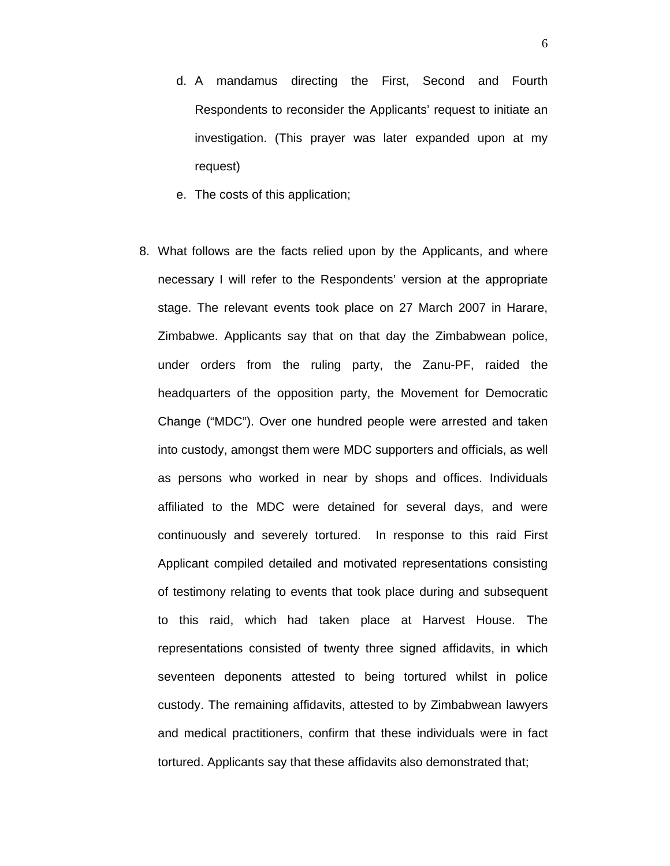- d. A mandamus directing the First, Second and Fourth Respondents to reconsider the Applicants' request to initiate an investigation. (This prayer was later expanded upon at my request)
- e. The costs of this application;
- 8. What follows are the facts relied upon by the Applicants, and where necessary I will refer to the Respondents' version at the appropriate stage. The relevant events took place on 27 March 2007 in Harare, Zimbabwe. Applicants say that on that day the Zimbabwean police, under orders from the ruling party, the Zanu-PF, raided the headquarters of the opposition party, the Movement for Democratic Change ("MDC"). Over one hundred people were arrested and taken into custody, amongst them were MDC supporters and officials, as well as persons who worked in near by shops and offices. Individuals affiliated to the MDC were detained for several days, and were continuously and severely tortured. In response to this raid First Applicant compiled detailed and motivated representations consisting of testimony relating to events that took place during and subsequent to this raid, which had taken place at Harvest House. The representations consisted of twenty three signed affidavits, in which seventeen deponents attested to being tortured whilst in police custody. The remaining affidavits, attested to by Zimbabwean lawyers and medical practitioners, confirm that these individuals were in fact tortured. Applicants say that these affidavits also demonstrated that;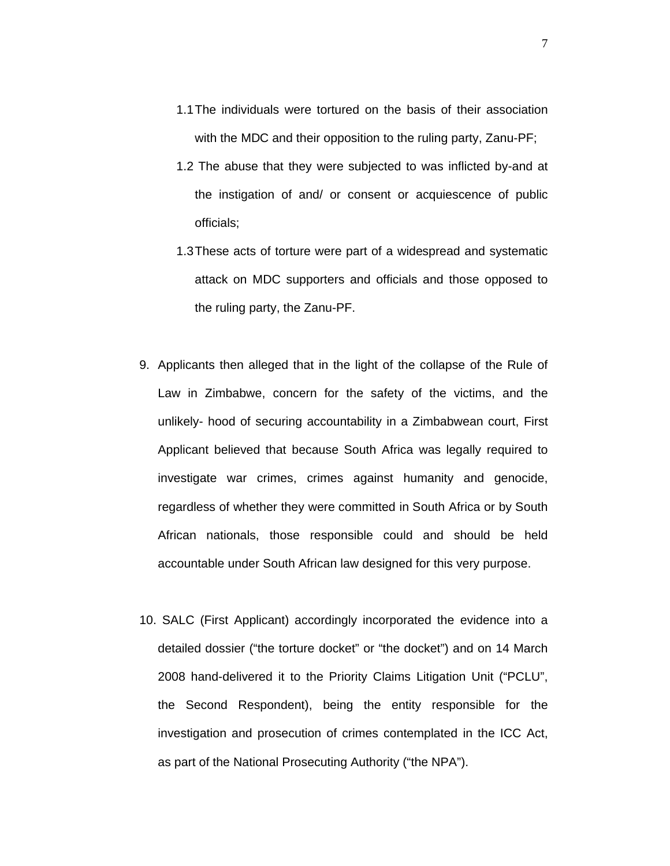- 1.1The individuals were tortured on the basis of their association with the MDC and their opposition to the ruling party, Zanu-PF;
- 1.2 The abuse that they were subjected to was inflicted by-and at the instigation of and/ or consent or acquiescence of public officials;
- 1.3These acts of torture were part of a widespread and systematic attack on MDC supporters and officials and those opposed to the ruling party, the Zanu-PF.
- 9. Applicants then alleged that in the light of the collapse of the Rule of Law in Zimbabwe, concern for the safety of the victims, and the unlikely- hood of securing accountability in a Zimbabwean court, First Applicant believed that because South Africa was legally required to investigate war crimes, crimes against humanity and genocide, regardless of whether they were committed in South Africa or by South African nationals, those responsible could and should be held accountable under South African law designed for this very purpose.
- 10. SALC (First Applicant) accordingly incorporated the evidence into a detailed dossier ("the torture docket" or "the docket") and on 14 March 2008 hand-delivered it to the Priority Claims Litigation Unit ("PCLU", the Second Respondent), being the entity responsible for the investigation and prosecution of crimes contemplated in the ICC Act, as part of the National Prosecuting Authority ("the NPA").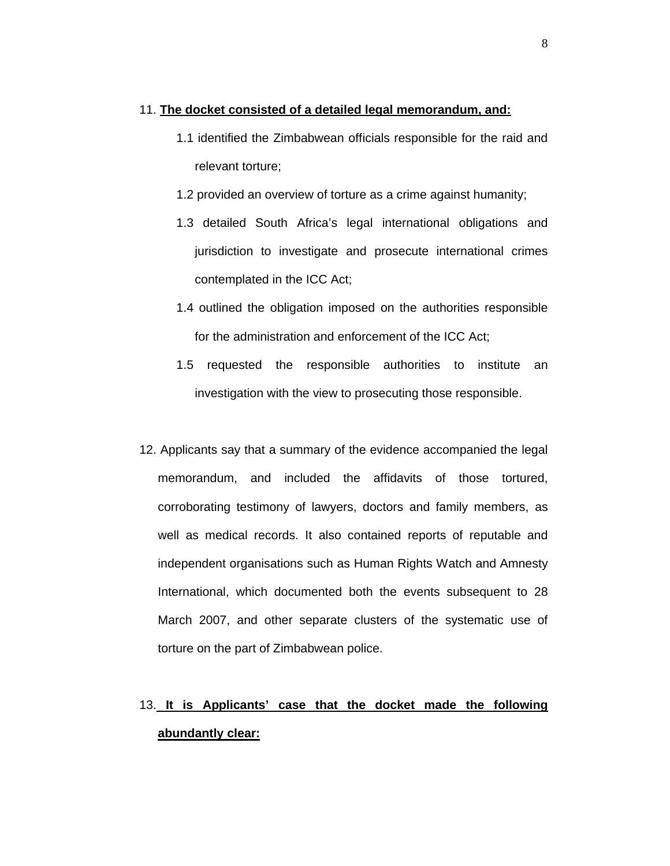### 11. **The docket consisted of a detailed legal memorandum, and:**

- 1.1 identified the Zimbabwean officials responsible for the raid and relevant torture;
- 1.2 provided an overview of torture as a crime against humanity;
- 1.3 detailed South Africa's legal international obligations and jurisdiction to investigate and prosecute international crimes contemplated in the ICC Act;
- 1.4 outlined the obligation imposed on the authorities responsible for the administration and enforcement of the ICC Act;
- 1.5 requested the responsible authorities to institute an investigation with the view to prosecuting those responsible.
- 12. Applicants say that a summary of the evidence accompanied the legal memorandum, and included the affidavits of those tortured, corroborating testimony of lawyers, doctors and family members, as well as medical records. It also contained reports of reputable and independent organisations such as Human Rights Watch and Amnesty International, which documented both the events subsequent to 28 March 2007, and other separate clusters of the systematic use of torture on the part of Zimbabwean police.

# 13. **It is Applicants' case that the docket made the following abundantly clear:**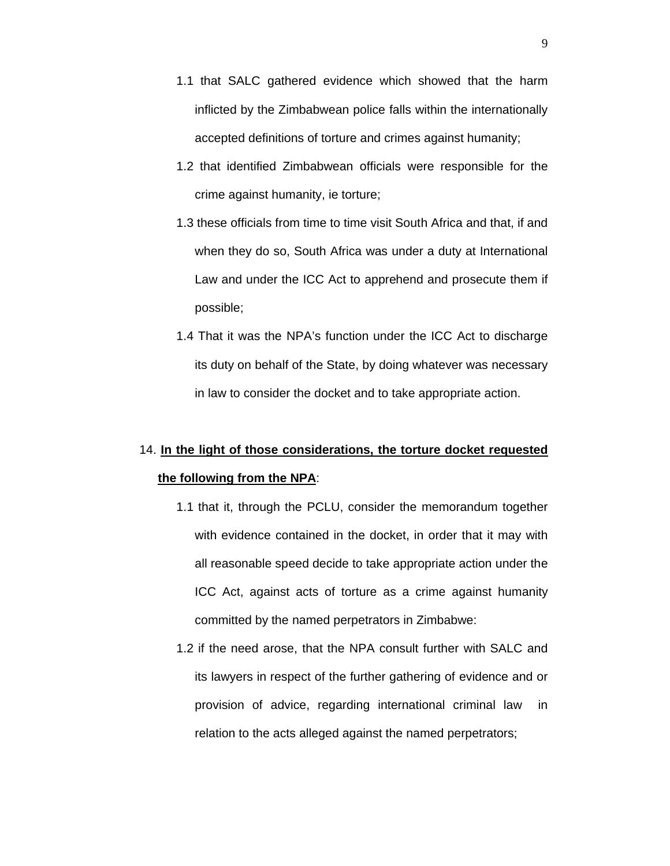- 1.1 that SALC gathered evidence which showed that the harm inflicted by the Zimbabwean police falls within the internationally accepted definitions of torture and crimes against humanity;
- 1.2 that identified Zimbabwean officials were responsible for the crime against humanity, ie torture;
- 1.3 these officials from time to time visit South Africa and that, if and when they do so, South Africa was under a duty at International Law and under the ICC Act to apprehend and prosecute them if possible;
- 1.4 That it was the NPA's function under the ICC Act to discharge its duty on behalf of the State, by doing whatever was necessary in law to consider the docket and to take appropriate action.

# 14. **In the light of those considerations, the torture docket requested the following from the NPA**:

- 1.1 that it, through the PCLU, consider the memorandum together with evidence contained in the docket, in order that it may with all reasonable speed decide to take appropriate action under the ICC Act, against acts of torture as a crime against humanity committed by the named perpetrators in Zimbabwe:
- 1.2 if the need arose, that the NPA consult further with SALC and its lawyers in respect of the further gathering of evidence and or provision of advice, regarding international criminal law in relation to the acts alleged against the named perpetrators;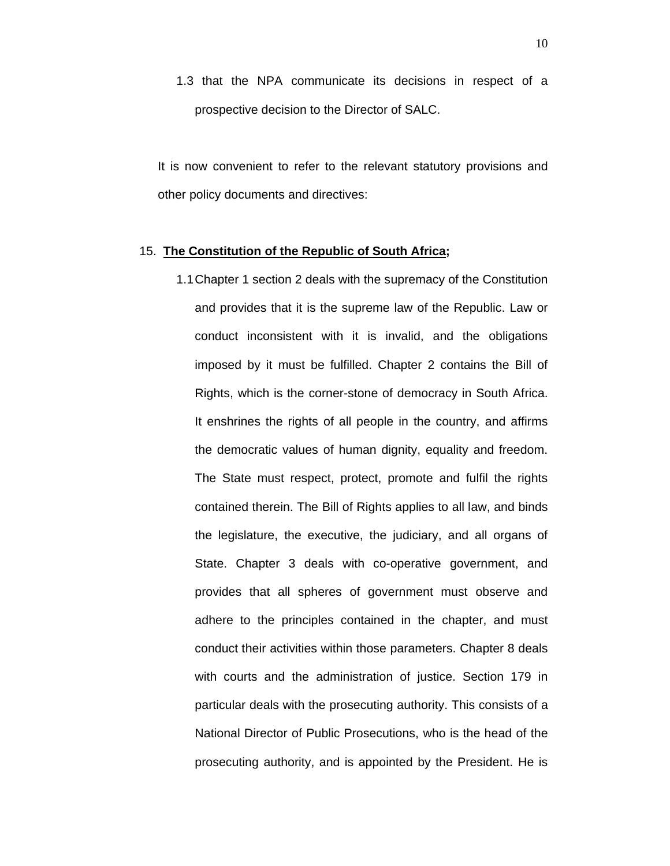1.3 that the NPA communicate its decisions in respect of a prospective decision to the Director of SALC.

It is now convenient to refer to the relevant statutory provisions and other policy documents and directives:

### 15. **The Constitution of the Republic of South Africa;**

1.1Chapter 1 section 2 deals with the supremacy of the Constitution and provides that it is the supreme law of the Republic. Law or conduct inconsistent with it is invalid, and the obligations imposed by it must be fulfilled. Chapter 2 contains the Bill of Rights, which is the corner-stone of democracy in South Africa. It enshrines the rights of all people in the country, and affirms the democratic values of human dignity, equality and freedom. The State must respect, protect, promote and fulfil the rights contained therein. The Bill of Rights applies to all law, and binds the legislature, the executive, the judiciary, and all organs of State. Chapter 3 deals with co-operative government, and provides that all spheres of government must observe and adhere to the principles contained in the chapter, and must conduct their activities within those parameters. Chapter 8 deals with courts and the administration of justice. Section 179 in particular deals with the prosecuting authority. This consists of a National Director of Public Prosecutions, who is the head of the prosecuting authority, and is appointed by the President. He is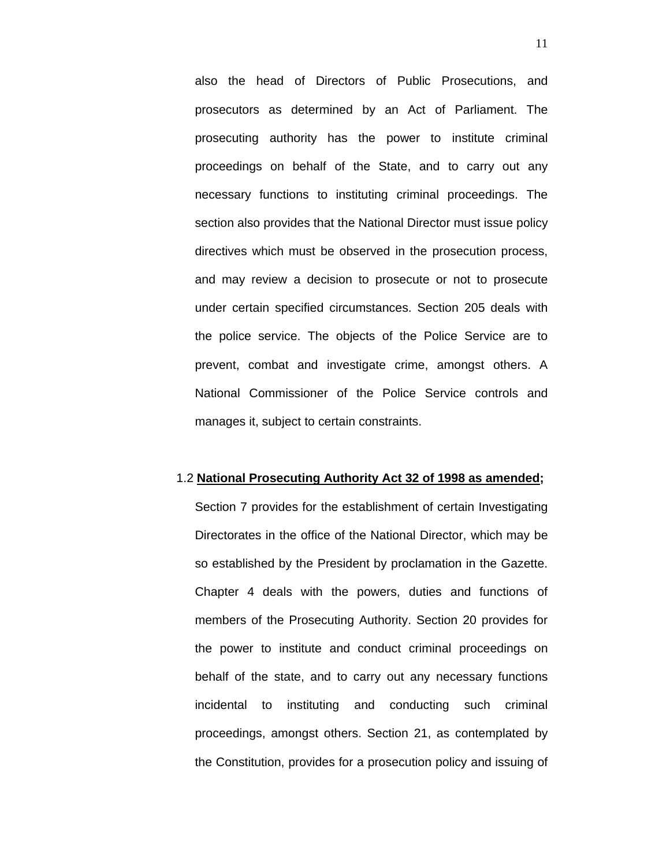also the head of Directors of Public Prosecutions, and prosecutors as determined by an Act of Parliament. The prosecuting authority has the power to institute criminal proceedings on behalf of the State, and to carry out any necessary functions to instituting criminal proceedings. The section also provides that the National Director must issue policy directives which must be observed in the prosecution process, and may review a decision to prosecute or not to prosecute under certain specified circumstances. Section 205 deals with the police service. The objects of the Police Service are to prevent, combat and investigate crime, amongst others. A National Commissioner of the Police Service controls and manages it, subject to certain constraints.

#### 1.2 **National Prosecuting Authority Act 32 of 1998 as amended;**

Section 7 provides for the establishment of certain Investigating Directorates in the office of the National Director, which may be so established by the President by proclamation in the Gazette. Chapter 4 deals with the powers, duties and functions of members of the Prosecuting Authority. Section 20 provides for the power to institute and conduct criminal proceedings on behalf of the state, and to carry out any necessary functions incidental to instituting and conducting such criminal proceedings, amongst others. Section 21, as contemplated by the Constitution, provides for a prosecution policy and issuing of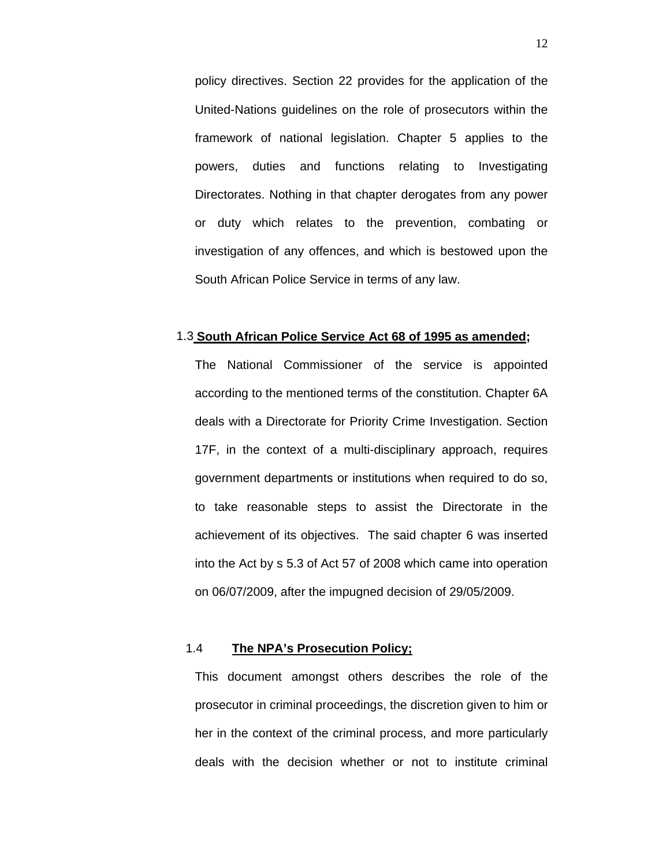policy directives. Section 22 provides for the application of the United-Nations guidelines on the role of prosecutors within the framework of national legislation. Chapter 5 applies to the powers, duties and functions relating to Investigating Directorates. Nothing in that chapter derogates from any power or duty which relates to the prevention, combating or investigation of any offences, and which is bestowed upon the South African Police Service in terms of any law.

### 1.3 **South African Police Service Act 68 of 1995 as amended;**

The National Commissioner of the service is appointed according to the mentioned terms of the constitution. Chapter 6A deals with a Directorate for Priority Crime Investigation. Section 17F, in the context of a multi-disciplinary approach, requires government departments or institutions when required to do so, to take reasonable steps to assist the Directorate in the achievement of its objectives. The said chapter 6 was inserted into the Act by s 5.3 of Act 57 of 2008 which came into operation on 06/07/2009, after the impugned decision of 29/05/2009.

### 1.4 **The NPA's Prosecution Policy;**

This document amongst others describes the role of the prosecutor in criminal proceedings, the discretion given to him or her in the context of the criminal process, and more particularly deals with the decision whether or not to institute criminal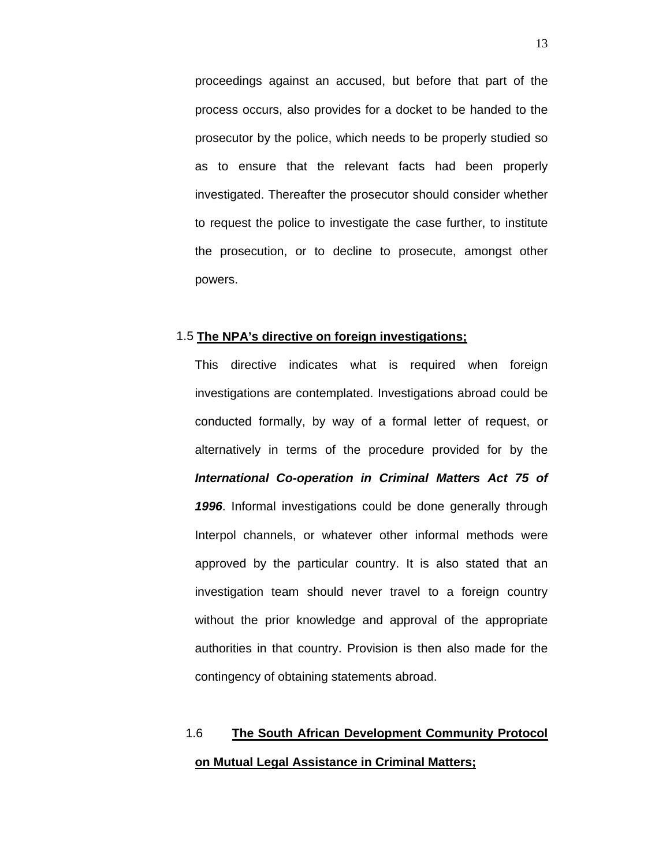proceedings against an accused, but before that part of the process occurs, also provides for a docket to be handed to the prosecutor by the police, which needs to be properly studied so as to ensure that the relevant facts had been properly investigated. Thereafter the prosecutor should consider whether to request the police to investigate the case further, to institute the prosecution, or to decline to prosecute, amongst other powers.

### 1.5 **The NPA's directive on foreign investigations;**

This directive indicates what is required when foreign investigations are contemplated. Investigations abroad could be conducted formally, by way of a formal letter of request, or alternatively in terms of the procedure provided for by the *International Co-operation in Criminal Matters Act 75 of 1996*. Informal investigations could be done generally through Interpol channels, or whatever other informal methods were approved by the particular country. It is also stated that an investigation team should never travel to a foreign country without the prior knowledge and approval of the appropriate authorities in that country. Provision is then also made for the contingency of obtaining statements abroad.

### 1.6 **The South African Development Community Protocol on Mutual Legal Assistance in Criminal Matters;**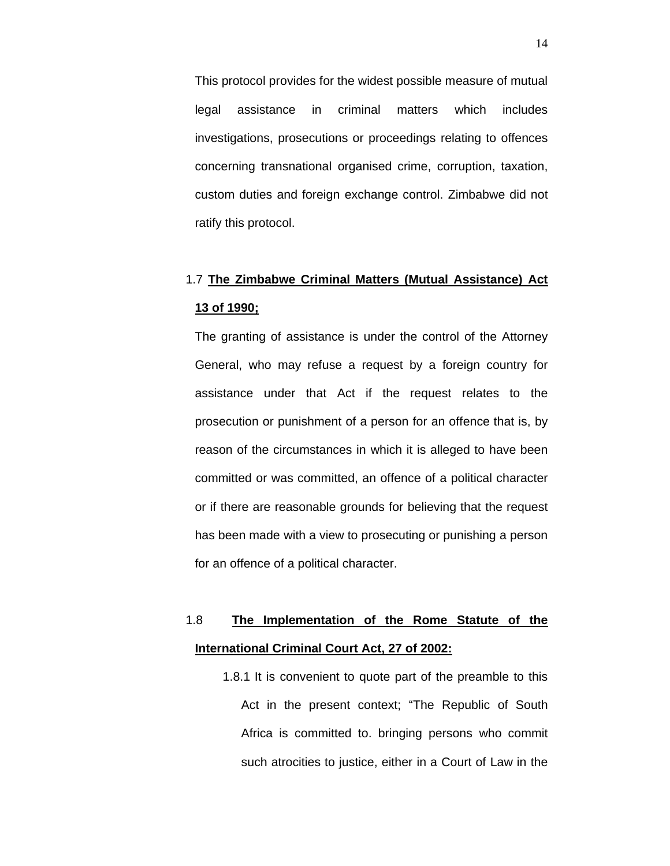This protocol provides for the widest possible measure of mutual legal assistance in criminal matters which includes investigations, prosecutions or proceedings relating to offences concerning transnational organised crime, corruption, taxation, custom duties and foreign exchange control. Zimbabwe did not ratify this protocol.

# 1.7 **The Zimbabwe Criminal Matters (Mutual Assistance) Act 13 of 1990;**

The granting of assistance is under the control of the Attorney General, who may refuse a request by a foreign country for assistance under that Act if the request relates to the prosecution or punishment of a person for an offence that is, by reason of the circumstances in which it is alleged to have been committed or was committed, an offence of a political character or if there are reasonable grounds for believing that the request has been made with a view to prosecuting or punishing a person for an offence of a political character.

# 1.8 **The Implementation of the Rome Statute of the International Criminal Court Act, 27 of 2002:**

1.8.1 It is convenient to quote part of the preamble to this Act in the present context; "The Republic of South Africa is committed to. bringing persons who commit such atrocities to justice, either in a Court of Law in the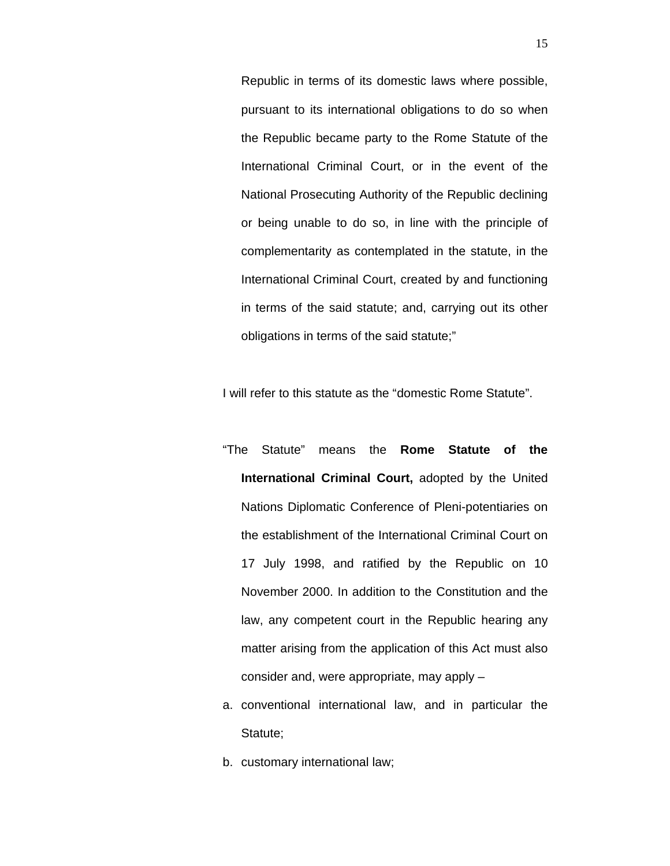Republic in terms of its domestic laws where possible, pursuant to its international obligations to do so when the Republic became party to the Rome Statute of the International Criminal Court, or in the event of the National Prosecuting Authority of the Republic declining or being unable to do so, in line with the principle of complementarity as contemplated in the statute, in the International Criminal Court, created by and functioning in terms of the said statute; and, carrying out its other obligations in terms of the said statute;"

I will refer to this statute as the "domestic Rome Statute".

- "The Statute" means the **Rome Statute of the International Criminal Court,** adopted by the United Nations Diplomatic Conference of Pleni-potentiaries on the establishment of the International Criminal Court on 17 July 1998, and ratified by the Republic on 10 November 2000. In addition to the Constitution and the law, any competent court in the Republic hearing any matter arising from the application of this Act must also consider and, were appropriate, may apply –
- a. conventional international law, and in particular the Statute;
- b. customary international law;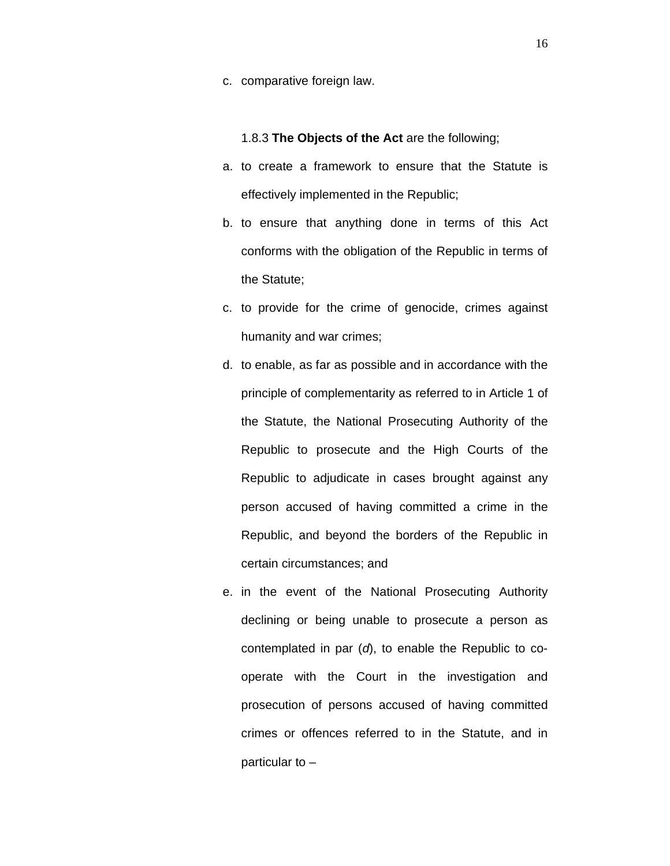c. comparative foreign law.

1.8.3 **The Objects of the Act** are the following;

- a. to create a framework to ensure that the Statute is effectively implemented in the Republic;
- b. to ensure that anything done in terms of this Act conforms with the obligation of the Republic in terms of the Statute;
- c. to provide for the crime of genocide, crimes against humanity and war crimes;
- d. to enable, as far as possible and in accordance with the principle of complementarity as referred to in Article 1 of the Statute, the National Prosecuting Authority of the Republic to prosecute and the High Courts of the Republic to adjudicate in cases brought against any person accused of having committed a crime in the Republic, and beyond the borders of the Republic in certain circumstances; and
- e. in the event of the National Prosecuting Authority declining or being unable to prosecute a person as contemplated in par (*d*), to enable the Republic to cooperate with the Court in the investigation and prosecution of persons accused of having committed crimes or offences referred to in the Statute, and in particular to –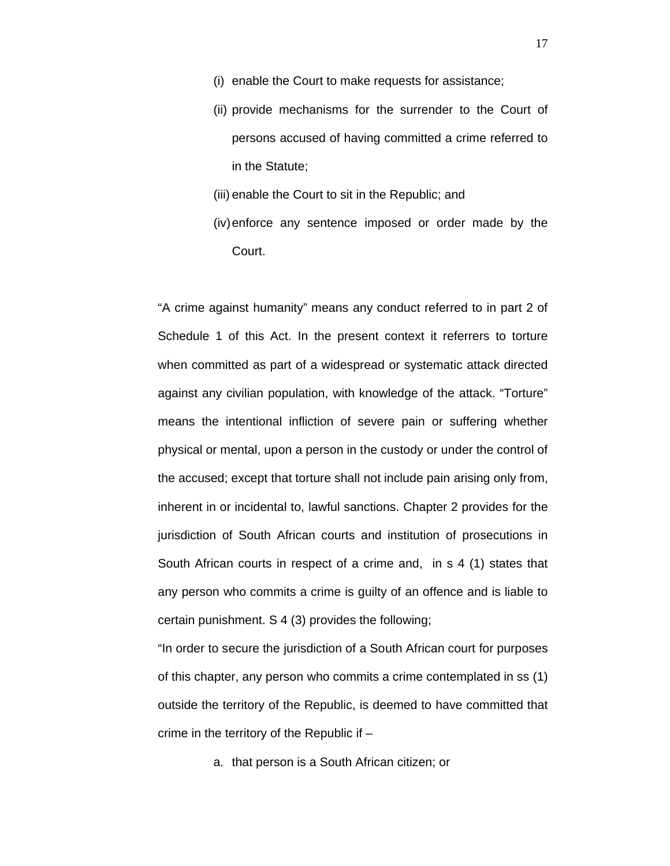- (i) enable the Court to make requests for assistance;
- (ii) provide mechanisms for the surrender to the Court of persons accused of having committed a crime referred to in the Statute;
- (iii) enable the Court to sit in the Republic; and
- (iv)enforce any sentence imposed or order made by the Court.

"A crime against humanity" means any conduct referred to in part 2 of Schedule 1 of this Act. In the present context it referrers to torture when committed as part of a widespread or systematic attack directed against any civilian population, with knowledge of the attack. "Torture" means the intentional infliction of severe pain or suffering whether physical or mental, upon a person in the custody or under the control of the accused; except that torture shall not include pain arising only from, inherent in or incidental to, lawful sanctions. Chapter 2 provides for the jurisdiction of South African courts and institution of prosecutions in South African courts in respect of a crime and, in s 4 (1) states that any person who commits a crime is guilty of an offence and is liable to certain punishment. S 4 (3) provides the following;

"In order to secure the jurisdiction of a South African court for purposes of this chapter, any person who commits a crime contemplated in ss (1) outside the territory of the Republic, is deemed to have committed that crime in the territory of the Republic if –

a. that person is a South African citizen; or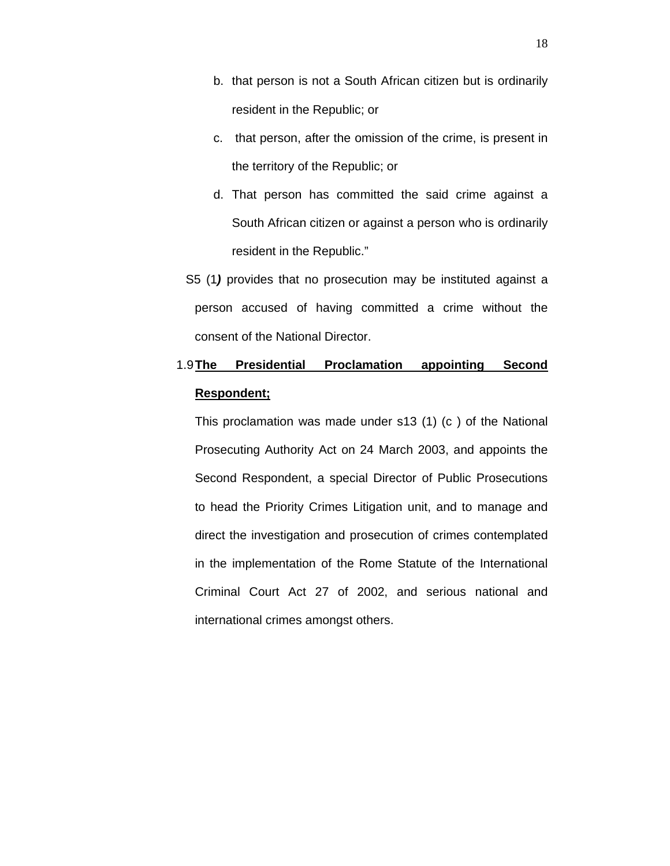- b. that person is not a South African citizen but is ordinarily resident in the Republic; or
- c. that person, after the omission of the crime, is present in the territory of the Republic; or
- d. That person has committed the said crime against a South African citizen or against a person who is ordinarily resident in the Republic."
- S5 (1*)* provides that no prosecution may be instituted against a person accused of having committed a crime without the consent of the National Director.

# 1.9**The Presidential Proclamation appointing Second Respondent;**

This proclamation was made under s13 (1) (c ) of the National Prosecuting Authority Act on 24 March 2003, and appoints the Second Respondent, a special Director of Public Prosecutions to head the Priority Crimes Litigation unit, and to manage and direct the investigation and prosecution of crimes contemplated in the implementation of the Rome Statute of the International Criminal Court Act 27 of 2002, and serious national and international crimes amongst others.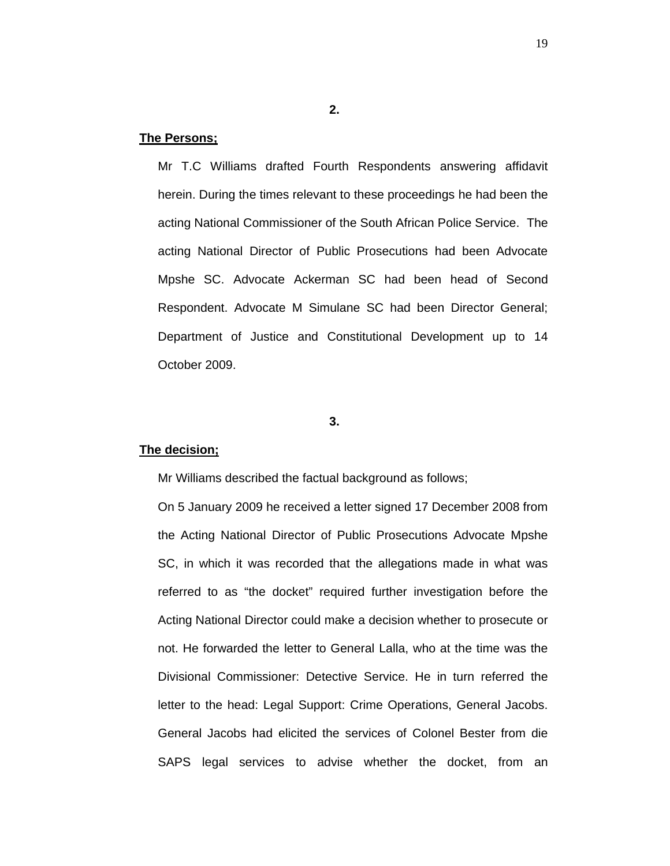### **2.**

### **The Persons;**

Mr T.C Williams drafted Fourth Respondents answering affidavit herein. During the times relevant to these proceedings he had been the acting National Commissioner of the South African Police Service. The acting National Director of Public Prosecutions had been Advocate Mpshe SC. Advocate Ackerman SC had been head of Second Respondent. Advocate M Simulane SC had been Director General; Department of Justice and Constitutional Development up to 14 October 2009.

### **3.**

### **The decision;**

Mr Williams described the factual background as follows;

On 5 January 2009 he received a letter signed 17 December 2008 from the Acting National Director of Public Prosecutions Advocate Mpshe SC, in which it was recorded that the allegations made in what was referred to as "the docket" required further investigation before the Acting National Director could make a decision whether to prosecute or not. He forwarded the letter to General Lalla, who at the time was the Divisional Commissioner: Detective Service. He in turn referred the letter to the head: Legal Support: Crime Operations, General Jacobs. General Jacobs had elicited the services of Colonel Bester from die SAPS legal services to advise whether the docket, from an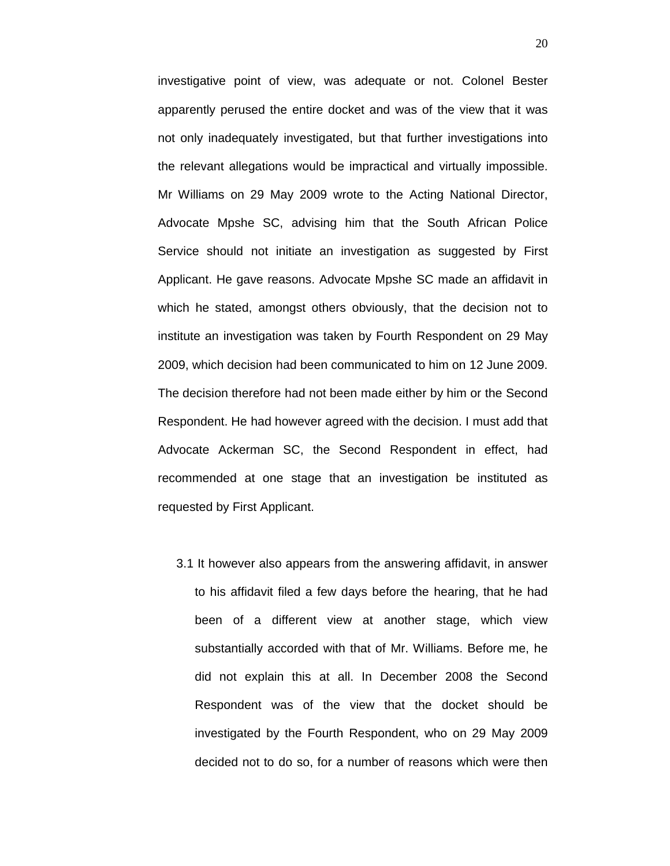investigative point of view, was adequate or not. Colonel Bester apparently perused the entire docket and was of the view that it was not only inadequately investigated, but that further investigations into the relevant allegations would be impractical and virtually impossible. Mr Williams on 29 May 2009 wrote to the Acting National Director, Advocate Mpshe SC, advising him that the South African Police Service should not initiate an investigation as suggested by First Applicant. He gave reasons. Advocate Mpshe SC made an affidavit in which he stated, amongst others obviously, that the decision not to institute an investigation was taken by Fourth Respondent on 29 May 2009, which decision had been communicated to him on 12 June 2009. The decision therefore had not been made either by him or the Second Respondent. He had however agreed with the decision. I must add that Advocate Ackerman SC, the Second Respondent in effect, had recommended at one stage that an investigation be instituted as requested by First Applicant.

3.1 It however also appears from the answering affidavit, in answer to his affidavit filed a few days before the hearing, that he had been of a different view at another stage, which view substantially accorded with that of Mr. Williams. Before me, he did not explain this at all. In December 2008 the Second Respondent was of the view that the docket should be investigated by the Fourth Respondent, who on 29 May 2009 decided not to do so, for a number of reasons which were then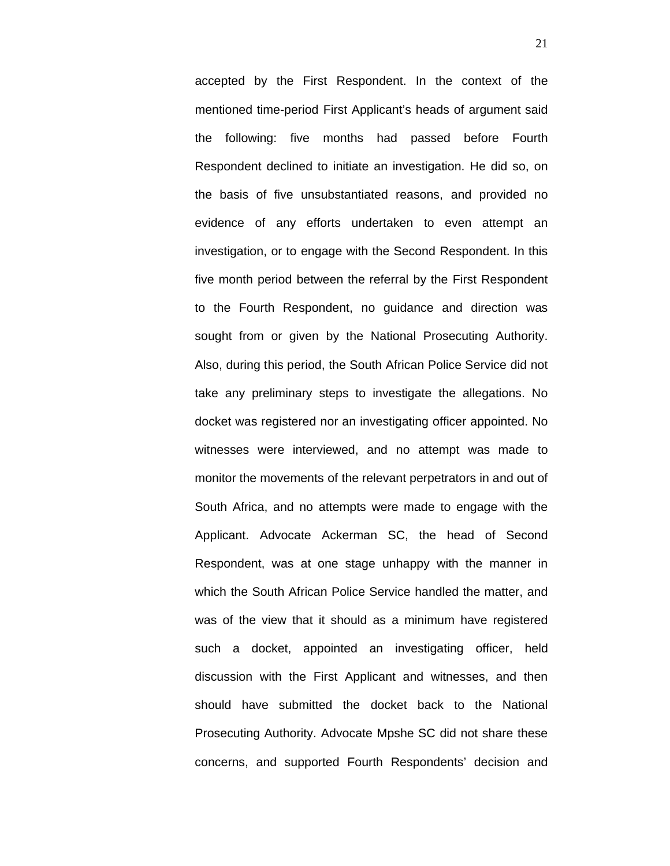accepted by the First Respondent. In the context of the mentioned time-period First Applicant's heads of argument said the following: five months had passed before Fourth Respondent declined to initiate an investigation. He did so, on the basis of five unsubstantiated reasons, and provided no evidence of any efforts undertaken to even attempt an investigation, or to engage with the Second Respondent. In this five month period between the referral by the First Respondent to the Fourth Respondent, no guidance and direction was sought from or given by the National Prosecuting Authority. Also, during this period, the South African Police Service did not take any preliminary steps to investigate the allegations. No docket was registered nor an investigating officer appointed. No witnesses were interviewed, and no attempt was made to monitor the movements of the relevant perpetrators in and out of South Africa, and no attempts were made to engage with the Applicant. Advocate Ackerman SC, the head of Second Respondent, was at one stage unhappy with the manner in which the South African Police Service handled the matter, and was of the view that it should as a minimum have registered such a docket, appointed an investigating officer, held discussion with the First Applicant and witnesses, and then should have submitted the docket back to the National Prosecuting Authority. Advocate Mpshe SC did not share these concerns, and supported Fourth Respondents' decision and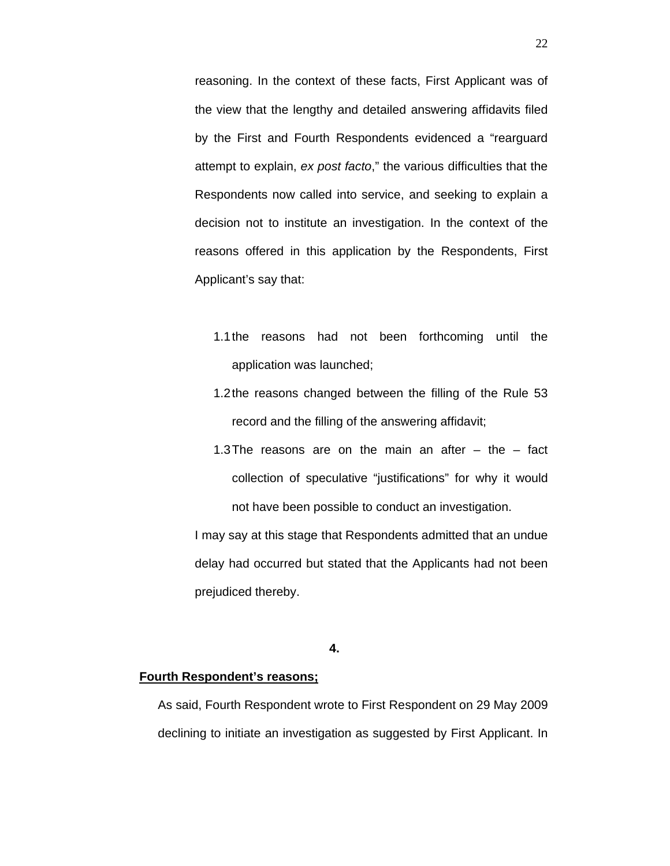reasoning. In the context of these facts, First Applicant was of the view that the lengthy and detailed answering affidavits filed by the First and Fourth Respondents evidenced a "rearguard attempt to explain, *ex post facto*," the various difficulties that the Respondents now called into service, and seeking to explain a decision not to institute an investigation. In the context of the reasons offered in this application by the Respondents, First Applicant's say that:

- 1.1the reasons had not been forthcoming until the application was launched;
- 1.2the reasons changed between the filling of the Rule 53 record and the filling of the answering affidavit;
- 1.3The reasons are on the main an after  $-$  the  $-$  fact collection of speculative "justifications" for why it would not have been possible to conduct an investigation.

I may say at this stage that Respondents admitted that an undue delay had occurred but stated that the Applicants had not been prejudiced thereby.

**4.**

### **Fourth Respondent's reasons;**

As said, Fourth Respondent wrote to First Respondent on 29 May 2009 declining to initiate an investigation as suggested by First Applicant. In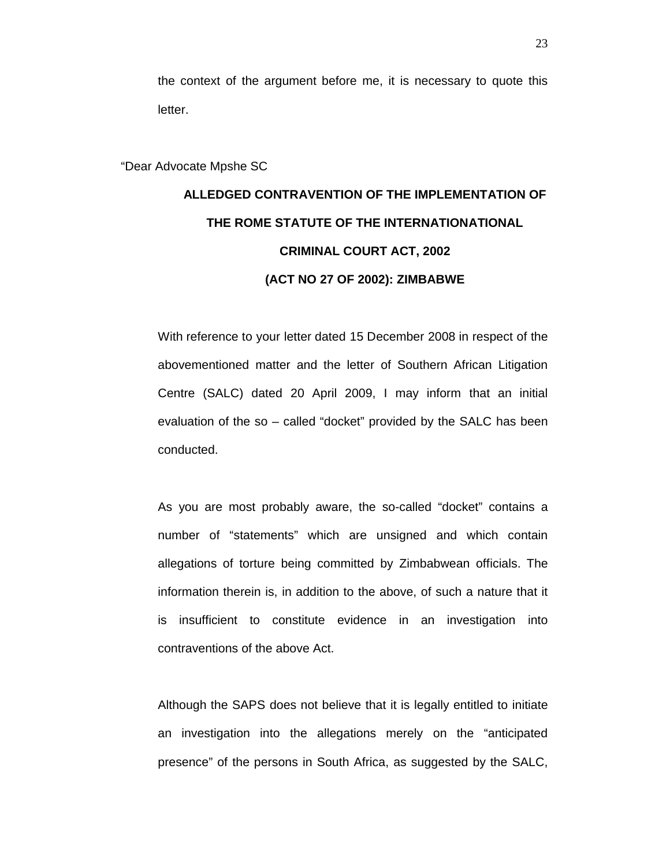the context of the argument before me, it is necessary to quote this letter.

"Dear Advocate Mpshe SC

# **ALLEDGED CONTRAVENTION OF THE IMPLEMENTATION OF THE ROME STATUTE OF THE INTERNATIONATIONAL CRIMINAL COURT ACT, 2002 (ACT NO 27 OF 2002): ZIMBABWE**

With reference to your letter dated 15 December 2008 in respect of the abovementioned matter and the letter of Southern African Litigation Centre (SALC) dated 20 April 2009, I may inform that an initial evaluation of the so – called "docket" provided by the SALC has been conducted.

As you are most probably aware, the so-called "docket" contains a number of "statements" which are unsigned and which contain allegations of torture being committed by Zimbabwean officials. The information therein is, in addition to the above, of such a nature that it is insufficient to constitute evidence in an investigation into contraventions of the above Act.

Although the SAPS does not believe that it is legally entitled to initiate an investigation into the allegations merely on the "anticipated presence" of the persons in South Africa, as suggested by the SALC,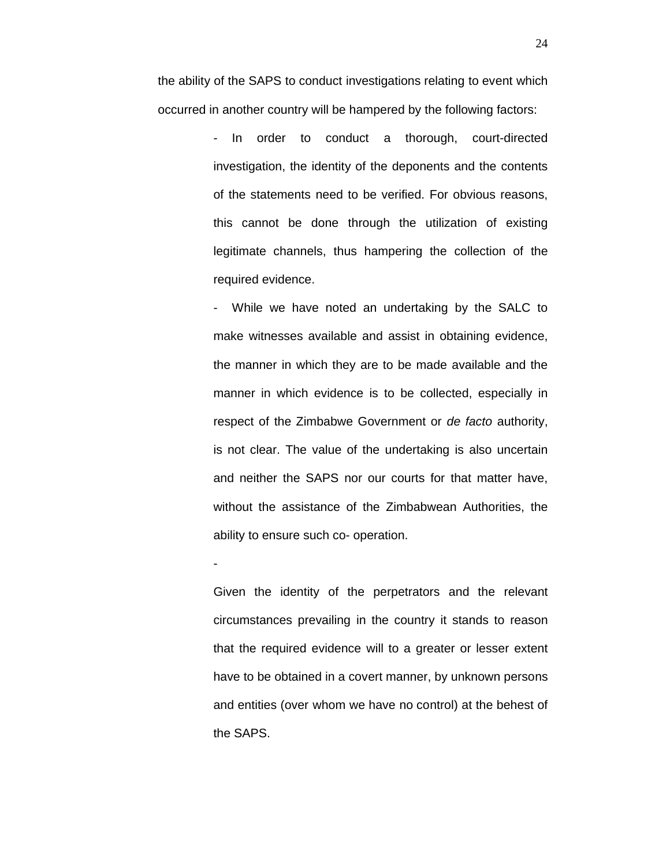the ability of the SAPS to conduct investigations relating to event which occurred in another country will be hampered by the following factors:

> In order to conduct a thorough, court-directed investigation, the identity of the deponents and the contents of the statements need to be verified. For obvious reasons, this cannot be done through the utilization of existing legitimate channels, thus hampering the collection of the required evidence.

> While we have noted an undertaking by the SALC to make witnesses available and assist in obtaining evidence, the manner in which they are to be made available and the manner in which evidence is to be collected, especially in respect of the Zimbabwe Government or *de facto* authority, is not clear. The value of the undertaking is also uncertain and neither the SAPS nor our courts for that matter have, without the assistance of the Zimbabwean Authorities, the ability to ensure such co- operation.

> Given the identity of the perpetrators and the relevant circumstances prevailing in the country it stands to reason that the required evidence will to a greater or lesser extent have to be obtained in a covert manner, by unknown persons and entities (over whom we have no control) at the behest of the SAPS.

-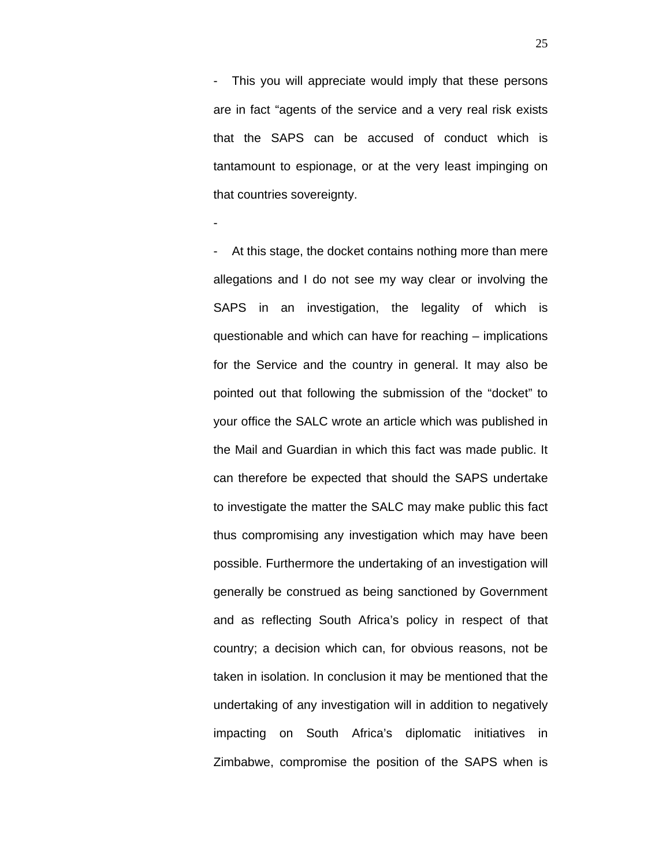- This you will appreciate would imply that these persons are in fact "agents of the service and a very real risk exists that the SAPS can be accused of conduct which is tantamount to espionage, or at the very least impinging on that countries sovereignty.

-

At this stage, the docket contains nothing more than mere allegations and I do not see my way clear or involving the SAPS in an investigation, the legality of which is questionable and which can have for reaching – implications for the Service and the country in general. It may also be pointed out that following the submission of the "docket" to your office the SALC wrote an article which was published in the Mail and Guardian in which this fact was made public. It can therefore be expected that should the SAPS undertake to investigate the matter the SALC may make public this fact thus compromising any investigation which may have been possible. Furthermore the undertaking of an investigation will generally be construed as being sanctioned by Government and as reflecting South Africa's policy in respect of that country; a decision which can, for obvious reasons, not be taken in isolation. In conclusion it may be mentioned that the undertaking of any investigation will in addition to negatively impacting on South Africa's diplomatic initiatives in Zimbabwe, compromise the position of the SAPS when is

25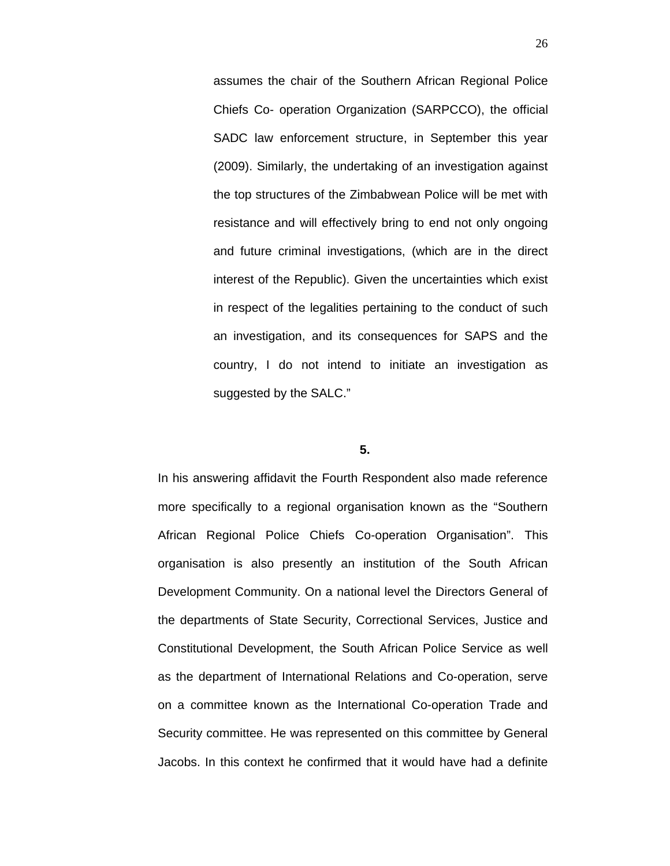assumes the chair of the Southern African Regional Police Chiefs Co- operation Organization (SARPCCO), the official SADC law enforcement structure, in September this year (2009). Similarly, the undertaking of an investigation against the top structures of the Zimbabwean Police will be met with resistance and will effectively bring to end not only ongoing and future criminal investigations, (which are in the direct interest of the Republic). Given the uncertainties which exist in respect of the legalities pertaining to the conduct of such an investigation, and its consequences for SAPS and the country, I do not intend to initiate an investigation as suggested by the SALC."

#### **5.**

In his answering affidavit the Fourth Respondent also made reference more specifically to a regional organisation known as the "Southern African Regional Police Chiefs Co-operation Organisation". This organisation is also presently an institution of the South African Development Community. On a national level the Directors General of the departments of State Security, Correctional Services, Justice and Constitutional Development, the South African Police Service as well as the department of International Relations and Co-operation, serve on a committee known as the International Co-operation Trade and Security committee. He was represented on this committee by General Jacobs. In this context he confirmed that it would have had a definite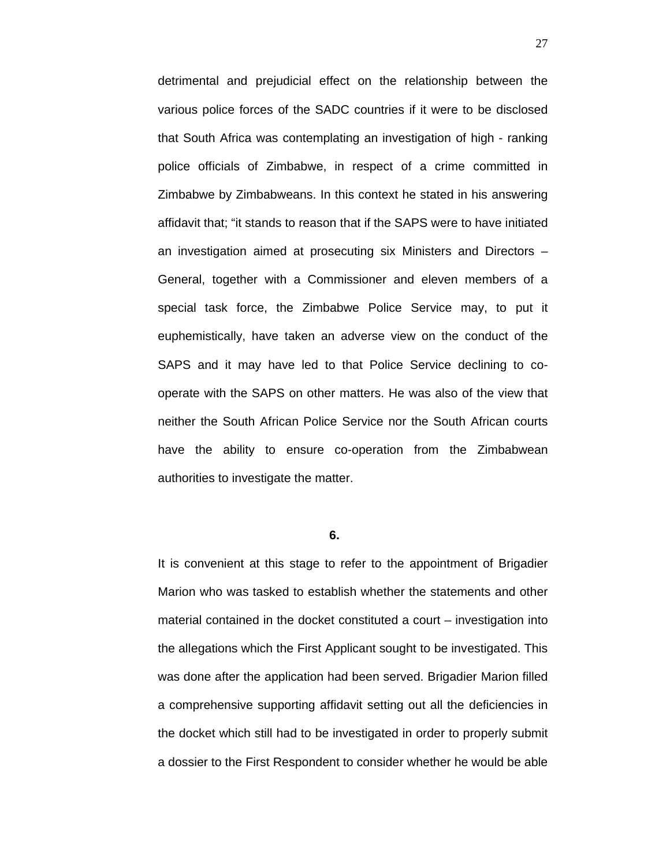detrimental and prejudicial effect on the relationship between the various police forces of the SADC countries if it were to be disclosed that South Africa was contemplating an investigation of high - ranking police officials of Zimbabwe, in respect of a crime committed in Zimbabwe by Zimbabweans. In this context he stated in his answering affidavit that; "it stands to reason that if the SAPS were to have initiated an investigation aimed at prosecuting six Ministers and Directors – General, together with a Commissioner and eleven members of a special task force, the Zimbabwe Police Service may, to put it euphemistically, have taken an adverse view on the conduct of the SAPS and it may have led to that Police Service declining to cooperate with the SAPS on other matters. He was also of the view that neither the South African Police Service nor the South African courts have the ability to ensure co-operation from the Zimbabwean authorities to investigate the matter.

**6.**

It is convenient at this stage to refer to the appointment of Brigadier Marion who was tasked to establish whether the statements and other material contained in the docket constituted a court – investigation into the allegations which the First Applicant sought to be investigated. This was done after the application had been served. Brigadier Marion filled a comprehensive supporting affidavit setting out all the deficiencies in the docket which still had to be investigated in order to properly submit a dossier to the First Respondent to consider whether he would be able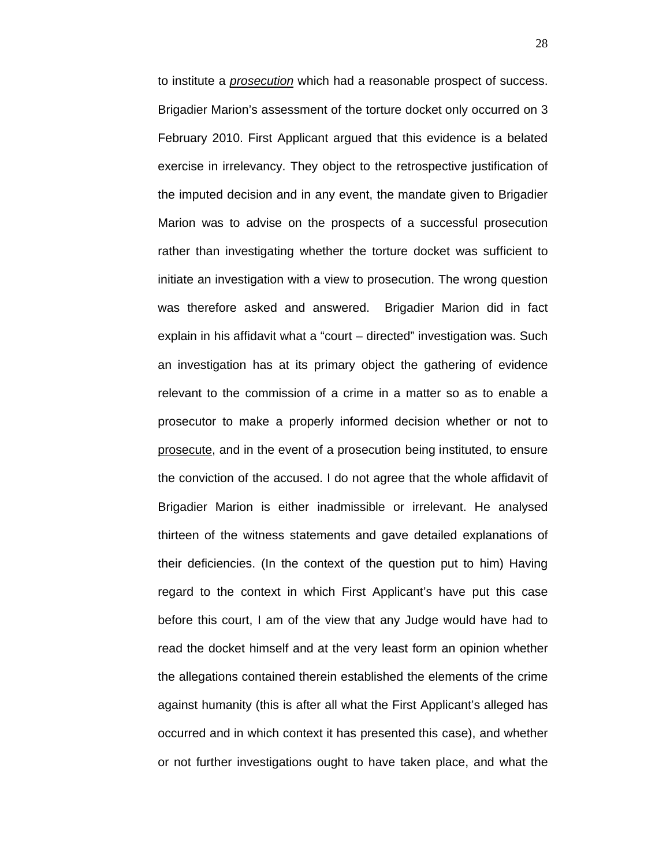to institute a *prosecution* which had a reasonable prospect of success. Brigadier Marion's assessment of the torture docket only occurred on 3 February 2010. First Applicant argued that this evidence is a belated exercise in irrelevancy. They object to the retrospective justification of the imputed decision and in any event, the mandate given to Brigadier Marion was to advise on the prospects of a successful prosecution rather than investigating whether the torture docket was sufficient to initiate an investigation with a view to prosecution. The wrong question was therefore asked and answered. Brigadier Marion did in fact explain in his affidavit what a "court – directed" investigation was. Such an investigation has at its primary object the gathering of evidence relevant to the commission of a crime in a matter so as to enable a prosecutor to make a properly informed decision whether or not to prosecute, and in the event of a prosecution being instituted, to ensure the conviction of the accused. I do not agree that the whole affidavit of Brigadier Marion is either inadmissible or irrelevant. He analysed thirteen of the witness statements and gave detailed explanations of their deficiencies. (In the context of the question put to him) Having regard to the context in which First Applicant's have put this case before this court, I am of the view that any Judge would have had to read the docket himself and at the very least form an opinion whether the allegations contained therein established the elements of the crime against humanity (this is after all what the First Applicant's alleged has occurred and in which context it has presented this case), and whether or not further investigations ought to have taken place, and what the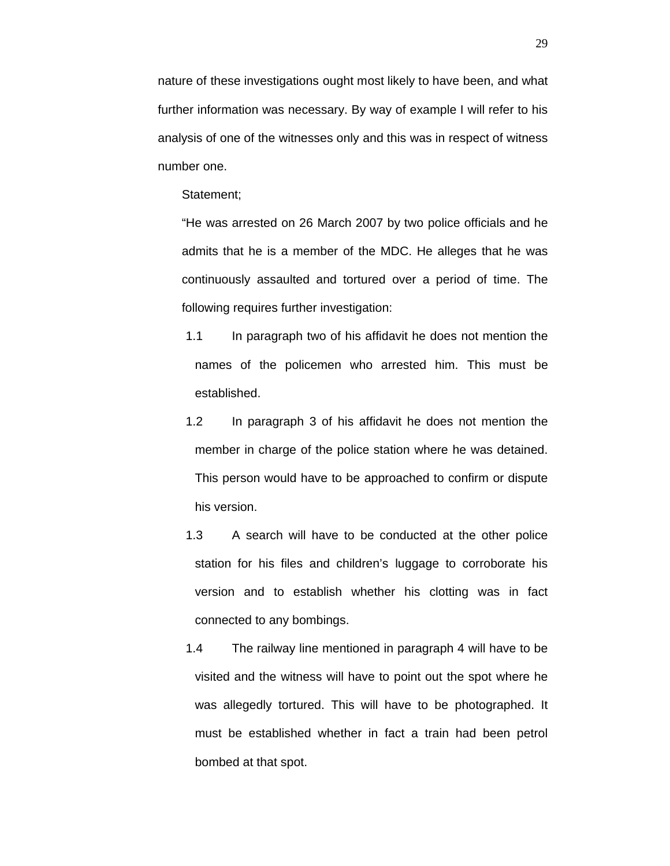nature of these investigations ought most likely to have been, and what further information was necessary. By way of example I will refer to his analysis of one of the witnesses only and this was in respect of witness number one.

Statement;

"He was arrested on 26 March 2007 by two police officials and he admits that he is a member of the MDC. He alleges that he was continuously assaulted and tortured over a period of time. The following requires further investigation:

- 1.1 In paragraph two of his affidavit he does not mention the names of the policemen who arrested him. This must be established.
- 1.2 In paragraph 3 of his affidavit he does not mention the member in charge of the police station where he was detained. This person would have to be approached to confirm or dispute his version.
- 1.3 A search will have to be conducted at the other police station for his files and children's luggage to corroborate his version and to establish whether his clotting was in fact connected to any bombings.
- 1.4 The railway line mentioned in paragraph 4 will have to be visited and the witness will have to point out the spot where he was allegedly tortured. This will have to be photographed. It must be established whether in fact a train had been petrol bombed at that spot.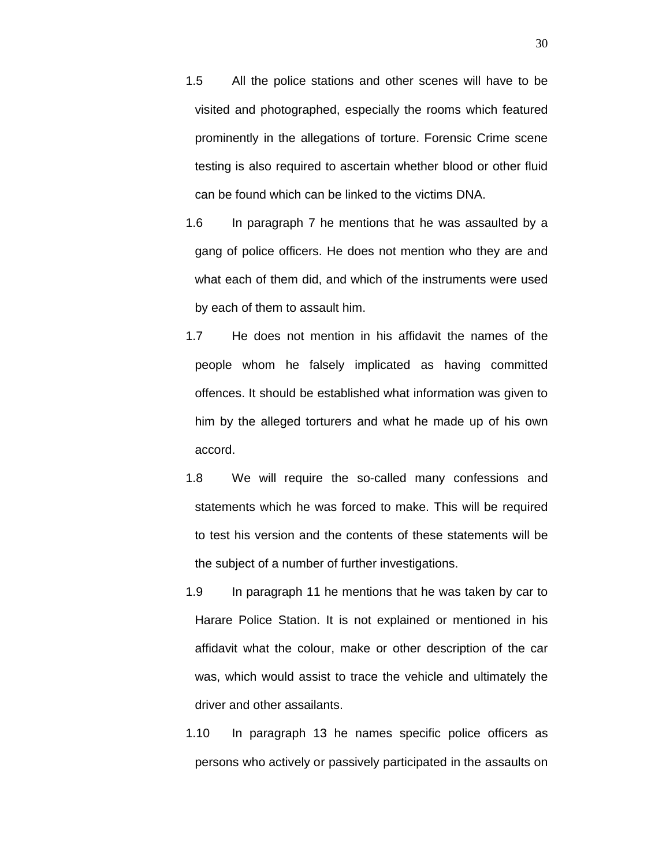- 1.5 All the police stations and other scenes will have to be visited and photographed, especially the rooms which featured prominently in the allegations of torture. Forensic Crime scene testing is also required to ascertain whether blood or other fluid can be found which can be linked to the victims DNA.
- 1.6 In paragraph 7 he mentions that he was assaulted by a gang of police officers. He does not mention who they are and what each of them did, and which of the instruments were used by each of them to assault him.
- 1.7 He does not mention in his affidavit the names of the people whom he falsely implicated as having committed offences. It should be established what information was given to him by the alleged torturers and what he made up of his own accord.
- 1.8 We will require the so-called many confessions and statements which he was forced to make. This will be required to test his version and the contents of these statements will be the subject of a number of further investigations.
- 1.9 In paragraph 11 he mentions that he was taken by car to Harare Police Station. It is not explained or mentioned in his affidavit what the colour, make or other description of the car was, which would assist to trace the vehicle and ultimately the driver and other assailants.
- 1.10 In paragraph 13 he names specific police officers as persons who actively or passively participated in the assaults on

30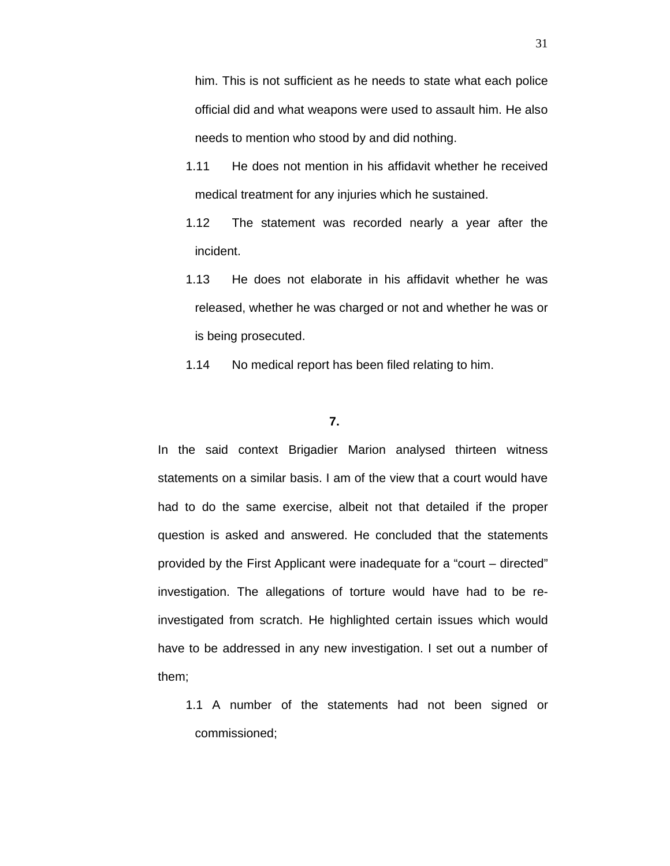him. This is not sufficient as he needs to state what each police official did and what weapons were used to assault him. He also needs to mention who stood by and did nothing.

- 1.11 He does not mention in his affidavit whether he received medical treatment for any injuries which he sustained.
- 1.12 The statement was recorded nearly a year after the incident.
- 1.13 He does not elaborate in his affidavit whether he was released, whether he was charged or not and whether he was or is being prosecuted.
- 1.14 No medical report has been filed relating to him.

### **7.**

In the said context Brigadier Marion analysed thirteen witness statements on a similar basis. I am of the view that a court would have had to do the same exercise, albeit not that detailed if the proper question is asked and answered. He concluded that the statements provided by the First Applicant were inadequate for a "court – directed" investigation. The allegations of torture would have had to be reinvestigated from scratch. He highlighted certain issues which would have to be addressed in any new investigation. I set out a number of them;

1.1 A number of the statements had not been signed or commissioned;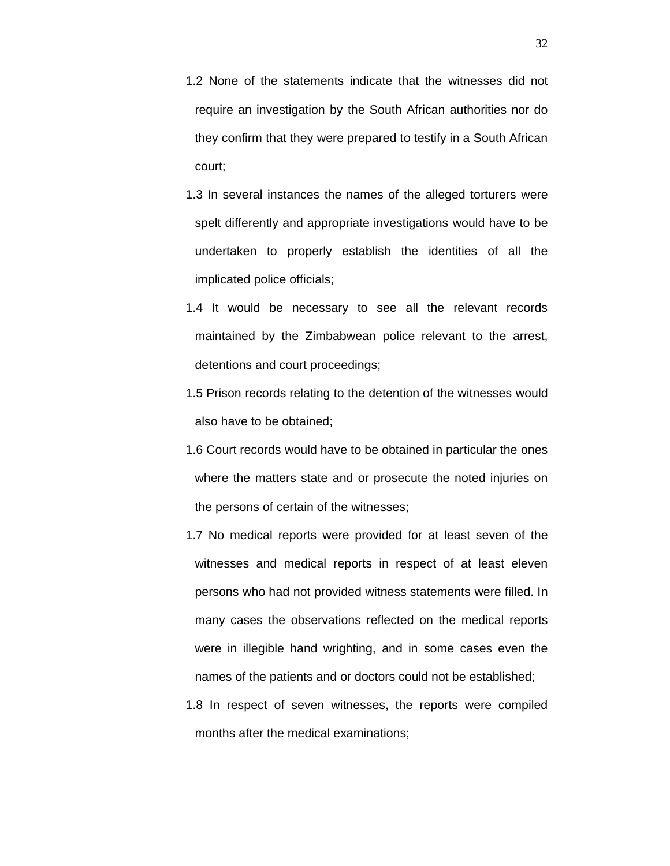- 1.2 None of the statements indicate that the witnesses did not require an investigation by the South African authorities nor do they confirm that they were prepared to testify in a South African court;
- 1.3 In several instances the names of the alleged torturers were spelt differently and appropriate investigations would have to be undertaken to properly establish the identities of all the implicated police officials;
- 1.4 It would be necessary to see all the relevant records maintained by the Zimbabwean police relevant to the arrest, detentions and court proceedings;
- 1.5 Prison records relating to the detention of the witnesses would also have to be obtained;
- 1.6 Court records would have to be obtained in particular the ones where the matters state and or prosecute the noted injuries on the persons of certain of the witnesses;
- 1.7 No medical reports were provided for at least seven of the witnesses and medical reports in respect of at least eleven persons who had not provided witness statements were filled. In many cases the observations reflected on the medical reports were in illegible hand wrighting, and in some cases even the names of the patients and or doctors could not be established;
- 1.8 In respect of seven witnesses, the reports were compiled months after the medical examinations;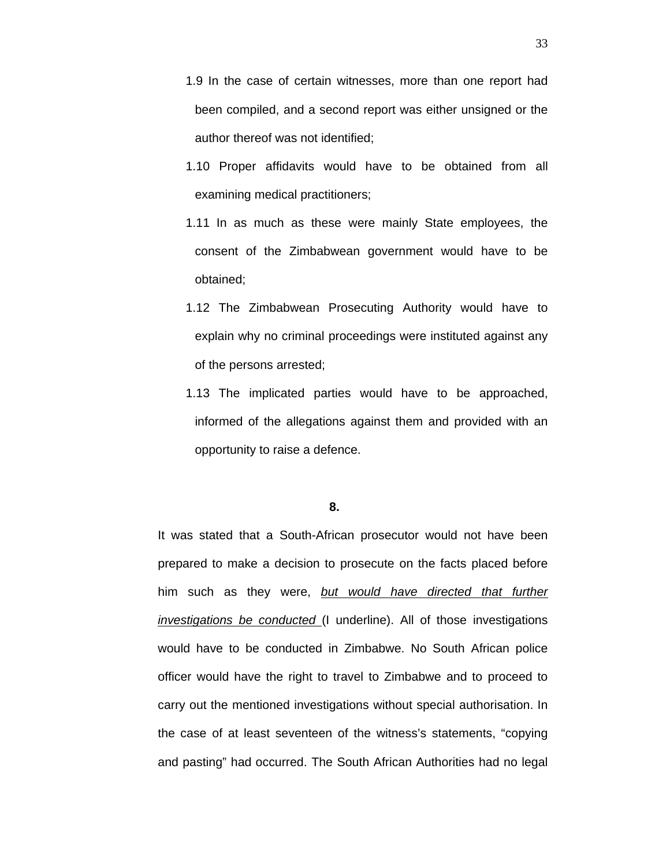- 1.9 In the case of certain witnesses, more than one report had been compiled, and a second report was either unsigned or the author thereof was not identified;
- 1.10 Proper affidavits would have to be obtained from all examining medical practitioners;
- 1.11 In as much as these were mainly State employees, the consent of the Zimbabwean government would have to be obtained;
- 1.12 The Zimbabwean Prosecuting Authority would have to explain why no criminal proceedings were instituted against any of the persons arrested;
- 1.13 The implicated parties would have to be approached, informed of the allegations against them and provided with an opportunity to raise a defence.

**8.**

It was stated that a South-African prosecutor would not have been prepared to make a decision to prosecute on the facts placed before him such as they were, *but would have directed that further investigations be conducted* (I underline). All of those investigations would have to be conducted in Zimbabwe. No South African police officer would have the right to travel to Zimbabwe and to proceed to carry out the mentioned investigations without special authorisation. In the case of at least seventeen of the witness's statements, "copying and pasting" had occurred. The South African Authorities had no legal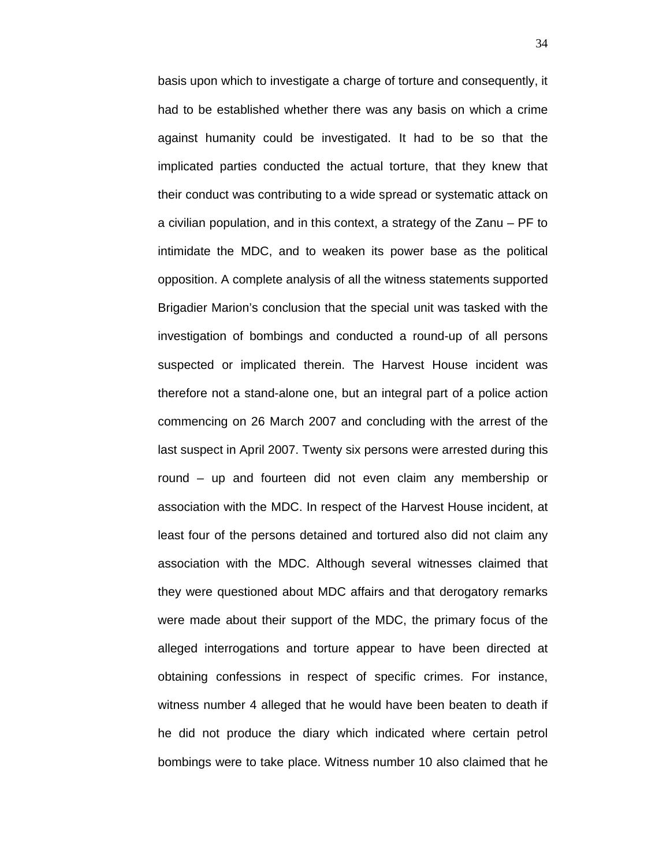basis upon which to investigate a charge of torture and consequently, it had to be established whether there was any basis on which a crime against humanity could be investigated. It had to be so that the implicated parties conducted the actual torture, that they knew that their conduct was contributing to a wide spread or systematic attack on a civilian population, and in this context, a strategy of the Zanu – PF to intimidate the MDC, and to weaken its power base as the political opposition. A complete analysis of all the witness statements supported Brigadier Marion's conclusion that the special unit was tasked with the investigation of bombings and conducted a round-up of all persons suspected or implicated therein. The Harvest House incident was therefore not a stand-alone one, but an integral part of a police action commencing on 26 March 2007 and concluding with the arrest of the last suspect in April 2007. Twenty six persons were arrested during this round – up and fourteen did not even claim any membership or association with the MDC. In respect of the Harvest House incident, at least four of the persons detained and tortured also did not claim any association with the MDC. Although several witnesses claimed that they were questioned about MDC affairs and that derogatory remarks were made about their support of the MDC, the primary focus of the alleged interrogations and torture appear to have been directed at obtaining confessions in respect of specific crimes. For instance, witness number 4 alleged that he would have been beaten to death if he did not produce the diary which indicated where certain petrol bombings were to take place. Witness number 10 also claimed that he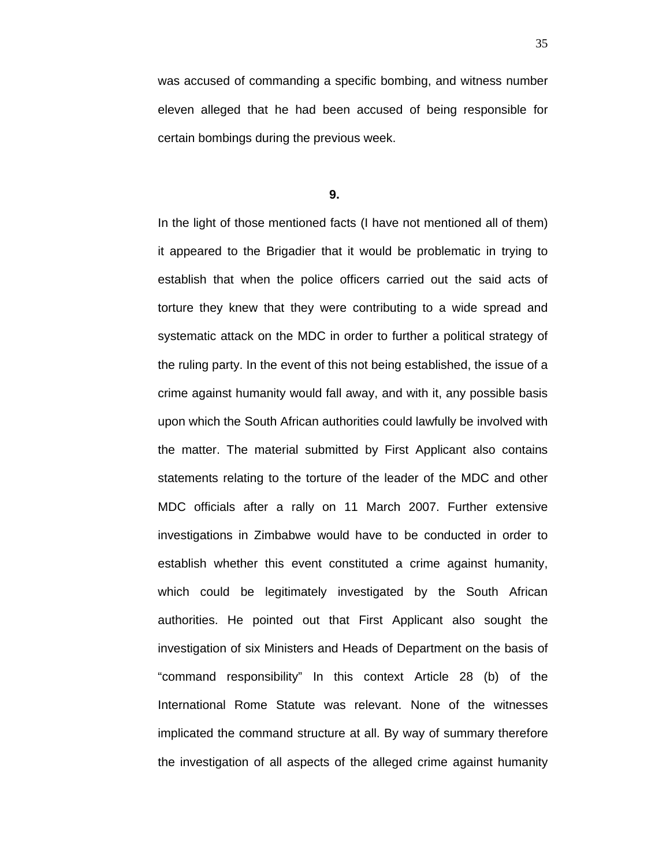was accused of commanding a specific bombing, and witness number eleven alleged that he had been accused of being responsible for certain bombings during the previous week.

**9.**

In the light of those mentioned facts (I have not mentioned all of them) it appeared to the Brigadier that it would be problematic in trying to establish that when the police officers carried out the said acts of torture they knew that they were contributing to a wide spread and systematic attack on the MDC in order to further a political strategy of the ruling party. In the event of this not being established, the issue of a crime against humanity would fall away, and with it, any possible basis upon which the South African authorities could lawfully be involved with the matter. The material submitted by First Applicant also contains statements relating to the torture of the leader of the MDC and other MDC officials after a rally on 11 March 2007. Further extensive investigations in Zimbabwe would have to be conducted in order to establish whether this event constituted a crime against humanity, which could be legitimately investigated by the South African authorities. He pointed out that First Applicant also sought the investigation of six Ministers and Heads of Department on the basis of "command responsibility" In this context Article 28 (b) of the International Rome Statute was relevant. None of the witnesses implicated the command structure at all. By way of summary therefore the investigation of all aspects of the alleged crime against humanity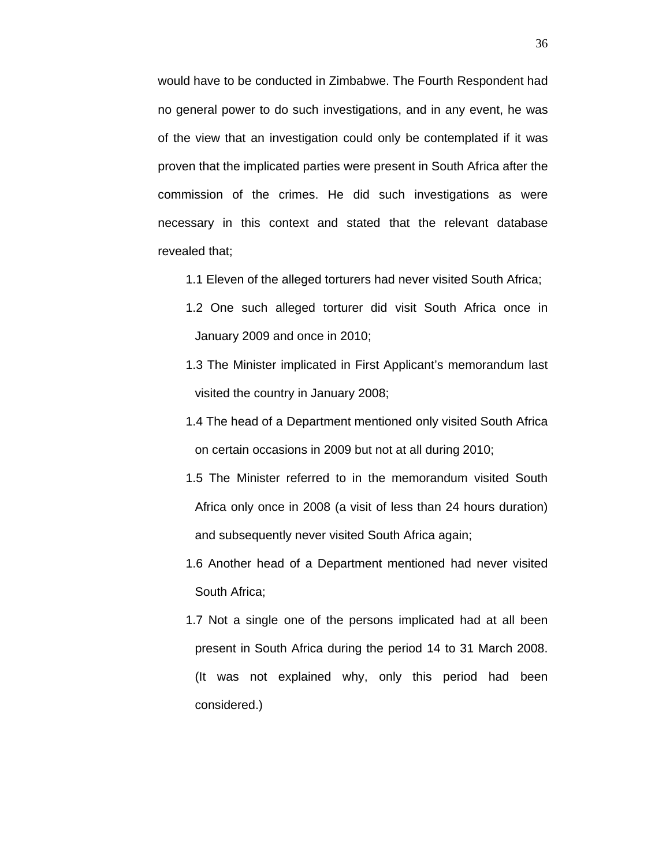would have to be conducted in Zimbabwe. The Fourth Respondent had no general power to do such investigations, and in any event, he was of the view that an investigation could only be contemplated if it was proven that the implicated parties were present in South Africa after the commission of the crimes. He did such investigations as were necessary in this context and stated that the relevant database revealed that;

- 1.1 Eleven of the alleged torturers had never visited South Africa;
- 1.2 One such alleged torturer did visit South Africa once in January 2009 and once in 2010;
- 1.3 The Minister implicated in First Applicant's memorandum last visited the country in January 2008;
- 1.4 The head of a Department mentioned only visited South Africa on certain occasions in 2009 but not at all during 2010;
- 1.5 The Minister referred to in the memorandum visited South Africa only once in 2008 (a visit of less than 24 hours duration) and subsequently never visited South Africa again;
- 1.6 Another head of a Department mentioned had never visited South Africa;
- 1.7 Not a single one of the persons implicated had at all been present in South Africa during the period 14 to 31 March 2008. (It was not explained why, only this period had been considered.)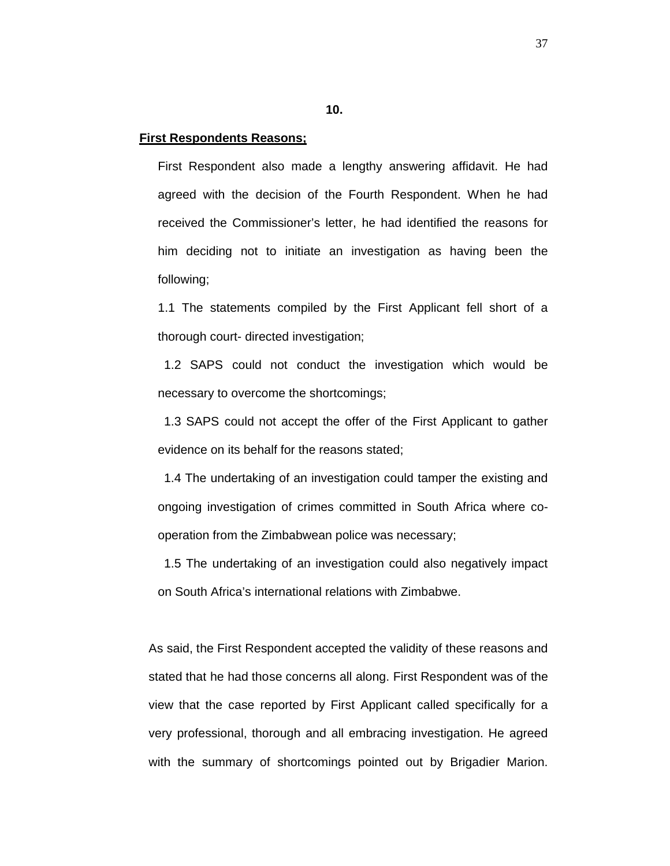**10.**

## **First Respondents Reasons;**

First Respondent also made a lengthy answering affidavit. He had agreed with the decision of the Fourth Respondent. When he had received the Commissioner's letter, he had identified the reasons for him deciding not to initiate an investigation as having been the following;

1.1 The statements compiled by the First Applicant fell short of a thorough court- directed investigation;

1.2 SAPS could not conduct the investigation which would be necessary to overcome the shortcomings;

1.3 SAPS could not accept the offer of the First Applicant to gather evidence on its behalf for the reasons stated;

1.4 The undertaking of an investigation could tamper the existing and ongoing investigation of crimes committed in South Africa where cooperation from the Zimbabwean police was necessary;

1.5 The undertaking of an investigation could also negatively impact on South Africa's international relations with Zimbabwe.

As said, the First Respondent accepted the validity of these reasons and stated that he had those concerns all along. First Respondent was of the view that the case reported by First Applicant called specifically for a very professional, thorough and all embracing investigation. He agreed with the summary of shortcomings pointed out by Brigadier Marion.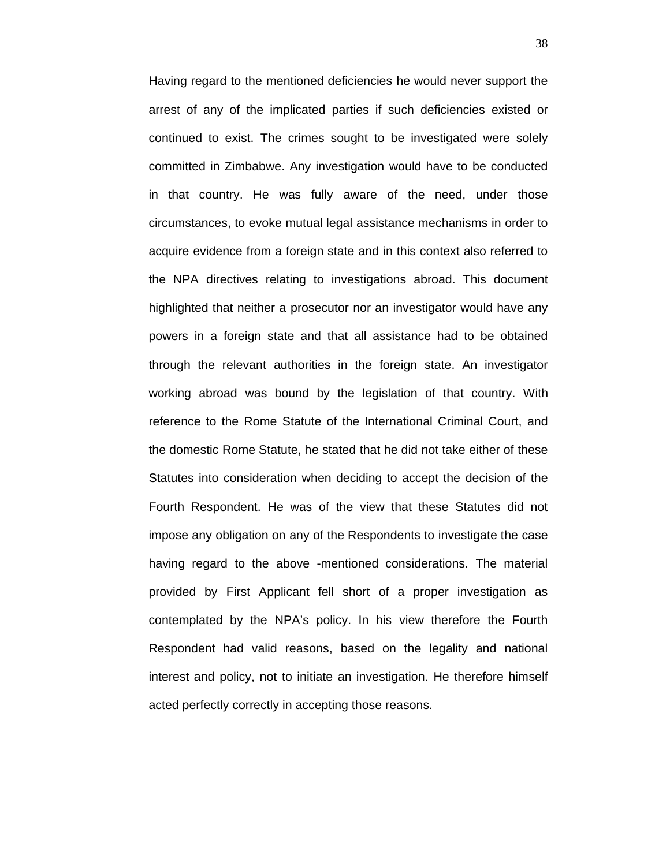Having regard to the mentioned deficiencies he would never support the arrest of any of the implicated parties if such deficiencies existed or continued to exist. The crimes sought to be investigated were solely committed in Zimbabwe. Any investigation would have to be conducted in that country. He was fully aware of the need, under those circumstances, to evoke mutual legal assistance mechanisms in order to acquire evidence from a foreign state and in this context also referred to the NPA directives relating to investigations abroad. This document highlighted that neither a prosecutor nor an investigator would have any powers in a foreign state and that all assistance had to be obtained through the relevant authorities in the foreign state. An investigator working abroad was bound by the legislation of that country. With reference to the Rome Statute of the International Criminal Court, and the domestic Rome Statute, he stated that he did not take either of these Statutes into consideration when deciding to accept the decision of the Fourth Respondent. He was of the view that these Statutes did not impose any obligation on any of the Respondents to investigate the case having regard to the above -mentioned considerations. The material provided by First Applicant fell short of a proper investigation as contemplated by the NPA's policy. In his view therefore the Fourth Respondent had valid reasons, based on the legality and national interest and policy, not to initiate an investigation. He therefore himself acted perfectly correctly in accepting those reasons.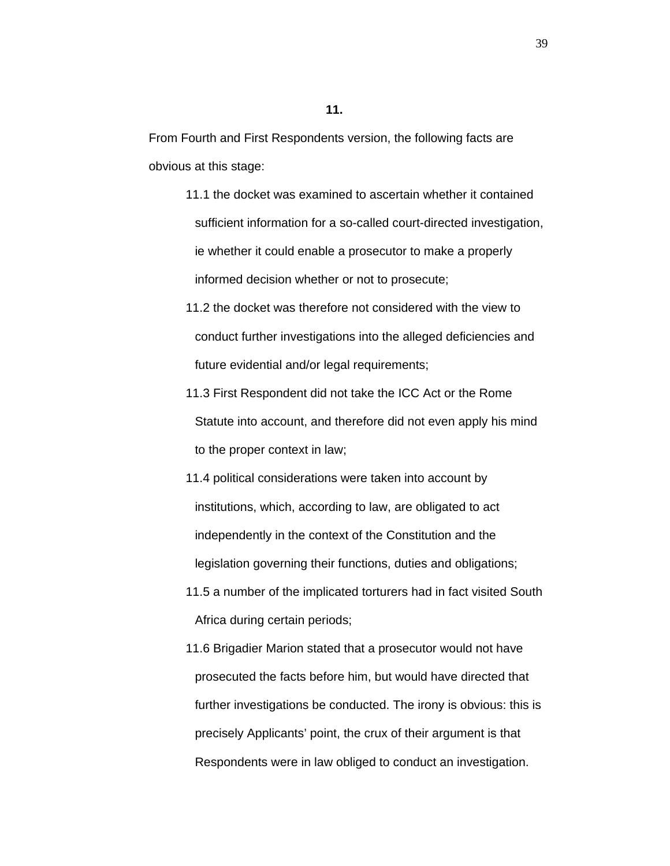From Fourth and First Respondents version, the following facts are obvious at this stage:

- 11.1 the docket was examined to ascertain whether it contained sufficient information for a so-called court-directed investigation, ie whether it could enable a prosecutor to make a properly informed decision whether or not to prosecute;
- 11.2 the docket was therefore not considered with the view to conduct further investigations into the alleged deficiencies and future evidential and/or legal requirements;
- 11.3 First Respondent did not take the ICC Act or the Rome Statute into account, and therefore did not even apply his mind to the proper context in law;
- 11.4 political considerations were taken into account by institutions, which, according to law, are obligated to act independently in the context of the Constitution and the legislation governing their functions, duties and obligations;
- 11.5 a number of the implicated torturers had in fact visited South Africa during certain periods;
- 11.6 Brigadier Marion stated that a prosecutor would not have prosecuted the facts before him, but would have directed that further investigations be conducted. The irony is obvious: this is precisely Applicants' point, the crux of their argument is that Respondents were in law obliged to conduct an investigation.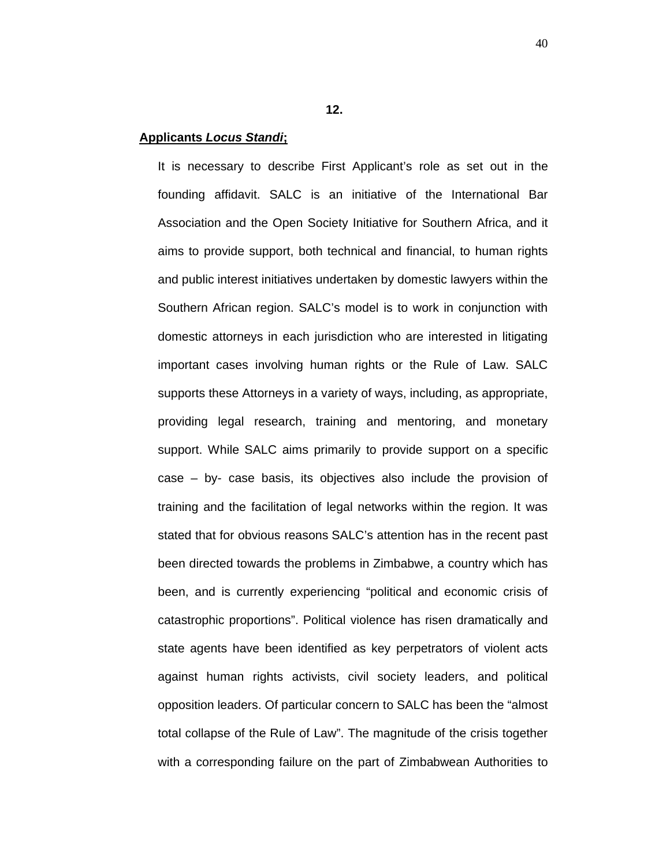**12.**

## **Applicants** *Locus Standi***;**

It is necessary to describe First Applicant's role as set out in the founding affidavit. SALC is an initiative of the International Bar Association and the Open Society Initiative for Southern Africa, and it aims to provide support, both technical and financial, to human rights and public interest initiatives undertaken by domestic lawyers within the Southern African region. SALC's model is to work in conjunction with domestic attorneys in each jurisdiction who are interested in litigating important cases involving human rights or the Rule of Law. SALC supports these Attorneys in a variety of ways, including, as appropriate, providing legal research, training and mentoring, and monetary support. While SALC aims primarily to provide support on a specific case – by- case basis, its objectives also include the provision of training and the facilitation of legal networks within the region. It was stated that for obvious reasons SALC's attention has in the recent past been directed towards the problems in Zimbabwe, a country which has been, and is currently experiencing "political and economic crisis of catastrophic proportions". Political violence has risen dramatically and state agents have been identified as key perpetrators of violent acts against human rights activists, civil society leaders, and political opposition leaders. Of particular concern to SALC has been the "almost total collapse of the Rule of Law". The magnitude of the crisis together with a corresponding failure on the part of Zimbabwean Authorities to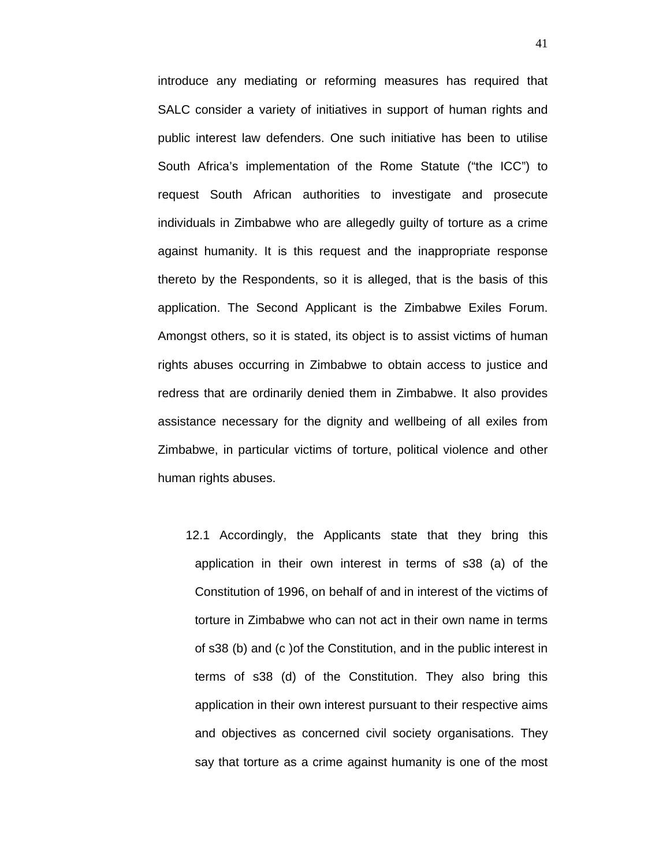introduce any mediating or reforming measures has required that SALC consider a variety of initiatives in support of human rights and public interest law defenders. One such initiative has been to utilise South Africa's implementation of the Rome Statute ("the ICC") to request South African authorities to investigate and prosecute individuals in Zimbabwe who are allegedly guilty of torture as a crime against humanity. It is this request and the inappropriate response thereto by the Respondents, so it is alleged, that is the basis of this application. The Second Applicant is the Zimbabwe Exiles Forum. Amongst others, so it is stated, its object is to assist victims of human rights abuses occurring in Zimbabwe to obtain access to justice and redress that are ordinarily denied them in Zimbabwe. It also provides assistance necessary for the dignity and wellbeing of all exiles from Zimbabwe, in particular victims of torture, political violence and other human rights abuses.

12.1 Accordingly, the Applicants state that they bring this application in their own interest in terms of s38 (a) of the Constitution of 1996, on behalf of and in interest of the victims of torture in Zimbabwe who can not act in their own name in terms of s38 (b) and (c )of the Constitution, and in the public interest in terms of s38 (d) of the Constitution. They also bring this application in their own interest pursuant to their respective aims and objectives as concerned civil society organisations. They say that torture as a crime against humanity is one of the most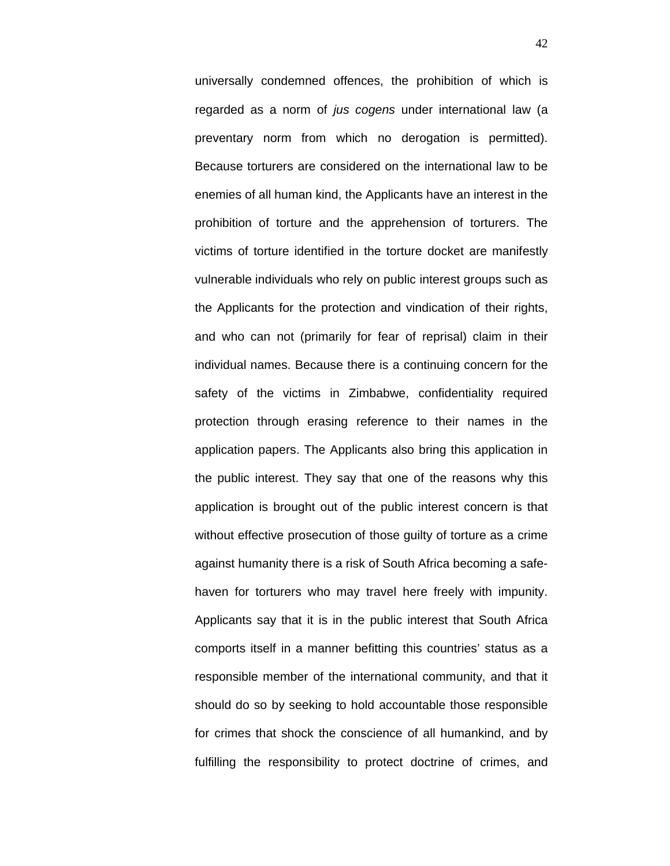universally condemned offences, the prohibition of which is regarded as a norm of *jus cogens* under international law (a preventary norm from which no derogation is permitted). Because torturers are considered on the international law to be enemies of all human kind, the Applicants have an interest in the prohibition of torture and the apprehension of torturers. The victims of torture identified in the torture docket are manifestly vulnerable individuals who rely on public interest groups such as the Applicants for the protection and vindication of their rights, and who can not (primarily for fear of reprisal) claim in their individual names. Because there is a continuing concern for the safety of the victims in Zimbabwe, confidentiality required protection through erasing reference to their names in the application papers. The Applicants also bring this application in the public interest. They say that one of the reasons why this application is brought out of the public interest concern is that without effective prosecution of those guilty of torture as a crime against humanity there is a risk of South Africa becoming a safehaven for torturers who may travel here freely with impunity. Applicants say that it is in the public interest that South Africa comports itself in a manner befitting this countries' status as a responsible member of the international community, and that it should do so by seeking to hold accountable those responsible for crimes that shock the conscience of all humankind, and by fulfilling the responsibility to protect doctrine of crimes, and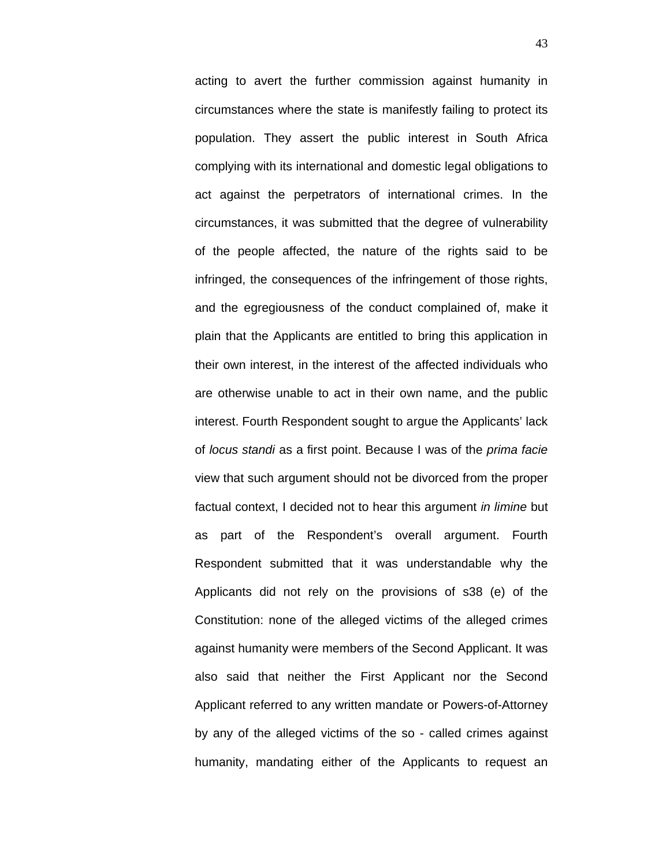acting to avert the further commission against humanity in circumstances where the state is manifestly failing to protect its population. They assert the public interest in South Africa complying with its international and domestic legal obligations to act against the perpetrators of international crimes. In the circumstances, it was submitted that the degree of vulnerability of the people affected, the nature of the rights said to be infringed, the consequences of the infringement of those rights, and the egregiousness of the conduct complained of, make it plain that the Applicants are entitled to bring this application in their own interest, in the interest of the affected individuals who are otherwise unable to act in their own name, and the public interest. Fourth Respondent sought to argue the Applicants' lack of *locus standi* as a first point. Because I was of the *prima facie* view that such argument should not be divorced from the proper factual context, I decided not to hear this argument *in limine* but as part of the Respondent's overall argument. Fourth Respondent submitted that it was understandable why the Applicants did not rely on the provisions of s38 (e) of the Constitution: none of the alleged victims of the alleged crimes against humanity were members of the Second Applicant. It was also said that neither the First Applicant nor the Second Applicant referred to any written mandate or Powers-of-Attorney by any of the alleged victims of the so - called crimes against humanity, mandating either of the Applicants to request an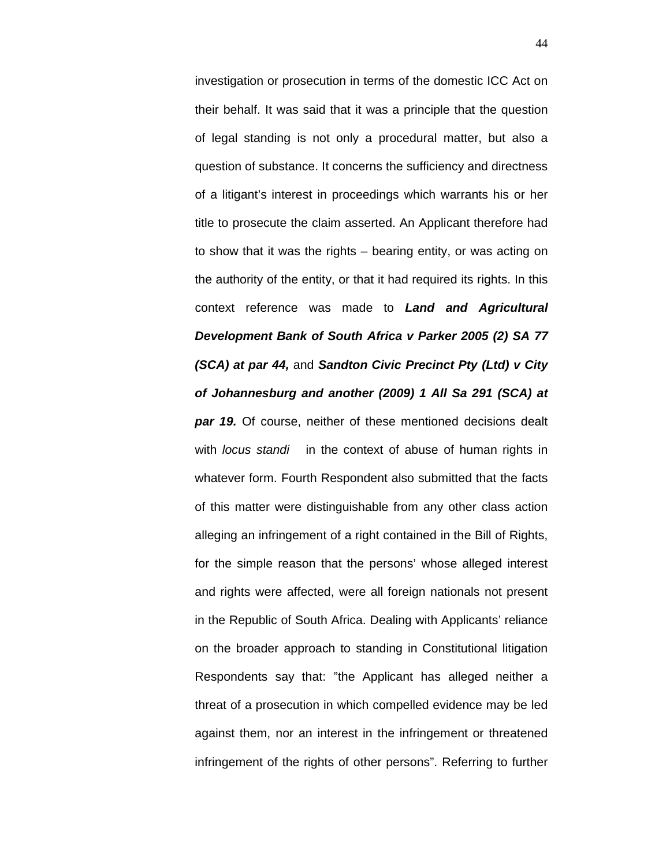investigation or prosecution in terms of the domestic ICC Act on their behalf. It was said that it was a principle that the question of legal standing is not only a procedural matter, but also a question of substance. It concerns the sufficiency and directness of a litigant's interest in proceedings which warrants his or her title to prosecute the claim asserted. An Applicant therefore had to show that it was the rights – bearing entity, or was acting on the authority of the entity, or that it had required its rights. In this context reference was made to *Land and Agricultural Development Bank of South Africa v Parker 2005 (2) SA 77 (SCA) at par 44,* and *Sandton Civic Precinct Pty (Ltd) v City of Johannesburg and another (2009) 1 All Sa 291 (SCA) at*  **par 19.** Of course, neither of these mentioned decisions dealt with *locus standi* in the context of abuse of human rights in whatever form. Fourth Respondent also submitted that the facts of this matter were distinguishable from any other class action alleging an infringement of a right contained in the Bill of Rights, for the simple reason that the persons' whose alleged interest and rights were affected, were all foreign nationals not present in the Republic of South Africa. Dealing with Applicants' reliance on the broader approach to standing in Constitutional litigation Respondents say that: "the Applicant has alleged neither a threat of a prosecution in which compelled evidence may be led against them, nor an interest in the infringement or threatened infringement of the rights of other persons". Referring to further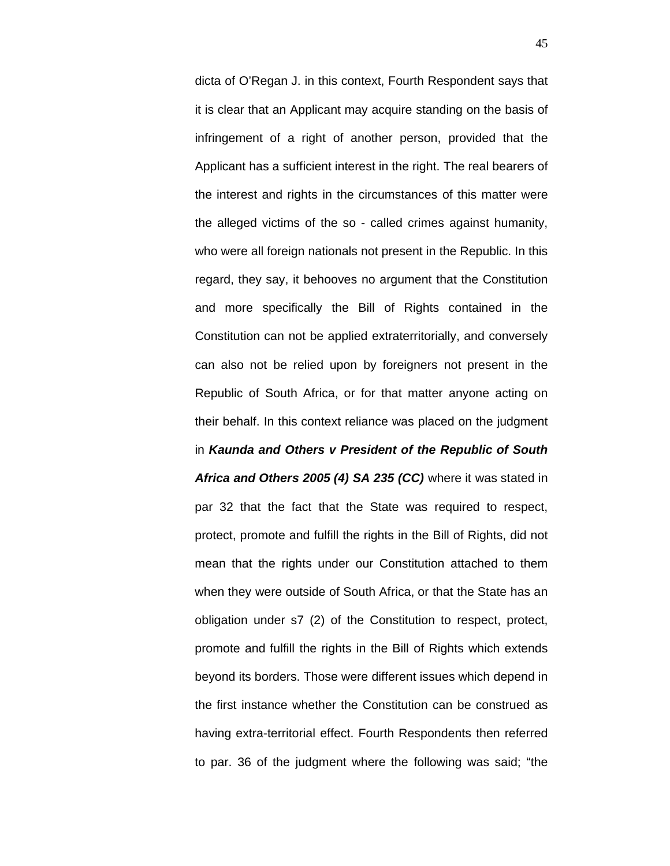dicta of O'Regan J. in this context, Fourth Respondent says that it is clear that an Applicant may acquire standing on the basis of infringement of a right of another person, provided that the Applicant has a sufficient interest in the right. The real bearers of the interest and rights in the circumstances of this matter were the alleged victims of the so - called crimes against humanity, who were all foreign nationals not present in the Republic. In this regard, they say, it behooves no argument that the Constitution and more specifically the Bill of Rights contained in the Constitution can not be applied extraterritorially, and conversely can also not be relied upon by foreigners not present in the Republic of South Africa, or for that matter anyone acting on their behalf. In this context reliance was placed on the judgment in *Kaunda and Others v President of the Republic of South Africa and Others 2005 (4) SA 235 (CC)* where it was stated in par 32 that the fact that the State was required to respect, protect, promote and fulfill the rights in the Bill of Rights, did not mean that the rights under our Constitution attached to them when they were outside of South Africa, or that the State has an obligation under s7 (2) of the Constitution to respect, protect, promote and fulfill the rights in the Bill of Rights which extends beyond its borders. Those were different issues which depend in the first instance whether the Constitution can be construed as having extra-territorial effect. Fourth Respondents then referred to par. 36 of the judgment where the following was said; "the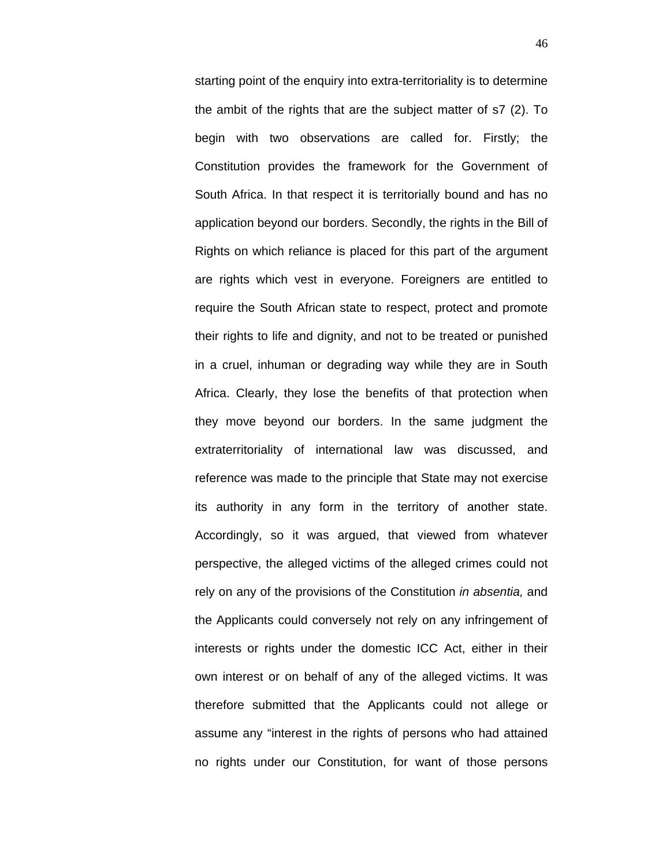starting point of the enquiry into extra-territoriality is to determine the ambit of the rights that are the subject matter of s7 (2). To begin with two observations are called for. Firstly; the Constitution provides the framework for the Government of South Africa. In that respect it is territorially bound and has no application beyond our borders. Secondly, the rights in the Bill of Rights on which reliance is placed for this part of the argument are rights which vest in everyone. Foreigners are entitled to require the South African state to respect, protect and promote their rights to life and dignity, and not to be treated or punished in a cruel, inhuman or degrading way while they are in South Africa. Clearly, they lose the benefits of that protection when they move beyond our borders. In the same judgment the extraterritoriality of international law was discussed, and reference was made to the principle that State may not exercise its authority in any form in the territory of another state. Accordingly, so it was argued, that viewed from whatever perspective, the alleged victims of the alleged crimes could not rely on any of the provisions of the Constitution *in absentia,* and the Applicants could conversely not rely on any infringement of interests or rights under the domestic ICC Act, either in their own interest or on behalf of any of the alleged victims. It was therefore submitted that the Applicants could not allege or assume any "interest in the rights of persons who had attained no rights under our Constitution, for want of those persons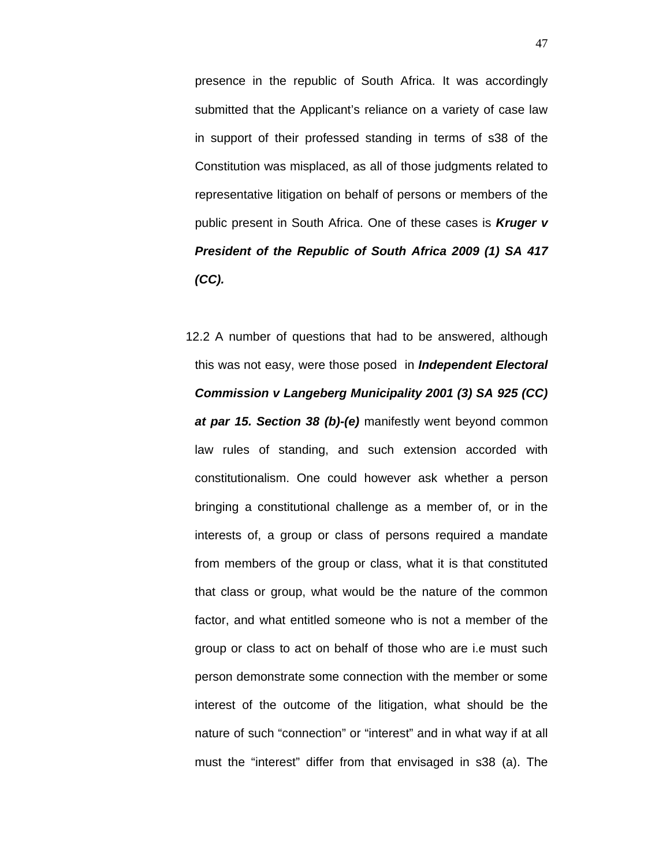presence in the republic of South Africa. It was accordingly submitted that the Applicant's reliance on a variety of case law in support of their professed standing in terms of s38 of the Constitution was misplaced, as all of those judgments related to representative litigation on behalf of persons or members of the public present in South Africa. One of these cases is *Kruger v President of the Republic of South Africa 2009 (1) SA 417 (CC).*

12.2 A number of questions that had to be answered, although this was not easy, were those posed in *Independent Electoral Commission v Langeberg Municipality 2001 (3) SA 925 (CC) at par 15. Section 38 (b)-(e)* manifestly went beyond common law rules of standing, and such extension accorded with constitutionalism. One could however ask whether a person bringing a constitutional challenge as a member of, or in the interests of, a group or class of persons required a mandate from members of the group or class, what it is that constituted that class or group, what would be the nature of the common factor, and what entitled someone who is not a member of the group or class to act on behalf of those who are i.e must such person demonstrate some connection with the member or some interest of the outcome of the litigation, what should be the nature of such "connection" or "interest" and in what way if at all must the "interest" differ from that envisaged in s38 (a). The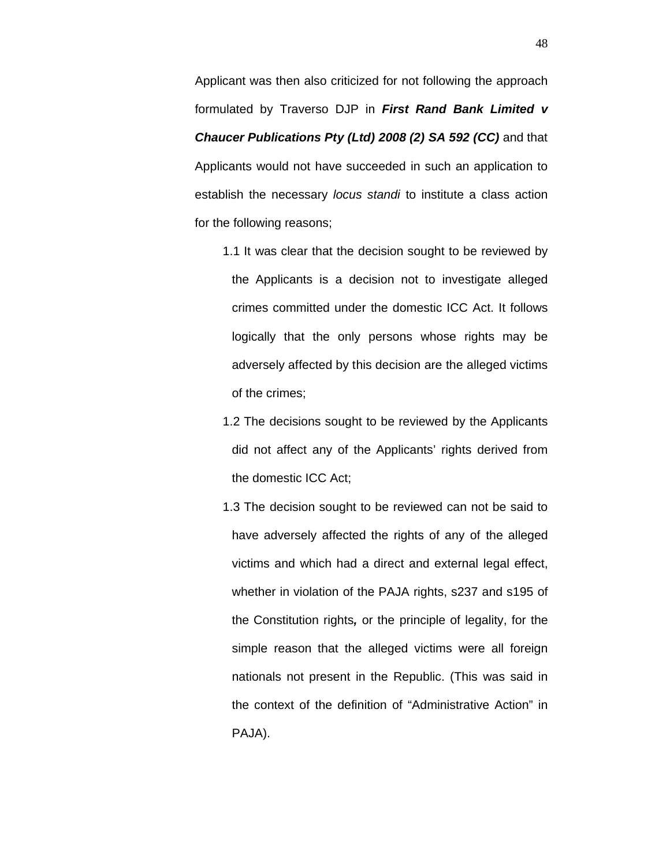Applicant was then also criticized for not following the approach formulated by Traverso DJP in *First Rand Bank Limited v Chaucer Publications Pty (Ltd) 2008 (2) SA 592 (CC)* and that Applicants would not have succeeded in such an application to establish the necessary *locus standi* to institute a class action for the following reasons;

- 1.1 It was clear that the decision sought to be reviewed by the Applicants is a decision not to investigate alleged crimes committed under the domestic ICC Act. It follows logically that the only persons whose rights may be adversely affected by this decision are the alleged victims of the crimes;
- 1.2 The decisions sought to be reviewed by the Applicants did not affect any of the Applicants' rights derived from the domestic ICC Act;
- 1.3 The decision sought to be reviewed can not be said to have adversely affected the rights of any of the alleged victims and which had a direct and external legal effect, whether in violation of the PAJA rights, s237 and s195 of the Constitution rights*,* or the principle of legality, for the simple reason that the alleged victims were all foreign nationals not present in the Republic. (This was said in the context of the definition of "Administrative Action" in PAJA).

48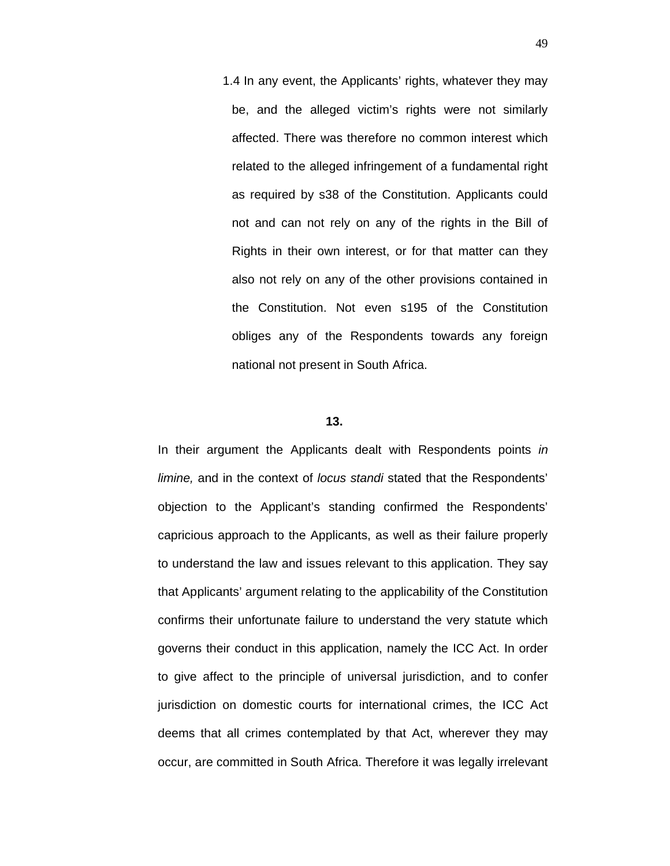1.4 In any event, the Applicants' rights, whatever they may be, and the alleged victim's rights were not similarly affected. There was therefore no common interest which related to the alleged infringement of a fundamental right as required by s38 of the Constitution. Applicants could not and can not rely on any of the rights in the Bill of Rights in their own interest, or for that matter can they also not rely on any of the other provisions contained in the Constitution. Not even s195 of the Constitution obliges any of the Respondents towards any foreign national not present in South Africa.

## **13.**

In their argument the Applicants dealt with Respondents points *in limine,* and in the context of *locus standi* stated that the Respondents' objection to the Applicant's standing confirmed the Respondents' capricious approach to the Applicants, as well as their failure properly to understand the law and issues relevant to this application. They say that Applicants' argument relating to the applicability of the Constitution confirms their unfortunate failure to understand the very statute which governs their conduct in this application, namely the ICC Act. In order to give affect to the principle of universal jurisdiction, and to confer jurisdiction on domestic courts for international crimes, the ICC Act deems that all crimes contemplated by that Act, wherever they may occur, are committed in South Africa. Therefore it was legally irrelevant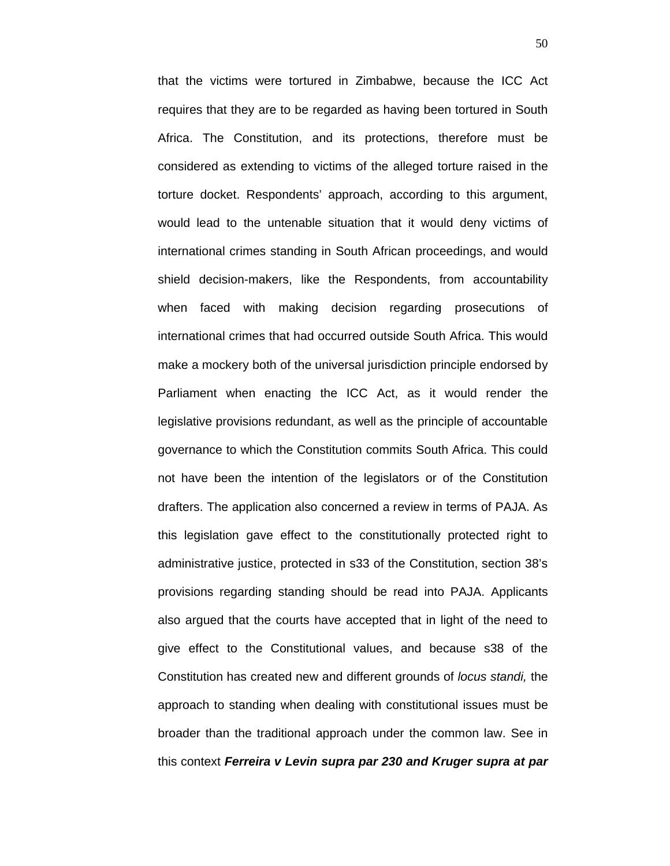that the victims were tortured in Zimbabwe, because the ICC Act requires that they are to be regarded as having been tortured in South Africa. The Constitution, and its protections, therefore must be considered as extending to victims of the alleged torture raised in the torture docket. Respondents' approach, according to this argument, would lead to the untenable situation that it would deny victims of international crimes standing in South African proceedings, and would shield decision-makers, like the Respondents, from accountability when faced with making decision regarding prosecutions of international crimes that had occurred outside South Africa. This would make a mockery both of the universal jurisdiction principle endorsed by Parliament when enacting the ICC Act, as it would render the legislative provisions redundant, as well as the principle of accountable governance to which the Constitution commits South Africa. This could not have been the intention of the legislators or of the Constitution drafters. The application also concerned a review in terms of PAJA. As this legislation gave effect to the constitutionally protected right to administrative justice, protected in s33 of the Constitution, section 38's provisions regarding standing should be read into PAJA. Applicants also argued that the courts have accepted that in light of the need to give effect to the Constitutional values, and because s38 of the Constitution has created new and different grounds of *locus standi,* the approach to standing when dealing with constitutional issues must be broader than the traditional approach under the common law. See in this context *Ferreira v Levin supra par 230 and Kruger supra at par*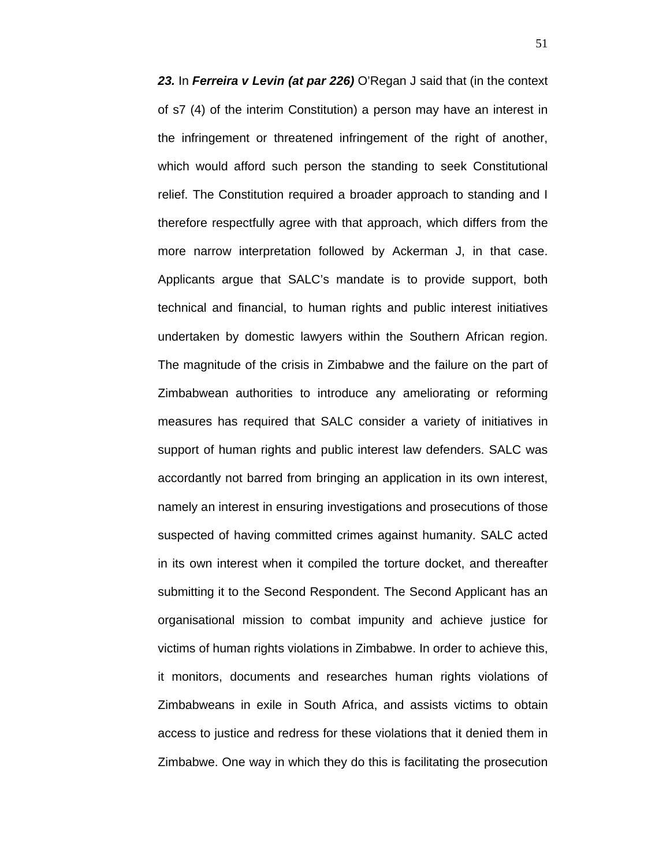23. In *Ferreira v Levin (at par 226)* O'Regan J said that (in the context of s7 (4) of the interim Constitution) a person may have an interest in the infringement or threatened infringement of the right of another, which would afford such person the standing to seek Constitutional relief. The Constitution required a broader approach to standing and I therefore respectfully agree with that approach, which differs from the more narrow interpretation followed by Ackerman J, in that case. Applicants argue that SALC's mandate is to provide support, both technical and financial, to human rights and public interest initiatives undertaken by domestic lawyers within the Southern African region. The magnitude of the crisis in Zimbabwe and the failure on the part of Zimbabwean authorities to introduce any ameliorating or reforming measures has required that SALC consider a variety of initiatives in support of human rights and public interest law defenders. SALC was accordantly not barred from bringing an application in its own interest, namely an interest in ensuring investigations and prosecutions of those suspected of having committed crimes against humanity. SALC acted in its own interest when it compiled the torture docket, and thereafter submitting it to the Second Respondent. The Second Applicant has an organisational mission to combat impunity and achieve justice for victims of human rights violations in Zimbabwe. In order to achieve this, it monitors, documents and researches human rights violations of Zimbabweans in exile in South Africa, and assists victims to obtain access to justice and redress for these violations that it denied them in Zimbabwe. One way in which they do this is facilitating the prosecution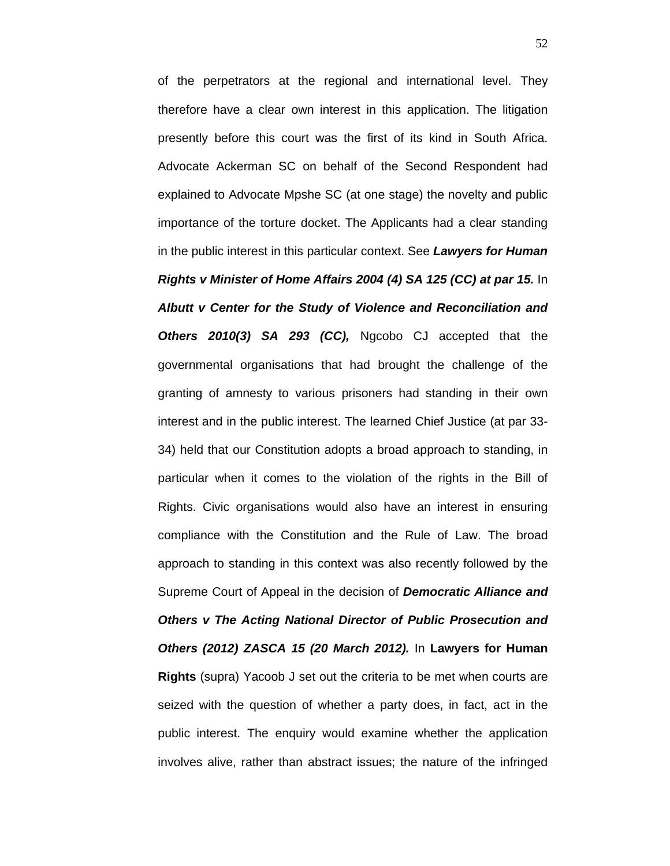of the perpetrators at the regional and international level. They therefore have a clear own interest in this application. The litigation presently before this court was the first of its kind in South Africa. Advocate Ackerman SC on behalf of the Second Respondent had explained to Advocate Mpshe SC (at one stage) the novelty and public importance of the torture docket. The Applicants had a clear standing in the public interest in this particular context. See *Lawyers for Human Rights v Minister of Home Affairs 2004 (4) SA 125 (CC) at par 15.* In *Albutt v Center for the Study of Violence and Reconciliation and Others 2010(3) SA 293 (CC),* Ngcobo CJ accepted that the governmental organisations that had brought the challenge of the granting of amnesty to various prisoners had standing in their own interest and in the public interest. The learned Chief Justice (at par 33- 34) held that our Constitution adopts a broad approach to standing, in particular when it comes to the violation of the rights in the Bill of Rights. Civic organisations would also have an interest in ensuring compliance with the Constitution and the Rule of Law. The broad approach to standing in this context was also recently followed by the Supreme Court of Appeal in the decision of *Democratic Alliance and Others v The Acting National Director of Public Prosecution and Others (2012) ZASCA 15 (20 March 2012).* In **Lawyers for Human Rights** (supra) Yacoob J set out the criteria to be met when courts are seized with the question of whether a party does, in fact, act in the public interest. The enquiry would examine whether the application involves alive, rather than abstract issues; the nature of the infringed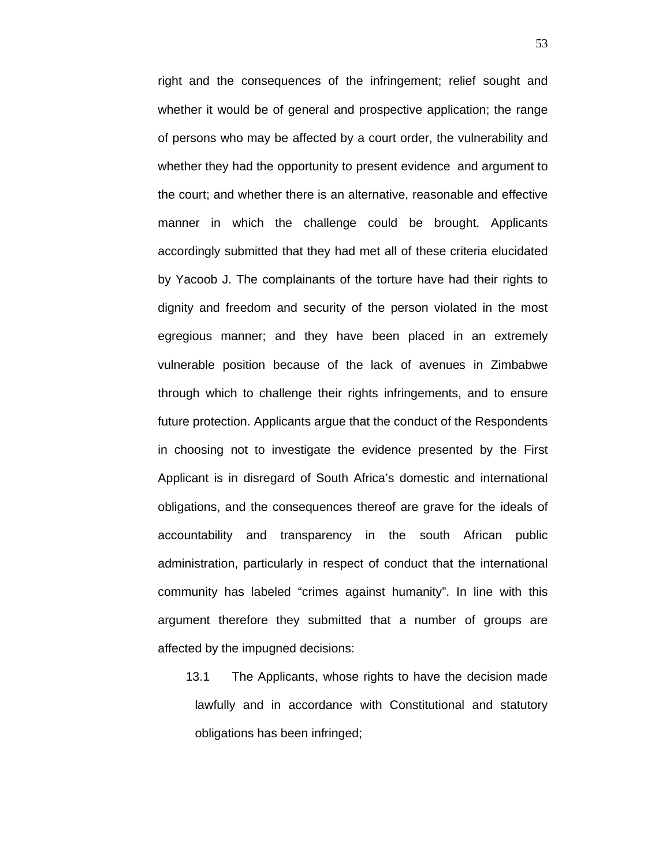right and the consequences of the infringement; relief sought and whether it would be of general and prospective application; the range of persons who may be affected by a court order, the vulnerability and whether they had the opportunity to present evidence and argument to the court; and whether there is an alternative, reasonable and effective manner in which the challenge could be brought. Applicants accordingly submitted that they had met all of these criteria elucidated by Yacoob J. The complainants of the torture have had their rights to dignity and freedom and security of the person violated in the most egregious manner; and they have been placed in an extremely vulnerable position because of the lack of avenues in Zimbabwe through which to challenge their rights infringements, and to ensure future protection. Applicants argue that the conduct of the Respondents in choosing not to investigate the evidence presented by the First Applicant is in disregard of South Africa's domestic and international obligations, and the consequences thereof are grave for the ideals of accountability and transparency in the south African public administration, particularly in respect of conduct that the international community has labeled "crimes against humanity". In line with this argument therefore they submitted that a number of groups are affected by the impugned decisions:

13.1 The Applicants, whose rights to have the decision made lawfully and in accordance with Constitutional and statutory obligations has been infringed;

53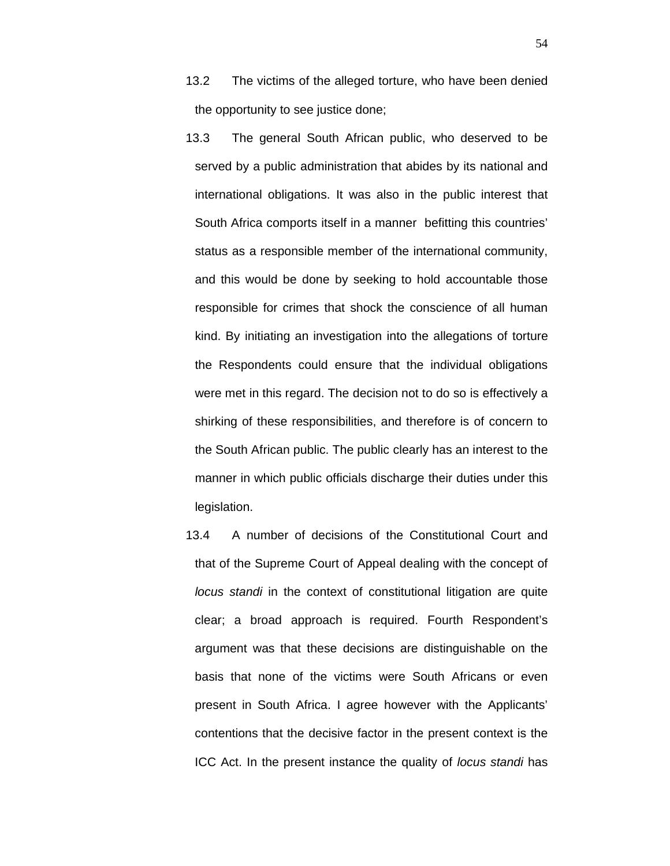- 13.2 The victims of the alleged torture, who have been denied the opportunity to see justice done;
- 13.3 The general South African public, who deserved to be served by a public administration that abides by its national and international obligations. It was also in the public interest that South Africa comports itself in a manner befitting this countries' status as a responsible member of the international community, and this would be done by seeking to hold accountable those responsible for crimes that shock the conscience of all human kind. By initiating an investigation into the allegations of torture the Respondents could ensure that the individual obligations were met in this regard. The decision not to do so is effectively a shirking of these responsibilities, and therefore is of concern to the South African public. The public clearly has an interest to the manner in which public officials discharge their duties under this legislation.
- 13.4 A number of decisions of the Constitutional Court and that of the Supreme Court of Appeal dealing with the concept of *locus standi* in the context of constitutional litigation are quite clear; a broad approach is required. Fourth Respondent's argument was that these decisions are distinguishable on the basis that none of the victims were South Africans or even present in South Africa. I agree however with the Applicants' contentions that the decisive factor in the present context is the ICC Act. In the present instance the quality of *locus standi* has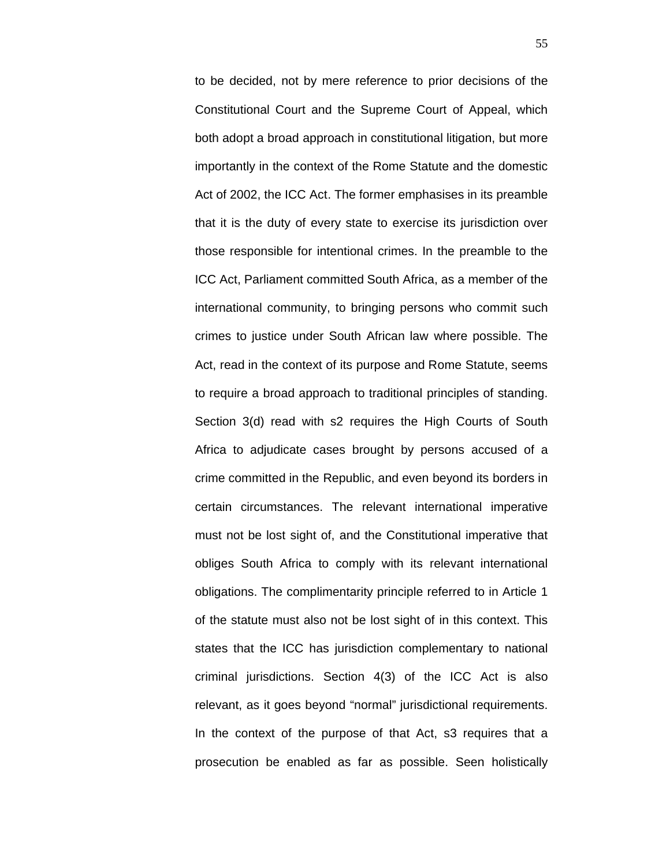to be decided, not by mere reference to prior decisions of the Constitutional Court and the Supreme Court of Appeal, which both adopt a broad approach in constitutional litigation, but more importantly in the context of the Rome Statute and the domestic Act of 2002, the ICC Act. The former emphasises in its preamble that it is the duty of every state to exercise its jurisdiction over those responsible for intentional crimes. In the preamble to the ICC Act, Parliament committed South Africa, as a member of the international community, to bringing persons who commit such crimes to justice under South African law where possible. The Act, read in the context of its purpose and Rome Statute, seems to require a broad approach to traditional principles of standing. Section 3(d) read with s2 requires the High Courts of South Africa to adjudicate cases brought by persons accused of a crime committed in the Republic, and even beyond its borders in certain circumstances. The relevant international imperative must not be lost sight of, and the Constitutional imperative that obliges South Africa to comply with its relevant international obligations. The complimentarity principle referred to in Article 1 of the statute must also not be lost sight of in this context. This states that the ICC has jurisdiction complementary to national criminal jurisdictions. Section 4(3) of the ICC Act is also relevant, as it goes beyond "normal" jurisdictional requirements. In the context of the purpose of that Act, s3 requires that a prosecution be enabled as far as possible. Seen holistically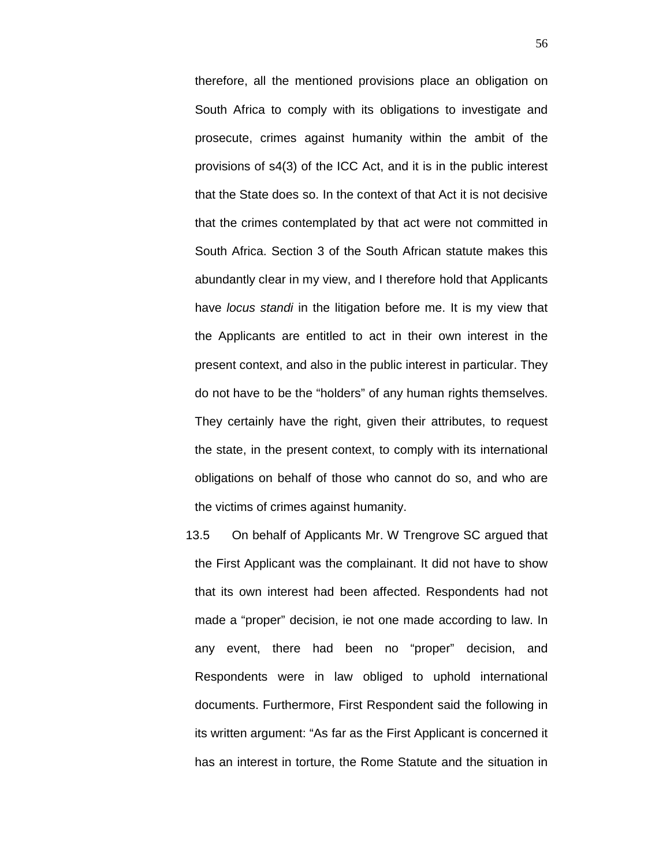therefore, all the mentioned provisions place an obligation on South Africa to comply with its obligations to investigate and prosecute, crimes against humanity within the ambit of the provisions of s4(3) of the ICC Act, and it is in the public interest that the State does so. In the context of that Act it is not decisive that the crimes contemplated by that act were not committed in South Africa. Section 3 of the South African statute makes this abundantly clear in my view, and I therefore hold that Applicants have *locus standi* in the litigation before me. It is my view that the Applicants are entitled to act in their own interest in the present context, and also in the public interest in particular. They do not have to be the "holders" of any human rights themselves. They certainly have the right, given their attributes, to request the state, in the present context, to comply with its international obligations on behalf of those who cannot do so, and who are the victims of crimes against humanity.

13.5 On behalf of Applicants Mr. W Trengrove SC argued that the First Applicant was the complainant. It did not have to show that its own interest had been affected. Respondents had not made a "proper" decision, ie not one made according to law. In any event, there had been no "proper" decision, and Respondents were in law obliged to uphold international documents. Furthermore, First Respondent said the following in its written argument: "As far as the First Applicant is concerned it has an interest in torture, the Rome Statute and the situation in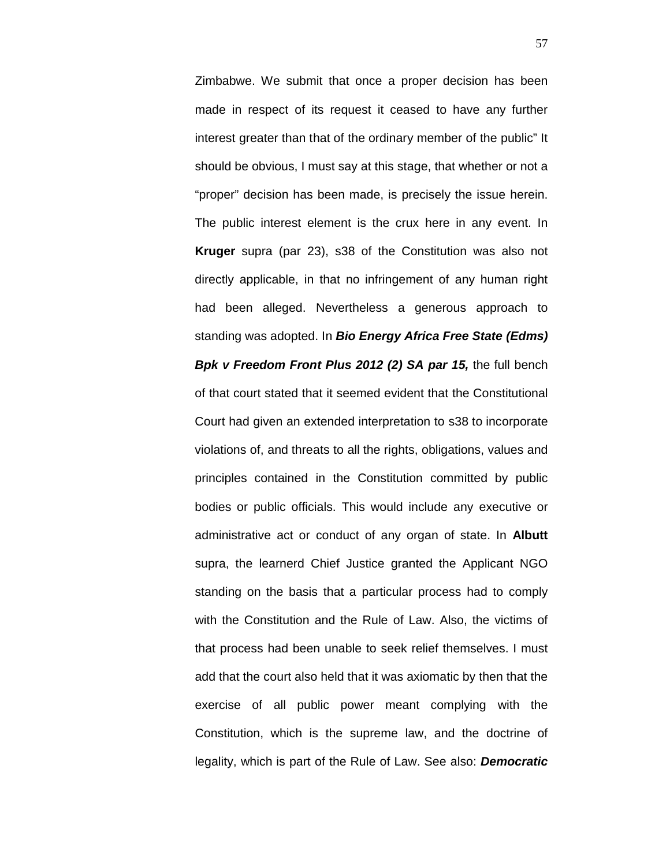Zimbabwe. We submit that once a proper decision has been made in respect of its request it ceased to have any further interest greater than that of the ordinary member of the public" It should be obvious, I must say at this stage, that whether or not a "proper" decision has been made, is precisely the issue herein. The public interest element is the crux here in any event. In **Kruger** supra (par 23), s38 of the Constitution was also not directly applicable, in that no infringement of any human right had been alleged. Nevertheless a generous approach to standing was adopted. In *Bio Energy Africa Free State (Edms) Bpk v Freedom Front Plus 2012 (2) SA par 15,* the full bench of that court stated that it seemed evident that the Constitutional Court had given an extended interpretation to s38 to incorporate violations of, and threats to all the rights, obligations, values and principles contained in the Constitution committed by public bodies or public officials. This would include any executive or administrative act or conduct of any organ of state. In **Albutt**  supra, the learnerd Chief Justice granted the Applicant NGO standing on the basis that a particular process had to comply with the Constitution and the Rule of Law. Also, the victims of that process had been unable to seek relief themselves. I must add that the court also held that it was axiomatic by then that the exercise of all public power meant complying with the Constitution, which is the supreme law, and the doctrine of legality, which is part of the Rule of Law. See also: *Democratic*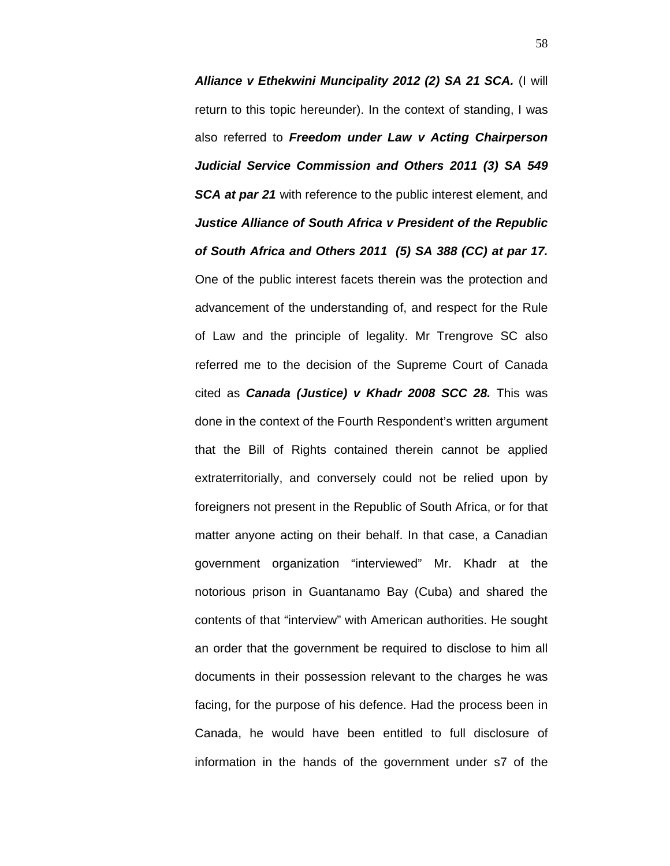*Alliance v Ethekwini Muncipality 2012 (2) SA 21 SCA.* (I will return to this topic hereunder). In the context of standing, I was also referred to *Freedom under Law v Acting Chairperson Judicial Service Commission and Others 2011 (3) SA 549 SCA at par 21* with reference to the public interest element, and *Justice Alliance of South Africa v President of the Republic of South Africa and Others 2011 (5) SA 388 (CC) at par 17.*  One of the public interest facets therein was the protection and advancement of the understanding of, and respect for the Rule of Law and the principle of legality. Mr Trengrove SC also referred me to the decision of the Supreme Court of Canada cited as *Canada (Justice) v Khadr 2008 SCC 28.* This was done in the context of the Fourth Respondent's written argument that the Bill of Rights contained therein cannot be applied extraterritorially, and conversely could not be relied upon by foreigners not present in the Republic of South Africa, or for that matter anyone acting on their behalf. In that case, a Canadian government organization "interviewed" Mr. Khadr at the notorious prison in Guantanamo Bay (Cuba) and shared the contents of that "interview" with American authorities. He sought an order that the government be required to disclose to him all documents in their possession relevant to the charges he was facing, for the purpose of his defence. Had the process been in Canada, he would have been entitled to full disclosure of information in the hands of the government under s7 of the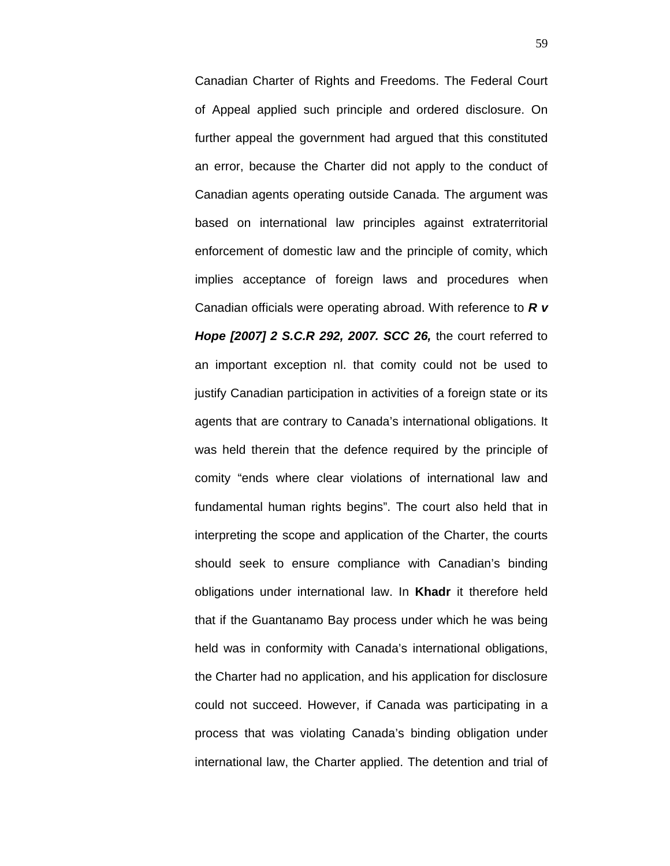Canadian Charter of Rights and Freedoms. The Federal Court of Appeal applied such principle and ordered disclosure. On further appeal the government had argued that this constituted an error, because the Charter did not apply to the conduct of Canadian agents operating outside Canada. The argument was based on international law principles against extraterritorial enforcement of domestic law and the principle of comity, which implies acceptance of foreign laws and procedures when Canadian officials were operating abroad. With reference to *R v Hope [2007] 2 S.C.R 292, 2007. SCC 26,* the court referred to an important exception nl. that comity could not be used to justify Canadian participation in activities of a foreign state or its agents that are contrary to Canada's international obligations. It was held therein that the defence required by the principle of comity "ends where clear violations of international law and fundamental human rights begins". The court also held that in interpreting the scope and application of the Charter, the courts should seek to ensure compliance with Canadian's binding obligations under international law. In **Khadr** it therefore held that if the Guantanamo Bay process under which he was being held was in conformity with Canada's international obligations, the Charter had no application, and his application for disclosure could not succeed. However, if Canada was participating in a process that was violating Canada's binding obligation under international law, the Charter applied. The detention and trial of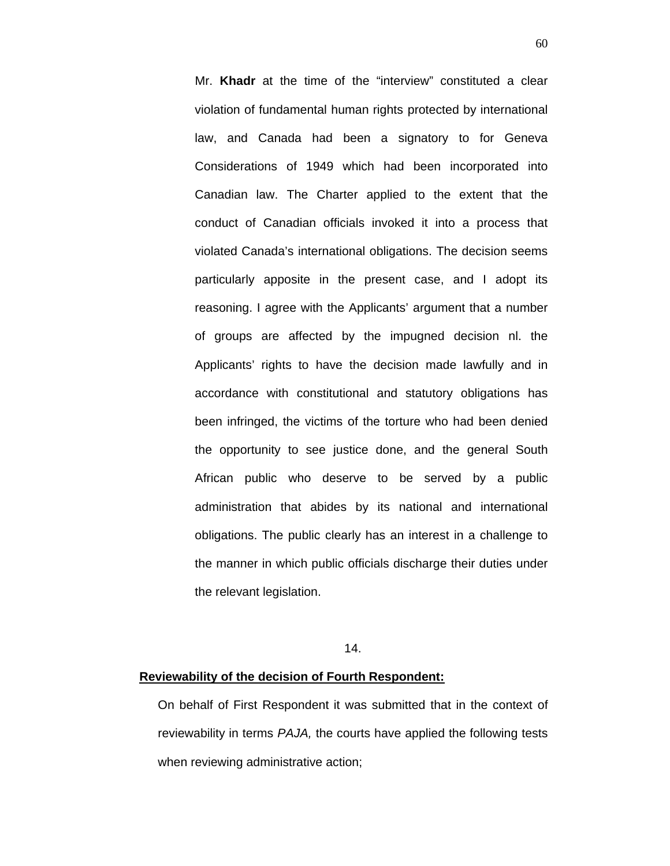Mr. **Khadr** at the time of the "interview" constituted a clear violation of fundamental human rights protected by international law, and Canada had been a signatory to for Geneva Considerations of 1949 which had been incorporated into Canadian law. The Charter applied to the extent that the conduct of Canadian officials invoked it into a process that violated Canada's international obligations. The decision seems particularly apposite in the present case, and I adopt its reasoning. I agree with the Applicants' argument that a number of groups are affected by the impugned decision nl. the Applicants' rights to have the decision made lawfully and in accordance with constitutional and statutory obligations has been infringed, the victims of the torture who had been denied the opportunity to see justice done, and the general South African public who deserve to be served by a public administration that abides by its national and international obligations. The public clearly has an interest in a challenge to the manner in which public officials discharge their duties under the relevant legislation.

## 14.

### **Reviewability of the decision of Fourth Respondent:**

On behalf of First Respondent it was submitted that in the context of reviewability in terms *PAJA,* the courts have applied the following tests when reviewing administrative action;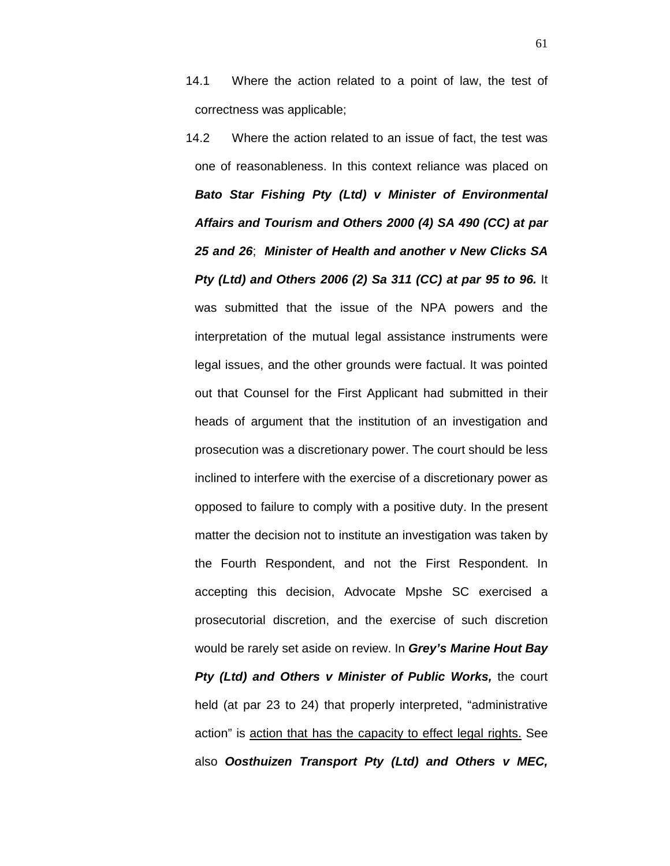14.1 Where the action related to a point of law, the test of correctness was applicable;

14.2 Where the action related to an issue of fact, the test was one of reasonableness. In this context reliance was placed on *Bato Star Fishing Pty (Ltd) v Minister of Environmental Affairs and Tourism and Others 2000 (4) SA 490 (CC) at par 25 and 26*; *Minister of Health and another v New Clicks SA Pty (Ltd) and Others 2006 (2) Sa 311 (CC) at par 95 to 96.* It was submitted that the issue of the NPA powers and the interpretation of the mutual legal assistance instruments were legal issues, and the other grounds were factual. It was pointed out that Counsel for the First Applicant had submitted in their heads of argument that the institution of an investigation and prosecution was a discretionary power. The court should be less inclined to interfere with the exercise of a discretionary power as opposed to failure to comply with a positive duty. In the present matter the decision not to institute an investigation was taken by the Fourth Respondent, and not the First Respondent. In accepting this decision, Advocate Mpshe SC exercised a prosecutorial discretion, and the exercise of such discretion would be rarely set aside on review. In *Grey's Marine Hout Bay Pty (Ltd) and Others v Minister of Public Works, the court* held (at par 23 to 24) that properly interpreted, "administrative action" is action that has the capacity to effect legal rights. See also *Oosthuizen Transport Pty (Ltd) and Others v MEC,* 

61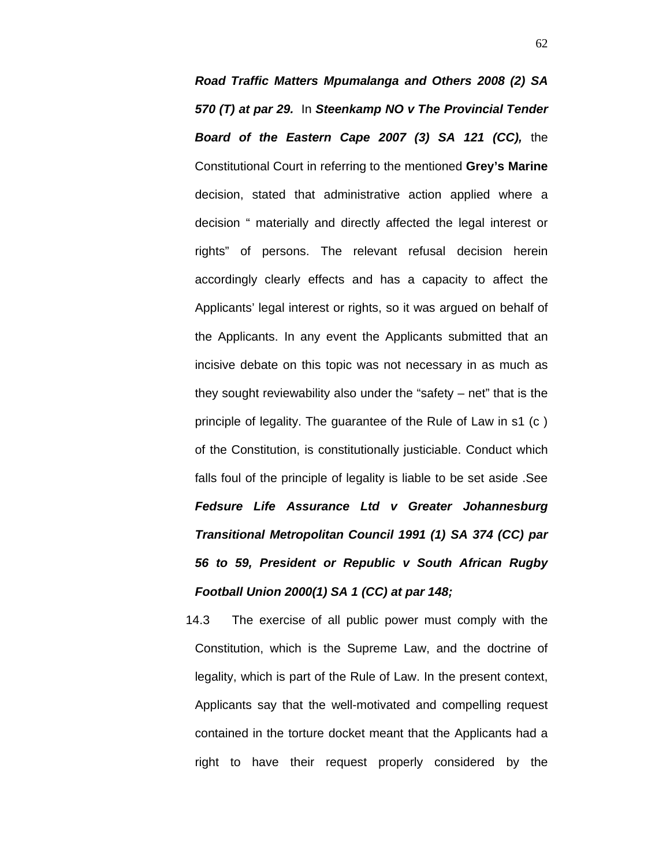*Road Traffic Matters Mpumalanga and Others 2008 (2) SA 570 (T) at par 29.* In *Steenkamp NO v The Provincial Tender Board of the Eastern Cape 2007 (3) SA 121 (CC),* the Constitutional Court in referring to the mentioned **Grey's Marine** decision, stated that administrative action applied where a decision " materially and directly affected the legal interest or rights" of persons. The relevant refusal decision herein accordingly clearly effects and has a capacity to affect the Applicants' legal interest or rights, so it was argued on behalf of the Applicants. In any event the Applicants submitted that an incisive debate on this topic was not necessary in as much as they sought reviewability also under the "safety – net" that is the principle of legality. The guarantee of the Rule of Law in s1 (c ) of the Constitution, is constitutionally justiciable. Conduct which falls foul of the principle of legality is liable to be set aside .See *Fedsure Life Assurance Ltd v Greater Johannesburg Transitional Metropolitan Council 1991 (1) SA 374 (CC) par 56 to 59, President or Republic v South African Rugby Football Union 2000(1) SA 1 (CC) at par 148;*

14.3 The exercise of all public power must comply with the Constitution, which is the Supreme Law, and the doctrine of legality, which is part of the Rule of Law. In the present context, Applicants say that the well-motivated and compelling request contained in the torture docket meant that the Applicants had a right to have their request properly considered by the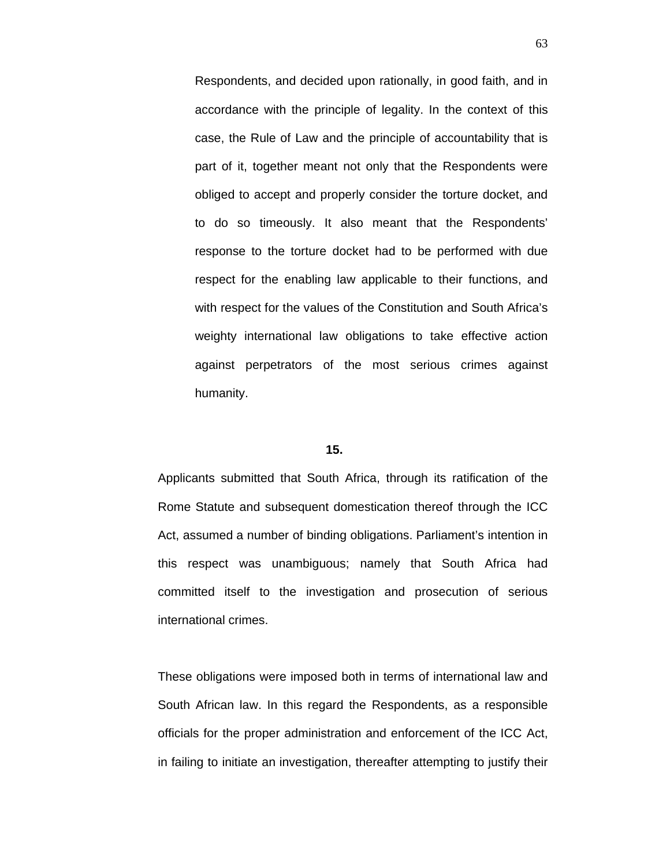Respondents, and decided upon rationally, in good faith, and in accordance with the principle of legality. In the context of this case, the Rule of Law and the principle of accountability that is part of it, together meant not only that the Respondents were obliged to accept and properly consider the torture docket, and to do so timeously. It also meant that the Respondents' response to the torture docket had to be performed with due respect for the enabling law applicable to their functions, and with respect for the values of the Constitution and South Africa's weighty international law obligations to take effective action against perpetrators of the most serious crimes against humanity.

## **15.**

Applicants submitted that South Africa, through its ratification of the Rome Statute and subsequent domestication thereof through the ICC Act, assumed a number of binding obligations. Parliament's intention in this respect was unambiguous; namely that South Africa had committed itself to the investigation and prosecution of serious international crimes.

These obligations were imposed both in terms of international law and South African law. In this regard the Respondents, as a responsible officials for the proper administration and enforcement of the ICC Act, in failing to initiate an investigation, thereafter attempting to justify their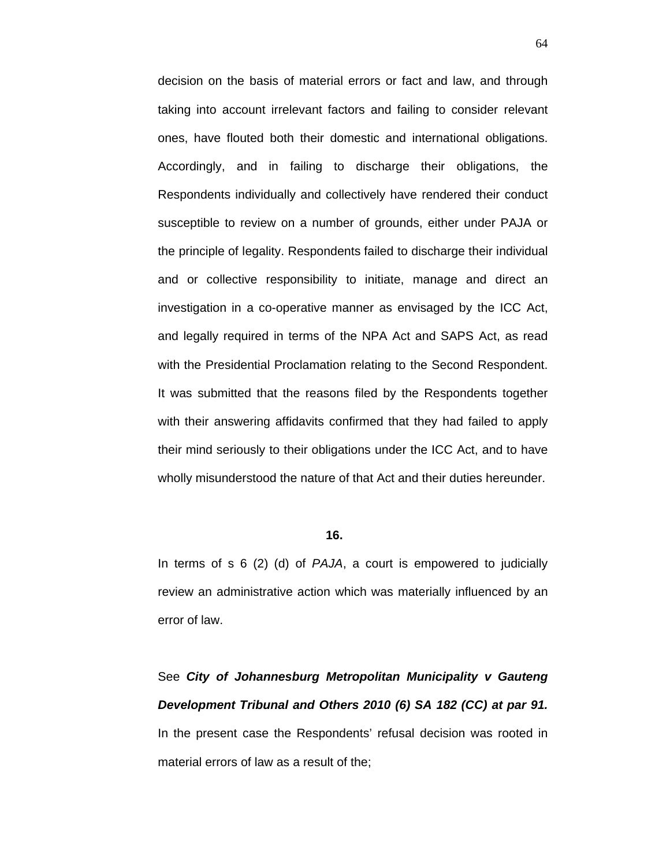decision on the basis of material errors or fact and law, and through taking into account irrelevant factors and failing to consider relevant ones, have flouted both their domestic and international obligations. Accordingly, and in failing to discharge their obligations, the Respondents individually and collectively have rendered their conduct susceptible to review on a number of grounds, either under PAJA or the principle of legality. Respondents failed to discharge their individual and or collective responsibility to initiate, manage and direct an investigation in a co-operative manner as envisaged by the ICC Act, and legally required in terms of the NPA Act and SAPS Act, as read with the Presidential Proclamation relating to the Second Respondent. It was submitted that the reasons filed by the Respondents together with their answering affidavits confirmed that they had failed to apply their mind seriously to their obligations under the ICC Act, and to have wholly misunderstood the nature of that Act and their duties hereunder.

# **16.**

In terms of s 6 (2) (d) of *PAJA*, a court is empowered to judicially review an administrative action which was materially influenced by an error of law.

See *City of Johannesburg Metropolitan Municipality v Gauteng Development Tribunal and Others 2010 (6) SA 182 (CC) at par 91.*  In the present case the Respondents' refusal decision was rooted in material errors of law as a result of the;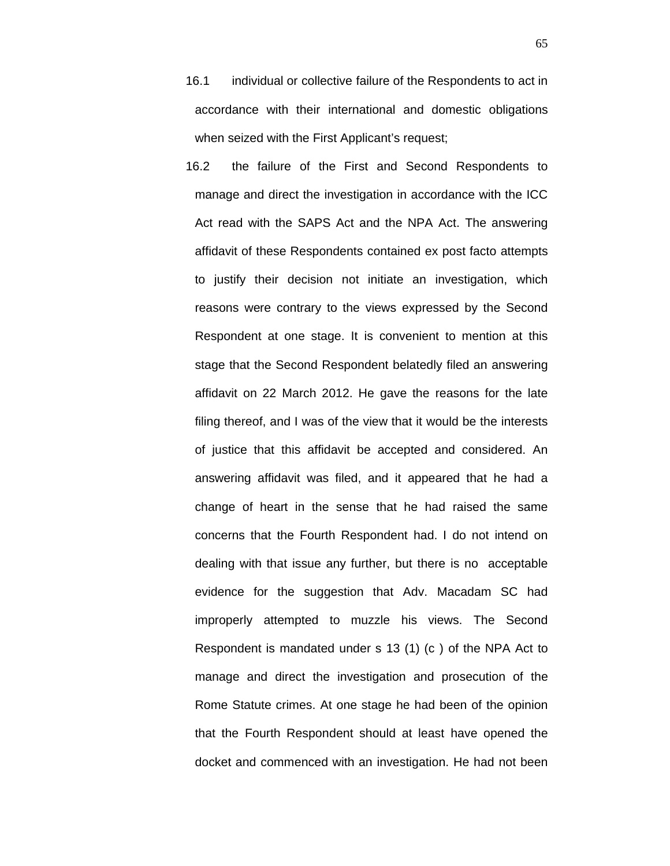16.1 individual or collective failure of the Respondents to act in accordance with their international and domestic obligations when seized with the First Applicant's request;

16.2 the failure of the First and Second Respondents to manage and direct the investigation in accordance with the ICC Act read with the SAPS Act and the NPA Act. The answering affidavit of these Respondents contained ex post facto attempts to justify their decision not initiate an investigation, which reasons were contrary to the views expressed by the Second Respondent at one stage. It is convenient to mention at this stage that the Second Respondent belatedly filed an answering affidavit on 22 March 2012. He gave the reasons for the late filing thereof, and I was of the view that it would be the interests of justice that this affidavit be accepted and considered. An answering affidavit was filed, and it appeared that he had a change of heart in the sense that he had raised the same concerns that the Fourth Respondent had. I do not intend on dealing with that issue any further, but there is no acceptable evidence for the suggestion that Adv. Macadam SC had improperly attempted to muzzle his views. The Second Respondent is mandated under s 13 (1) (c ) of the NPA Act to manage and direct the investigation and prosecution of the Rome Statute crimes. At one stage he had been of the opinion that the Fourth Respondent should at least have opened the docket and commenced with an investigation. He had not been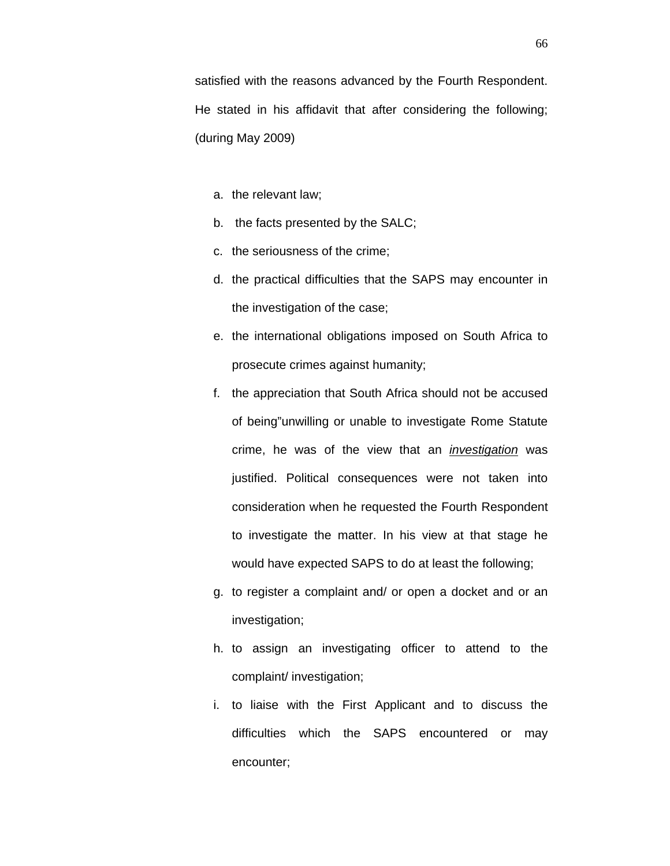satisfied with the reasons advanced by the Fourth Respondent. He stated in his affidavit that after considering the following; (during May 2009)

- a. the relevant law;
- b. the facts presented by the SALC;
- c. the seriousness of the crime;
- d. the practical difficulties that the SAPS may encounter in the investigation of the case;
- e. the international obligations imposed on South Africa to prosecute crimes against humanity;
- f. the appreciation that South Africa should not be accused of being"unwilling or unable to investigate Rome Statute crime, he was of the view that an *investigation* was justified. Political consequences were not taken into consideration when he requested the Fourth Respondent to investigate the matter. In his view at that stage he would have expected SAPS to do at least the following;
- g. to register a complaint and/ or open a docket and or an investigation;
- h. to assign an investigating officer to attend to the complaint/ investigation;
- i. to liaise with the First Applicant and to discuss the difficulties which the SAPS encountered or may encounter;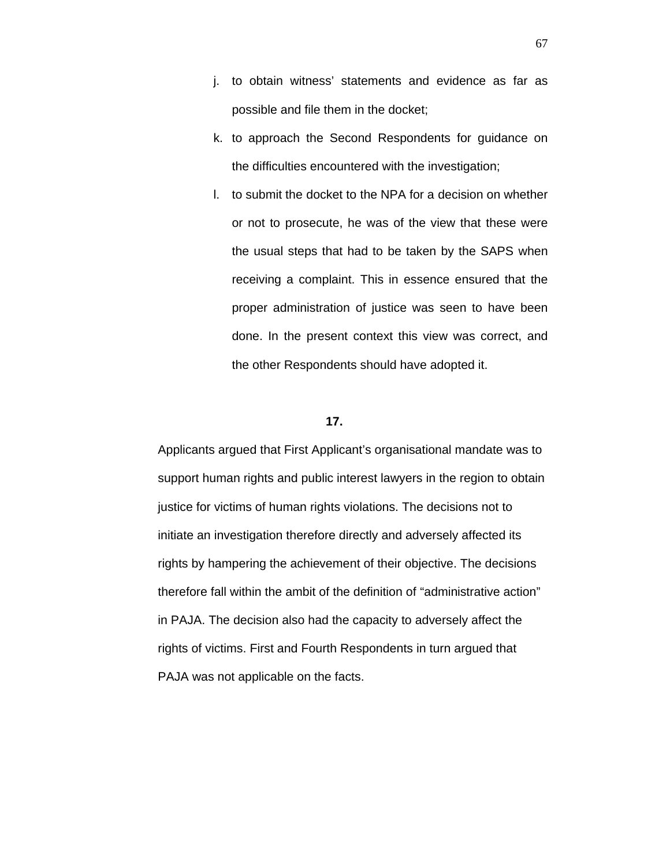- j. to obtain witness' statements and evidence as far as possible and file them in the docket;
- k. to approach the Second Respondents for guidance on the difficulties encountered with the investigation;
- l. to submit the docket to the NPA for a decision on whether or not to prosecute, he was of the view that these were the usual steps that had to be taken by the SAPS when receiving a complaint. This in essence ensured that the proper administration of justice was seen to have been done. In the present context this view was correct, and the other Respondents should have adopted it.

# **17.**

Applicants argued that First Applicant's organisational mandate was to support human rights and public interest lawyers in the region to obtain justice for victims of human rights violations. The decisions not to initiate an investigation therefore directly and adversely affected its rights by hampering the achievement of their objective. The decisions therefore fall within the ambit of the definition of "administrative action" in PAJA. The decision also had the capacity to adversely affect the rights of victims. First and Fourth Respondents in turn argued that PAJA was not applicable on the facts.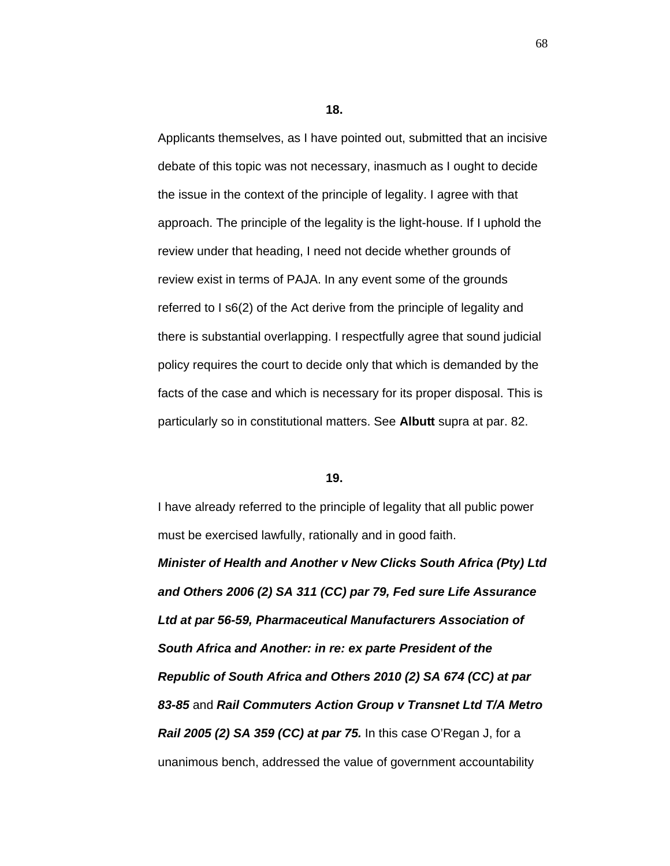**18.**

Applicants themselves, as I have pointed out, submitted that an incisive debate of this topic was not necessary, inasmuch as I ought to decide the issue in the context of the principle of legality. I agree with that approach. The principle of the legality is the light-house. If I uphold the review under that heading, I need not decide whether grounds of review exist in terms of PAJA. In any event some of the grounds referred to I s6(2) of the Act derive from the principle of legality and there is substantial overlapping. I respectfully agree that sound judicial policy requires the court to decide only that which is demanded by the facts of the case and which is necessary for its proper disposal. This is particularly so in constitutional matters. See **Albutt** supra at par. 82.

## **19.**

I have already referred to the principle of legality that all public power must be exercised lawfully, rationally and in good faith. *Minister of Health and Another v New Clicks South Africa (Pty) Ltd and Others 2006 (2) SA 311 (CC) par 79, Fed sure Life Assurance Ltd at par 56-59, Pharmaceutical Manufacturers Association of South Africa and Another: in re: ex parte President of the Republic of South Africa and Others 2010 (2) SA 674 (CC) at par 83-85* and *Rail Commuters Action Group v Transnet Ltd T/A Metro Rail 2005 (2) SA 359 (CC) at par 75.* In this case O'Regan J, for a unanimous bench, addressed the value of government accountability

68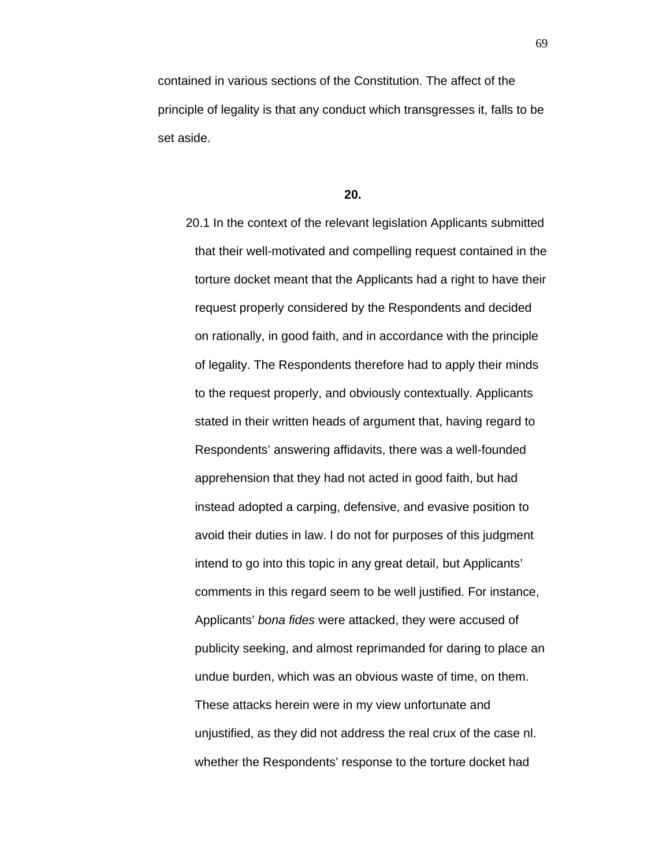contained in various sections of the Constitution. The affect of the principle of legality is that any conduct which transgresses it, falls to be set aside.

### **20.**

20.1 In the context of the relevant legislation Applicants submitted that their well-motivated and compelling request contained in the torture docket meant that the Applicants had a right to have their request properly considered by the Respondents and decided on rationally, in good faith, and in accordance with the principle of legality. The Respondents therefore had to apply their minds to the request properly, and obviously contextually. Applicants stated in their written heads of argument that, having regard to Respondents' answering affidavits, there was a well-founded apprehension that they had not acted in good faith, but had instead adopted a carping, defensive, and evasive position to avoid their duties in law. I do not for purposes of this judgment intend to go into this topic in any great detail, but Applicants' comments in this regard seem to be well justified. For instance, Applicants' *bona fides* were attacked, they were accused of publicity seeking, and almost reprimanded for daring to place an undue burden, which was an obvious waste of time, on them. These attacks herein were in my view unfortunate and unjustified, as they did not address the real crux of the case nl. whether the Respondents' response to the torture docket had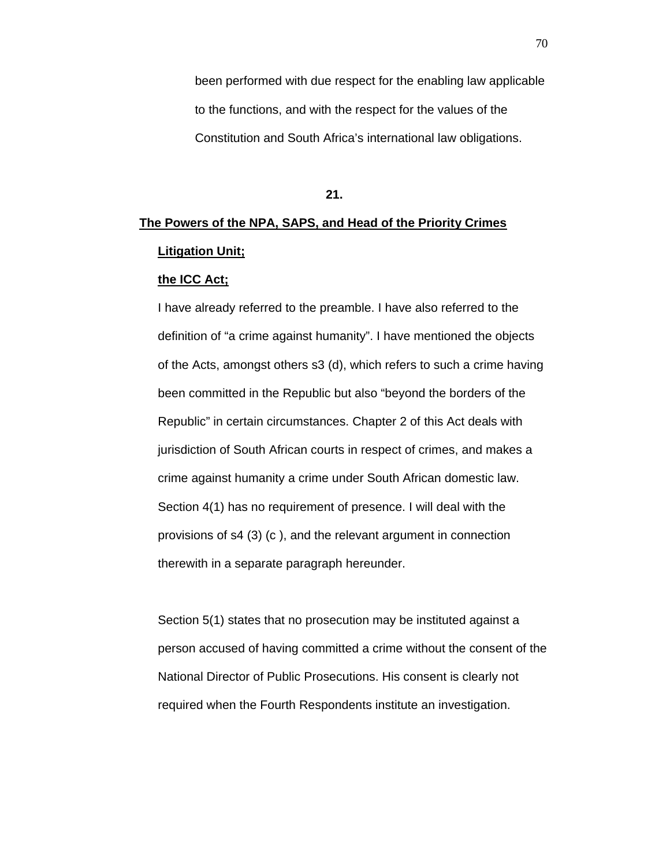been performed with due respect for the enabling law applicable to the functions, and with the respect for the values of the Constitution and South Africa's international law obligations.

#### **21.**

# **The Powers of the NPA, SAPS, and Head of the Priority Crimes Litigation Unit;**

# **the ICC Act;**

I have already referred to the preamble. I have also referred to the definition of "a crime against humanity". I have mentioned the objects of the Acts, amongst others s3 (d), which refers to such a crime having been committed in the Republic but also "beyond the borders of the Republic" in certain circumstances. Chapter 2 of this Act deals with jurisdiction of South African courts in respect of crimes, and makes a crime against humanity a crime under South African domestic law. Section 4(1) has no requirement of presence. I will deal with the provisions of s4 (3) (c ), and the relevant argument in connection therewith in a separate paragraph hereunder.

Section 5(1) states that no prosecution may be instituted against a person accused of having committed a crime without the consent of the National Director of Public Prosecutions. His consent is clearly not required when the Fourth Respondents institute an investigation.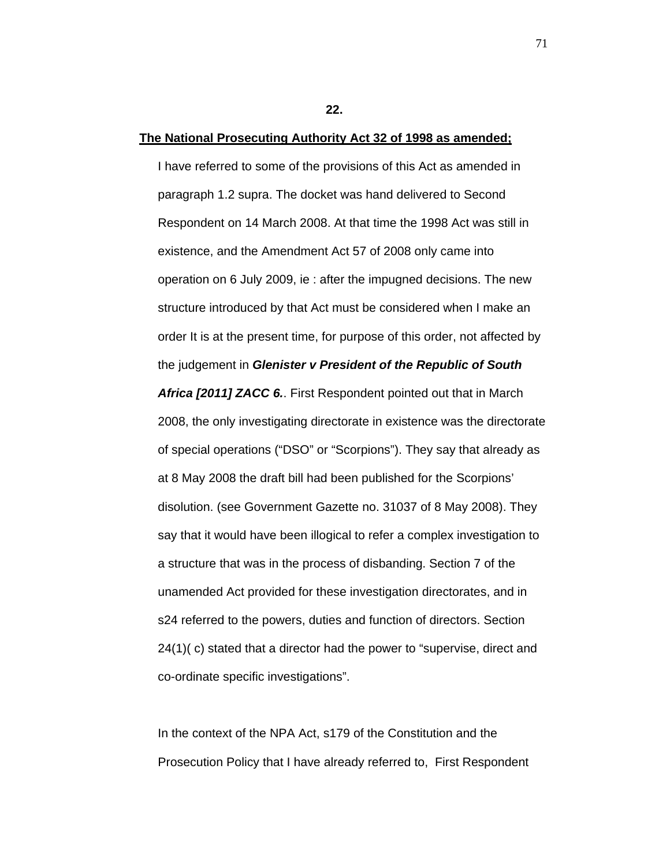**22.**

## **The National Prosecuting Authority Act 32 of 1998 as amended;**

I have referred to some of the provisions of this Act as amended in paragraph 1.2 supra. The docket was hand delivered to Second Respondent on 14 March 2008. At that time the 1998 Act was still in existence, and the Amendment Act 57 of 2008 only came into operation on 6 July 2009, ie : after the impugned decisions. The new structure introduced by that Act must be considered when I make an order It is at the present time, for purpose of this order, not affected by the judgement in *Glenister v President of the Republic of South Africa [2011] ZACC 6.*. First Respondent pointed out that in March 2008, the only investigating directorate in existence was the directorate of special operations ("DSO" or "Scorpions"). They say that already as at 8 May 2008 the draft bill had been published for the Scorpions' disolution. (see Government Gazette no. 31037 of 8 May 2008). They say that it would have been illogical to refer a complex investigation to a structure that was in the process of disbanding. Section 7 of the unamended Act provided for these investigation directorates, and in s24 referred to the powers, duties and function of directors. Section 24(1)( c) stated that a director had the power to "supervise, direct and co-ordinate specific investigations".

In the context of the NPA Act, s179 of the Constitution and the Prosecution Policy that I have already referred to, First Respondent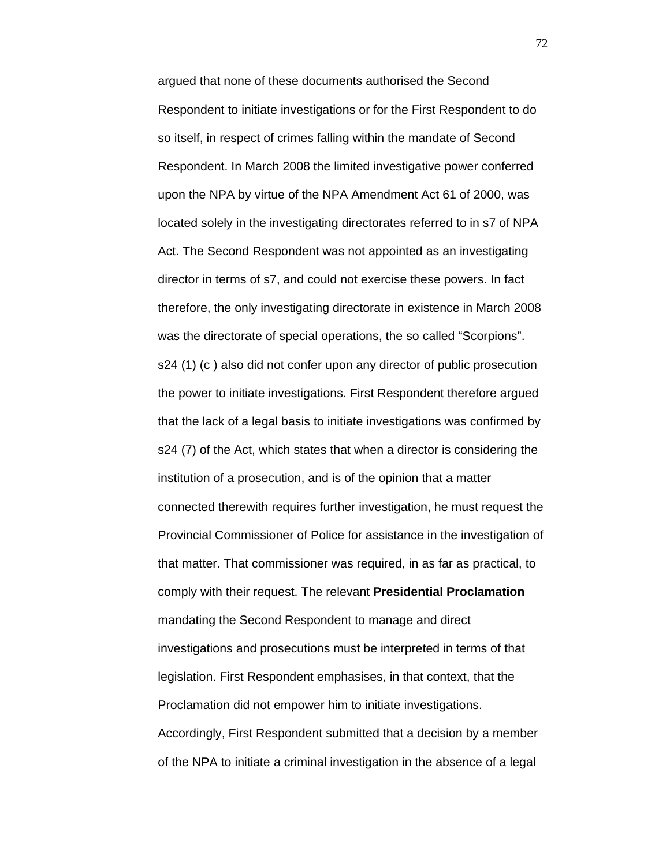argued that none of these documents authorised the Second Respondent to initiate investigations or for the First Respondent to do so itself, in respect of crimes falling within the mandate of Second Respondent. In March 2008 the limited investigative power conferred upon the NPA by virtue of the NPA Amendment Act 61 of 2000, was located solely in the investigating directorates referred to in s7 of NPA Act. The Second Respondent was not appointed as an investigating director in terms of s7, and could not exercise these powers. In fact therefore, the only investigating directorate in existence in March 2008 was the directorate of special operations, the so called "Scorpions". s24 (1) (c ) also did not confer upon any director of public prosecution the power to initiate investigations. First Respondent therefore argued that the lack of a legal basis to initiate investigations was confirmed by s24 (7) of the Act, which states that when a director is considering the institution of a prosecution, and is of the opinion that a matter connected therewith requires further investigation, he must request the Provincial Commissioner of Police for assistance in the investigation of that matter. That commissioner was required, in as far as practical, to comply with their request. The relevant **Presidential Proclamation** mandating the Second Respondent to manage and direct investigations and prosecutions must be interpreted in terms of that legislation. First Respondent emphasises, in that context, that the Proclamation did not empower him to initiate investigations. Accordingly, First Respondent submitted that a decision by a member of the NPA to initiate a criminal investigation in the absence of a legal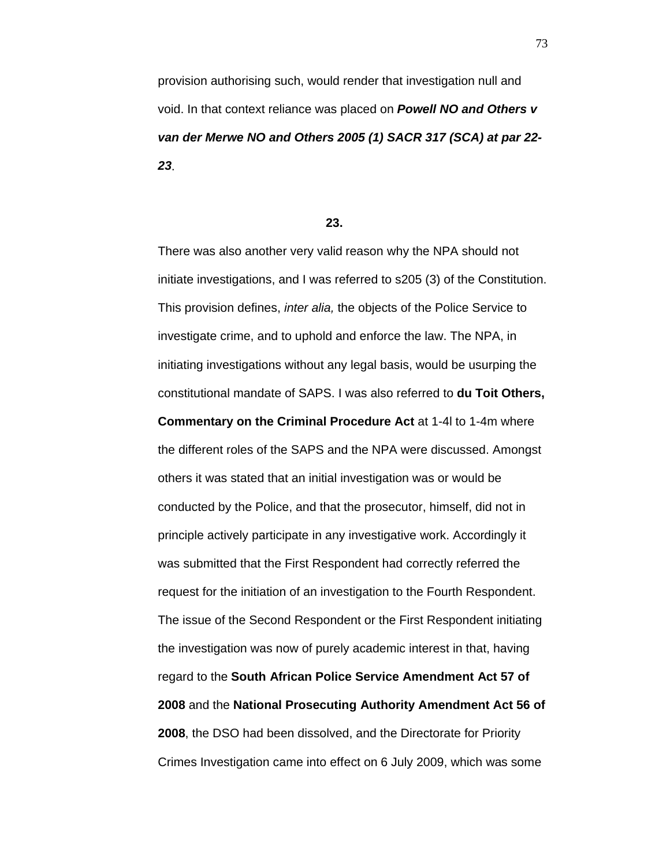provision authorising such, would render that investigation null and void. In that context reliance was placed on *Powell NO and Others v van der Merwe NO and Others 2005 (1) SACR 317 (SCA) at par 22- 23*.

#### **23.**

There was also another very valid reason why the NPA should not initiate investigations, and I was referred to s205 (3) of the Constitution. This provision defines, *inter alia,* the objects of the Police Service to investigate crime, and to uphold and enforce the law. The NPA, in initiating investigations without any legal basis, would be usurping the constitutional mandate of SAPS. I was also referred to **du Toit Others, Commentary on the Criminal Procedure Act** at 1-4l to 1-4m where the different roles of the SAPS and the NPA were discussed. Amongst others it was stated that an initial investigation was or would be conducted by the Police, and that the prosecutor, himself, did not in principle actively participate in any investigative work. Accordingly it was submitted that the First Respondent had correctly referred the request for the initiation of an investigation to the Fourth Respondent. The issue of the Second Respondent or the First Respondent initiating the investigation was now of purely academic interest in that, having regard to the **South African Police Service Amendment Act 57 of 2008** and the **National Prosecuting Authority Amendment Act 56 of 2008**, the DSO had been dissolved, and the Directorate for Priority Crimes Investigation came into effect on 6 July 2009, which was some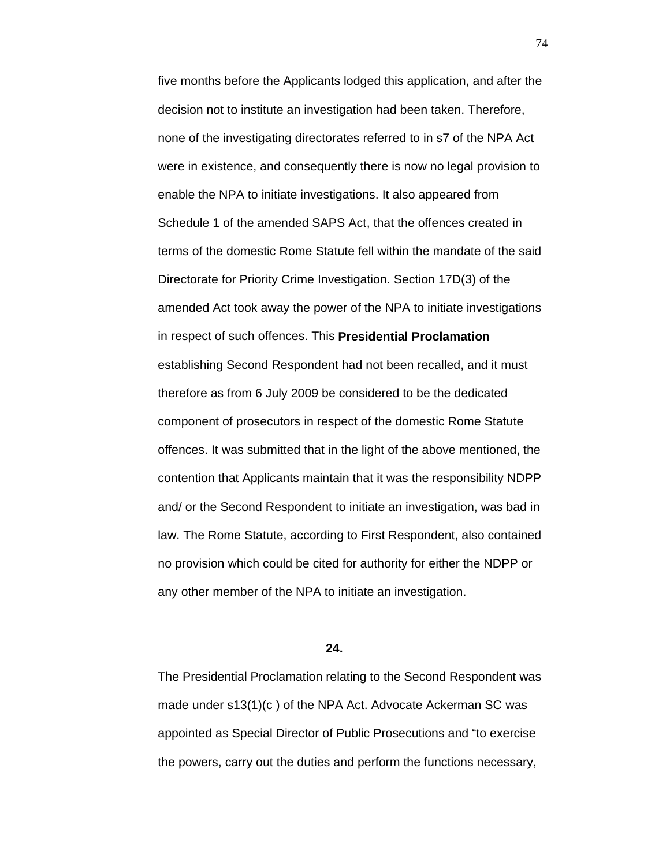five months before the Applicants lodged this application, and after the decision not to institute an investigation had been taken. Therefore, none of the investigating directorates referred to in s7 of the NPA Act were in existence, and consequently there is now no legal provision to enable the NPA to initiate investigations. It also appeared from Schedule 1 of the amended SAPS Act, that the offences created in terms of the domestic Rome Statute fell within the mandate of the said Directorate for Priority Crime Investigation. Section 17D(3) of the amended Act took away the power of the NPA to initiate investigations in respect of such offences. This **Presidential Proclamation** establishing Second Respondent had not been recalled, and it must therefore as from 6 July 2009 be considered to be the dedicated component of prosecutors in respect of the domestic Rome Statute offences. It was submitted that in the light of the above mentioned, the contention that Applicants maintain that it was the responsibility NDPP and/ or the Second Respondent to initiate an investigation, was bad in law. The Rome Statute, according to First Respondent, also contained no provision which could be cited for authority for either the NDPP or any other member of the NPA to initiate an investigation.

### **24.**

The Presidential Proclamation relating to the Second Respondent was made under s13(1)(c ) of the NPA Act. Advocate Ackerman SC was appointed as Special Director of Public Prosecutions and "to exercise the powers, carry out the duties and perform the functions necessary,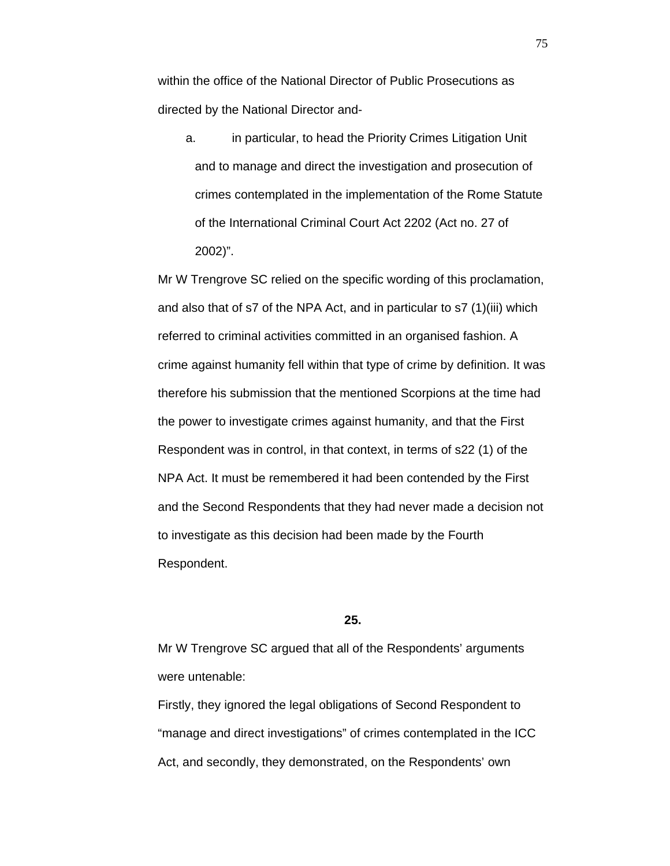within the office of the National Director of Public Prosecutions as directed by the National Director and-

a. in particular, to head the Priority Crimes Litigation Unit and to manage and direct the investigation and prosecution of crimes contemplated in the implementation of the Rome Statute of the International Criminal Court Act 2202 (Act no. 27 of 2002)".

Mr W Trengrove SC relied on the specific wording of this proclamation, and also that of s7 of the NPA Act, and in particular to s7 (1)(iii) which referred to criminal activities committed in an organised fashion. A crime against humanity fell within that type of crime by definition. It was therefore his submission that the mentioned Scorpions at the time had the power to investigate crimes against humanity, and that the First Respondent was in control, in that context, in terms of s22 (1) of the NPA Act. It must be remembered it had been contended by the First and the Second Respondents that they had never made a decision not to investigate as this decision had been made by the Fourth Respondent.

## **25.**

Mr W Trengrove SC argued that all of the Respondents' arguments were untenable:

Firstly, they ignored the legal obligations of Second Respondent to "manage and direct investigations" of crimes contemplated in the ICC Act, and secondly, they demonstrated, on the Respondents' own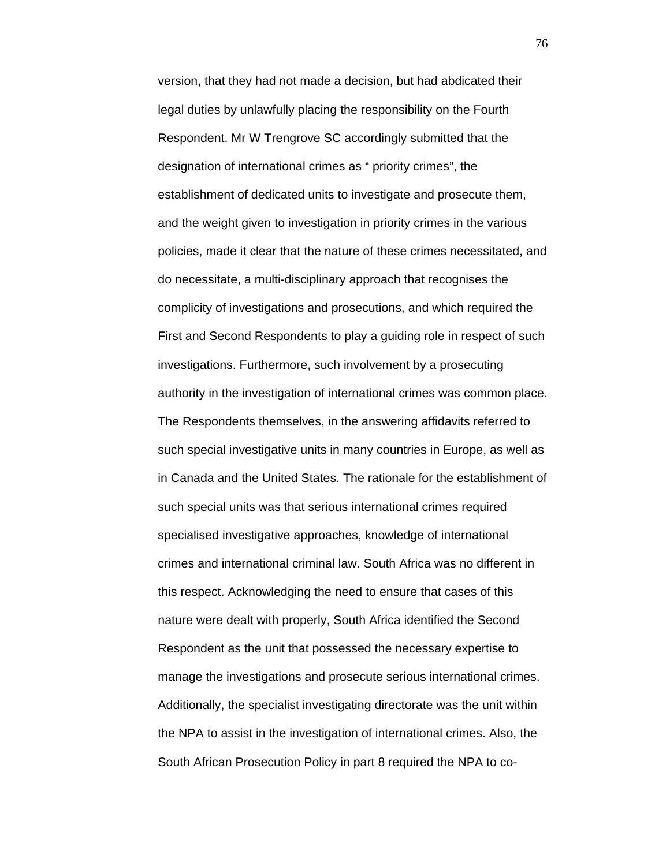version, that they had not made a decision, but had abdicated their legal duties by unlawfully placing the responsibility on the Fourth Respondent. Mr W Trengrove SC accordingly submitted that the designation of international crimes as " priority crimes", the establishment of dedicated units to investigate and prosecute them, and the weight given to investigation in priority crimes in the various policies, made it clear that the nature of these crimes necessitated, and do necessitate, a multi-disciplinary approach that recognises the complicity of investigations and prosecutions, and which required the First and Second Respondents to play a guiding role in respect of such investigations. Furthermore, such involvement by a prosecuting authority in the investigation of international crimes was common place. The Respondents themselves, in the answering affidavits referred to such special investigative units in many countries in Europe, as well as in Canada and the United States. The rationale for the establishment of such special units was that serious international crimes required specialised investigative approaches, knowledge of international crimes and international criminal law. South Africa was no different in this respect. Acknowledging the need to ensure that cases of this nature were dealt with properly, South Africa identified the Second Respondent as the unit that possessed the necessary expertise to manage the investigations and prosecute serious international crimes. Additionally, the specialist investigating directorate was the unit within the NPA to assist in the investigation of international crimes. Also, the South African Prosecution Policy in part 8 required the NPA to co-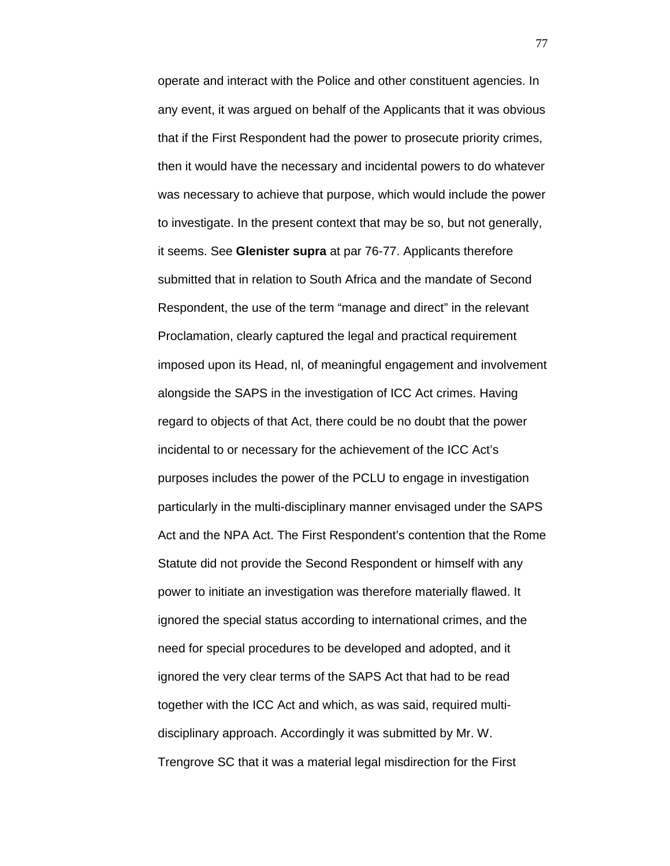operate and interact with the Police and other constituent agencies. In any event, it was argued on behalf of the Applicants that it was obvious that if the First Respondent had the power to prosecute priority crimes, then it would have the necessary and incidental powers to do whatever was necessary to achieve that purpose, which would include the power to investigate. In the present context that may be so, but not generally, it seems. See **Glenister supra** at par 76-77. Applicants therefore submitted that in relation to South Africa and the mandate of Second Respondent, the use of the term "manage and direct" in the relevant Proclamation, clearly captured the legal and practical requirement imposed upon its Head, nl, of meaningful engagement and involvement alongside the SAPS in the investigation of ICC Act crimes. Having regard to objects of that Act, there could be no doubt that the power incidental to or necessary for the achievement of the ICC Act's purposes includes the power of the PCLU to engage in investigation particularly in the multi-disciplinary manner envisaged under the SAPS Act and the NPA Act. The First Respondent's contention that the Rome Statute did not provide the Second Respondent or himself with any power to initiate an investigation was therefore materially flawed. It ignored the special status according to international crimes, and the need for special procedures to be developed and adopted, and it ignored the very clear terms of the SAPS Act that had to be read together with the ICC Act and which, as was said, required multidisciplinary approach. Accordingly it was submitted by Mr. W. Trengrove SC that it was a material legal misdirection for the First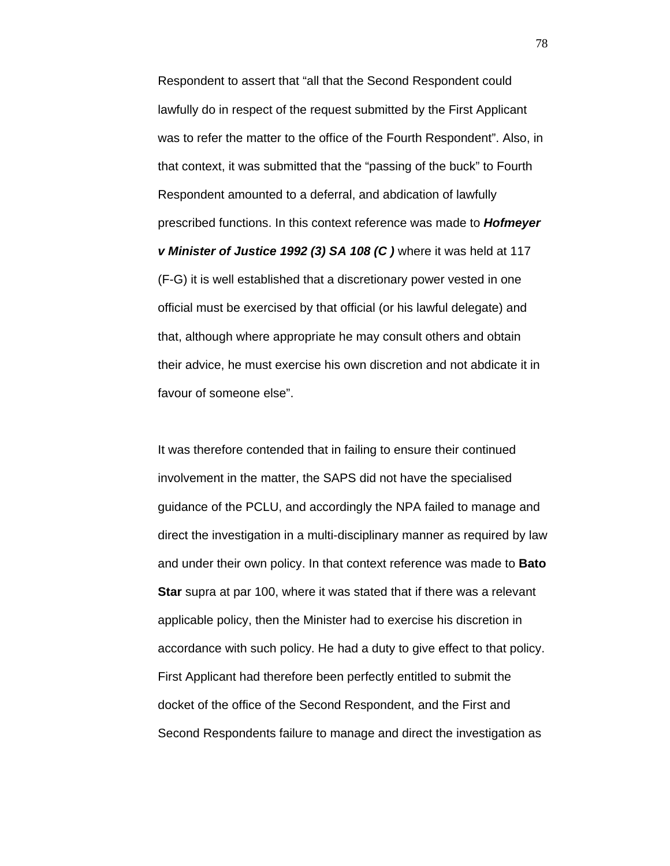Respondent to assert that "all that the Second Respondent could lawfully do in respect of the request submitted by the First Applicant was to refer the matter to the office of the Fourth Respondent". Also, in that context, it was submitted that the "passing of the buck" to Fourth Respondent amounted to a deferral, and abdication of lawfully prescribed functions. In this context reference was made to *Hofmeyer v Minister of Justice 1992 (3) SA 108 (C )* where it was held at 117 (F-G) it is well established that a discretionary power vested in one official must be exercised by that official (or his lawful delegate) and that, although where appropriate he may consult others and obtain their advice, he must exercise his own discretion and not abdicate it in favour of someone else".

It was therefore contended that in failing to ensure their continued involvement in the matter, the SAPS did not have the specialised guidance of the PCLU, and accordingly the NPA failed to manage and direct the investigation in a multi-disciplinary manner as required by law and under their own policy. In that context reference was made to **Bato Star** supra at par 100, where it was stated that if there was a relevant applicable policy, then the Minister had to exercise his discretion in accordance with such policy. He had a duty to give effect to that policy. First Applicant had therefore been perfectly entitled to submit the docket of the office of the Second Respondent, and the First and Second Respondents failure to manage and direct the investigation as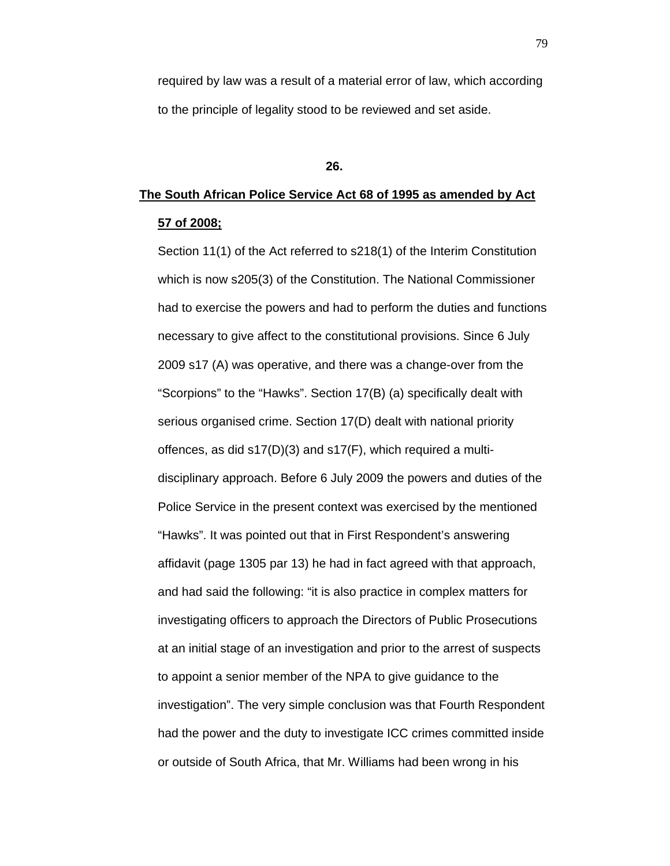required by law was a result of a material error of law, which according to the principle of legality stood to be reviewed and set aside.

## **26.**

# **The South African Police Service Act 68 of 1995 as amended by Act 57 of 2008;**

Section 11(1) of the Act referred to s218(1) of the Interim Constitution which is now s205(3) of the Constitution. The National Commissioner had to exercise the powers and had to perform the duties and functions necessary to give affect to the constitutional provisions. Since 6 July 2009 s17 (A) was operative, and there was a change-over from the "Scorpions" to the "Hawks". Section 17(B) (a) specifically dealt with serious organised crime. Section 17(D) dealt with national priority offences, as did s17(D)(3) and s17(F), which required a multidisciplinary approach. Before 6 July 2009 the powers and duties of the Police Service in the present context was exercised by the mentioned "Hawks". It was pointed out that in First Respondent's answering affidavit (page 1305 par 13) he had in fact agreed with that approach, and had said the following: "it is also practice in complex matters for investigating officers to approach the Directors of Public Prosecutions at an initial stage of an investigation and prior to the arrest of suspects to appoint a senior member of the NPA to give guidance to the investigation". The very simple conclusion was that Fourth Respondent had the power and the duty to investigate ICC crimes committed inside or outside of South Africa, that Mr. Williams had been wrong in his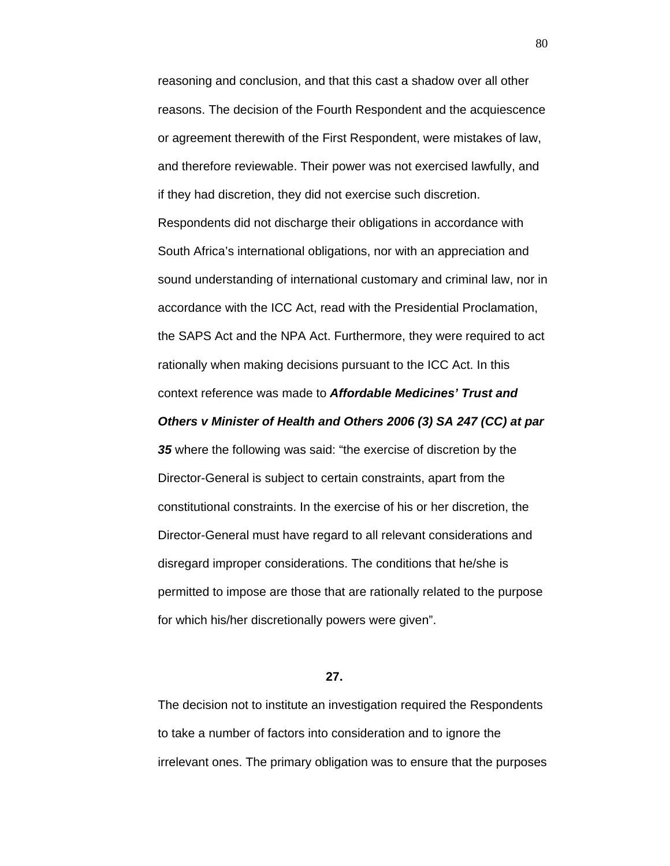reasoning and conclusion, and that this cast a shadow over all other reasons. The decision of the Fourth Respondent and the acquiescence or agreement therewith of the First Respondent, were mistakes of law, and therefore reviewable. Their power was not exercised lawfully, and if they had discretion, they did not exercise such discretion. Respondents did not discharge their obligations in accordance with South Africa's international obligations, nor with an appreciation and sound understanding of international customary and criminal law, nor in accordance with the ICC Act, read with the Presidential Proclamation, the SAPS Act and the NPA Act. Furthermore, they were required to act rationally when making decisions pursuant to the ICC Act. In this context reference was made to *Affordable Medicines' Trust and* 

## *Others v Minister of Health and Others 2006 (3) SA 247 (CC) at par*

*35* where the following was said: "the exercise of discretion by the Director-General is subject to certain constraints, apart from the constitutional constraints. In the exercise of his or her discretion, the Director-General must have regard to all relevant considerations and disregard improper considerations. The conditions that he/she is permitted to impose are those that are rationally related to the purpose for which his/her discretionally powers were given".

**27.**

The decision not to institute an investigation required the Respondents to take a number of factors into consideration and to ignore the irrelevant ones. The primary obligation was to ensure that the purposes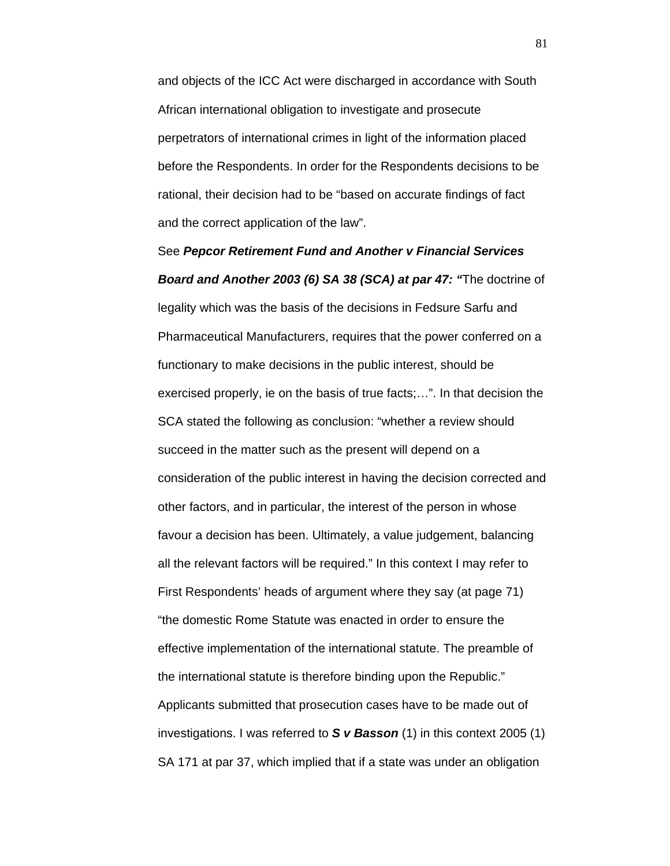and objects of the ICC Act were discharged in accordance with South African international obligation to investigate and prosecute perpetrators of international crimes in light of the information placed before the Respondents. In order for the Respondents decisions to be rational, their decision had to be "based on accurate findings of fact and the correct application of the law".

See *Pepcor Retirement Fund and Another v Financial Services Board and Another 2003 (6) SA 38 (SCA) at par 47: "*The doctrine of legality which was the basis of the decisions in Fedsure Sarfu and Pharmaceutical Manufacturers, requires that the power conferred on a functionary to make decisions in the public interest, should be exercised properly, ie on the basis of true facts;…". In that decision the SCA stated the following as conclusion: "whether a review should succeed in the matter such as the present will depend on a consideration of the public interest in having the decision corrected and other factors, and in particular, the interest of the person in whose favour a decision has been. Ultimately, a value judgement, balancing all the relevant factors will be required." In this context I may refer to First Respondents' heads of argument where they say (at page 71) "the domestic Rome Statute was enacted in order to ensure the effective implementation of the international statute. The preamble of the international statute is therefore binding upon the Republic." Applicants submitted that prosecution cases have to be made out of investigations. I was referred to *S v Basson* (1) in this context 2005 (1) SA 171 at par 37, which implied that if a state was under an obligation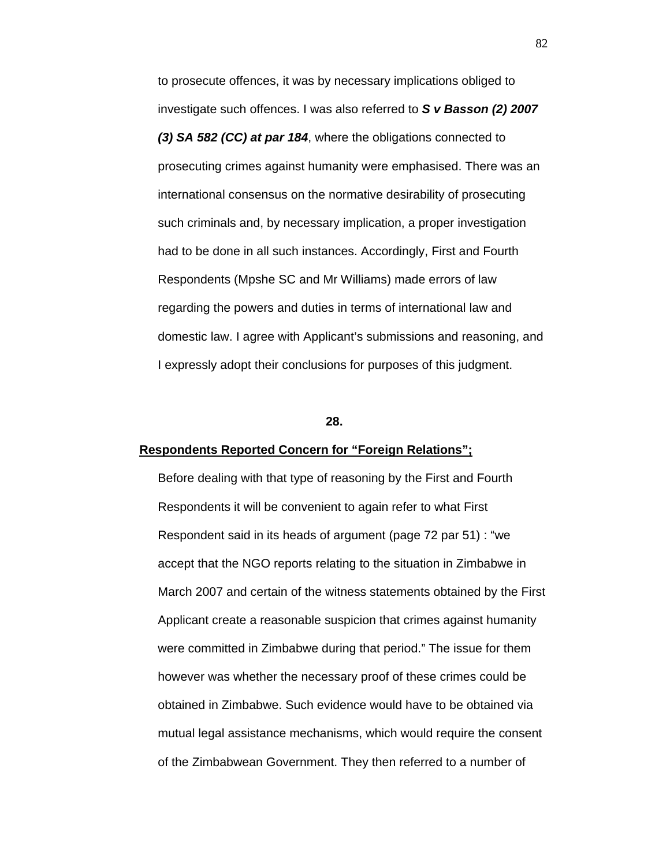to prosecute offences, it was by necessary implications obliged to investigate such offences. I was also referred to *S v Basson (2) 2007 (3) SA 582 (CC) at par 184*, where the obligations connected to prosecuting crimes against humanity were emphasised. There was an international consensus on the normative desirability of prosecuting such criminals and, by necessary implication, a proper investigation had to be done in all such instances. Accordingly, First and Fourth Respondents (Mpshe SC and Mr Williams) made errors of law regarding the powers and duties in terms of international law and domestic law. I agree with Applicant's submissions and reasoning, and I expressly adopt their conclusions for purposes of this judgment.

## **28.**

#### **Respondents Reported Concern for "Foreign Relations";**

Before dealing with that type of reasoning by the First and Fourth Respondents it will be convenient to again refer to what First Respondent said in its heads of argument (page 72 par 51) : "we accept that the NGO reports relating to the situation in Zimbabwe in March 2007 and certain of the witness statements obtained by the First Applicant create a reasonable suspicion that crimes against humanity were committed in Zimbabwe during that period." The issue for them however was whether the necessary proof of these crimes could be obtained in Zimbabwe. Such evidence would have to be obtained via mutual legal assistance mechanisms, which would require the consent of the Zimbabwean Government. They then referred to a number of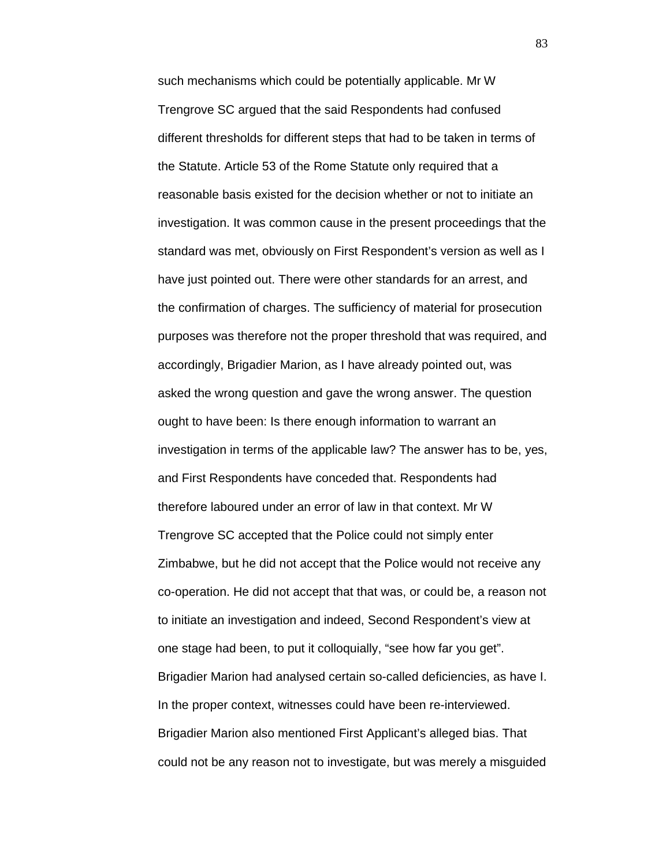such mechanisms which could be potentially applicable. Mr W Trengrove SC argued that the said Respondents had confused different thresholds for different steps that had to be taken in terms of the Statute. Article 53 of the Rome Statute only required that a reasonable basis existed for the decision whether or not to initiate an investigation. It was common cause in the present proceedings that the standard was met, obviously on First Respondent's version as well as I have just pointed out. There were other standards for an arrest, and the confirmation of charges. The sufficiency of material for prosecution purposes was therefore not the proper threshold that was required, and accordingly, Brigadier Marion, as I have already pointed out, was asked the wrong question and gave the wrong answer. The question ought to have been: Is there enough information to warrant an investigation in terms of the applicable law? The answer has to be, yes, and First Respondents have conceded that. Respondents had therefore laboured under an error of law in that context. Mr W Trengrove SC accepted that the Police could not simply enter Zimbabwe, but he did not accept that the Police would not receive any co-operation. He did not accept that that was, or could be, a reason not to initiate an investigation and indeed, Second Respondent's view at one stage had been, to put it colloquially, "see how far you get". Brigadier Marion had analysed certain so-called deficiencies, as have I. In the proper context, witnesses could have been re-interviewed. Brigadier Marion also mentioned First Applicant's alleged bias. That could not be any reason not to investigate, but was merely a misguided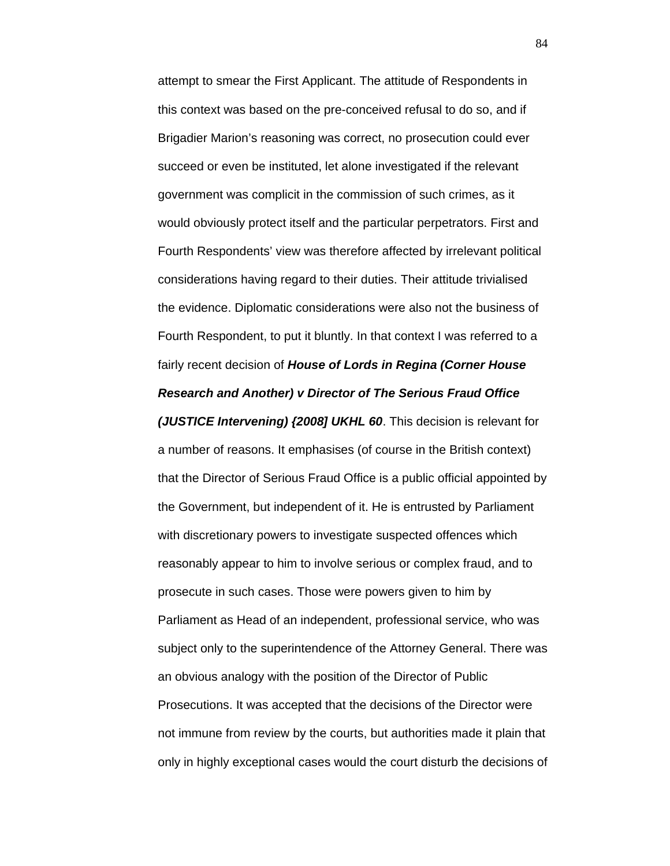attempt to smear the First Applicant. The attitude of Respondents in this context was based on the pre-conceived refusal to do so, and if Brigadier Marion's reasoning was correct, no prosecution could ever succeed or even be instituted, let alone investigated if the relevant government was complicit in the commission of such crimes, as it would obviously protect itself and the particular perpetrators. First and Fourth Respondents' view was therefore affected by irrelevant political considerations having regard to their duties. Their attitude trivialised the evidence. Diplomatic considerations were also not the business of Fourth Respondent, to put it bluntly. In that context I was referred to a fairly recent decision of *House of Lords in Regina (Corner House Research and Another) v Director of The Serious Fraud Office* 

*(JUSTICE Intervening) {2008] UKHL 60*. This decision is relevant for a number of reasons. It emphasises (of course in the British context) that the Director of Serious Fraud Office is a public official appointed by the Government, but independent of it. He is entrusted by Parliament with discretionary powers to investigate suspected offences which reasonably appear to him to involve serious or complex fraud, and to prosecute in such cases. Those were powers given to him by Parliament as Head of an independent, professional service, who was subject only to the superintendence of the Attorney General. There was an obvious analogy with the position of the Director of Public Prosecutions. It was accepted that the decisions of the Director were not immune from review by the courts, but authorities made it plain that only in highly exceptional cases would the court disturb the decisions of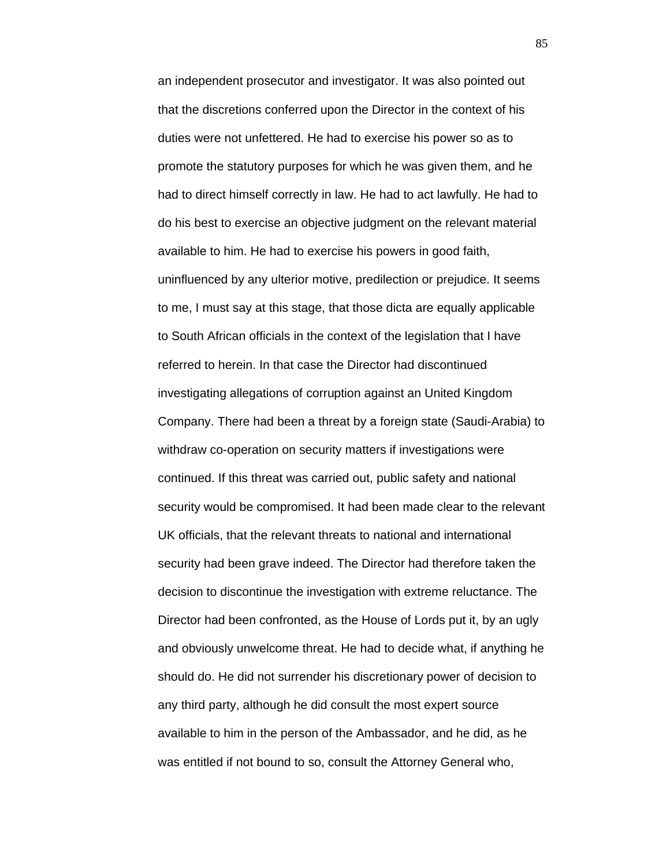an independent prosecutor and investigator. It was also pointed out that the discretions conferred upon the Director in the context of his duties were not unfettered. He had to exercise his power so as to promote the statutory purposes for which he was given them, and he had to direct himself correctly in law. He had to act lawfully. He had to do his best to exercise an objective judgment on the relevant material available to him. He had to exercise his powers in good faith, uninfluenced by any ulterior motive, predilection or prejudice. It seems to me, I must say at this stage, that those dicta are equally applicable to South African officials in the context of the legislation that I have referred to herein. In that case the Director had discontinued investigating allegations of corruption against an United Kingdom Company. There had been a threat by a foreign state (Saudi-Arabia) to withdraw co-operation on security matters if investigations were continued. If this threat was carried out, public safety and national security would be compromised. It had been made clear to the relevant UK officials, that the relevant threats to national and international security had been grave indeed. The Director had therefore taken the decision to discontinue the investigation with extreme reluctance. The Director had been confronted, as the House of Lords put it, by an ugly and obviously unwelcome threat. He had to decide what, if anything he should do. He did not surrender his discretionary power of decision to any third party, although he did consult the most expert source available to him in the person of the Ambassador, and he did, as he was entitled if not bound to so, consult the Attorney General who,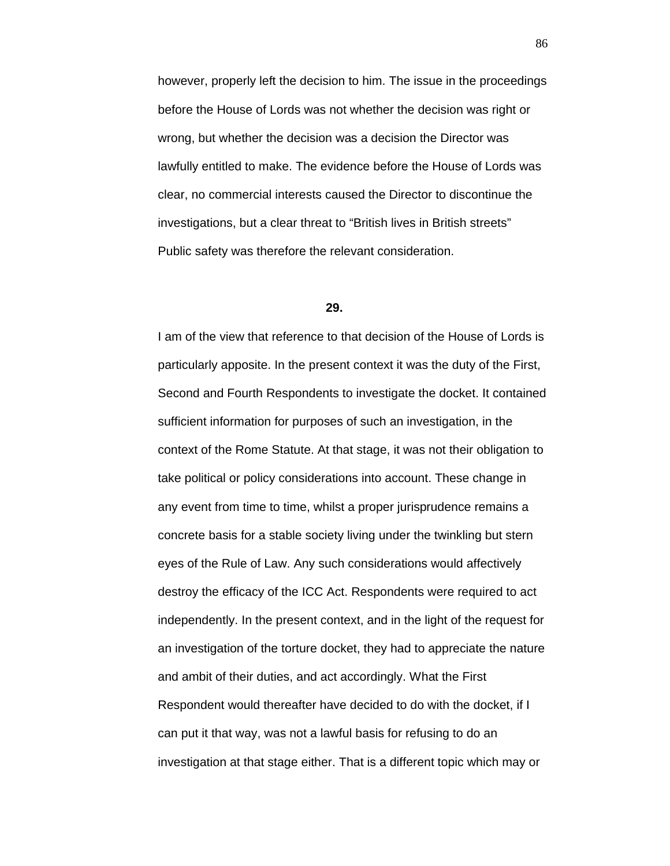however, properly left the decision to him. The issue in the proceedings before the House of Lords was not whether the decision was right or wrong, but whether the decision was a decision the Director was lawfully entitled to make. The evidence before the House of Lords was clear, no commercial interests caused the Director to discontinue the investigations, but a clear threat to "British lives in British streets" Public safety was therefore the relevant consideration.

## **29.**

I am of the view that reference to that decision of the House of Lords is particularly apposite. In the present context it was the duty of the First, Second and Fourth Respondents to investigate the docket. It contained sufficient information for purposes of such an investigation, in the context of the Rome Statute. At that stage, it was not their obligation to take political or policy considerations into account. These change in any event from time to time, whilst a proper jurisprudence remains a concrete basis for a stable society living under the twinkling but stern eyes of the Rule of Law. Any such considerations would affectively destroy the efficacy of the ICC Act. Respondents were required to act independently. In the present context, and in the light of the request for an investigation of the torture docket, they had to appreciate the nature and ambit of their duties, and act accordingly. What the First Respondent would thereafter have decided to do with the docket, if I can put it that way, was not a lawful basis for refusing to do an investigation at that stage either. That is a different topic which may or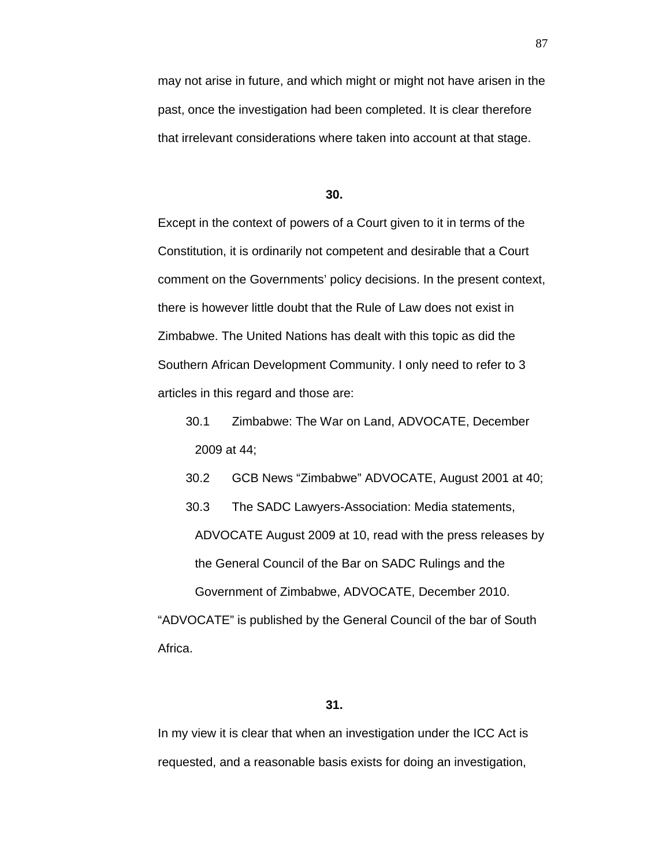may not arise in future, and which might or might not have arisen in the past, once the investigation had been completed. It is clear therefore that irrelevant considerations where taken into account at that stage.

#### **30.**

Except in the context of powers of a Court given to it in terms of the Constitution, it is ordinarily not competent and desirable that a Court comment on the Governments' policy decisions. In the present context, there is however little doubt that the Rule of Law does not exist in Zimbabwe. The United Nations has dealt with this topic as did the Southern African Development Community. I only need to refer to 3 articles in this regard and those are:

30.1 Zimbabwe: The War on Land, ADVOCATE, December 2009 at 44;

30.2 GCB News "Zimbabwe" ADVOCATE, August 2001 at 40;

30.3 The SADC Lawyers-Association: Media statements,

ADVOCATE August 2009 at 10, read with the press releases by the General Council of the Bar on SADC Rulings and the

Government of Zimbabwe, ADVOCATE, December 2010. "ADVOCATE" is published by the General Council of the bar of South Africa.

## **31.**

In my view it is clear that when an investigation under the ICC Act is requested, and a reasonable basis exists for doing an investigation,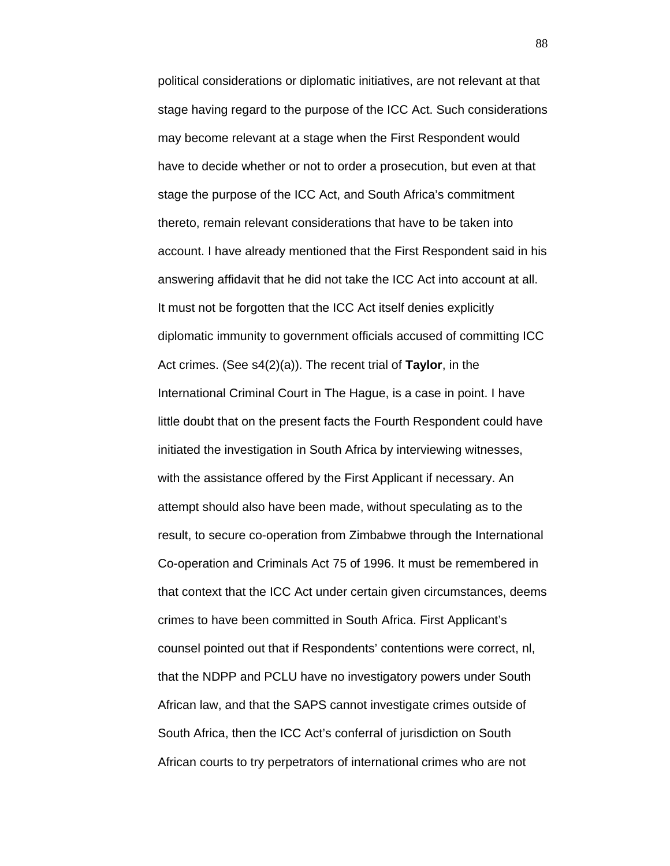political considerations or diplomatic initiatives, are not relevant at that stage having regard to the purpose of the ICC Act. Such considerations may become relevant at a stage when the First Respondent would have to decide whether or not to order a prosecution, but even at that stage the purpose of the ICC Act, and South Africa's commitment thereto, remain relevant considerations that have to be taken into account. I have already mentioned that the First Respondent said in his answering affidavit that he did not take the ICC Act into account at all. It must not be forgotten that the ICC Act itself denies explicitly diplomatic immunity to government officials accused of committing ICC Act crimes. (See s4(2)(a)). The recent trial of **Taylor**, in the International Criminal Court in The Hague, is a case in point. I have little doubt that on the present facts the Fourth Respondent could have initiated the investigation in South Africa by interviewing witnesses, with the assistance offered by the First Applicant if necessary. An attempt should also have been made, without speculating as to the result, to secure co-operation from Zimbabwe through the International Co-operation and Criminals Act 75 of 1996. It must be remembered in that context that the ICC Act under certain given circumstances, deems crimes to have been committed in South Africa. First Applicant's counsel pointed out that if Respondents' contentions were correct, nl, that the NDPP and PCLU have no investigatory powers under South African law, and that the SAPS cannot investigate crimes outside of South Africa, then the ICC Act's conferral of jurisdiction on South African courts to try perpetrators of international crimes who are not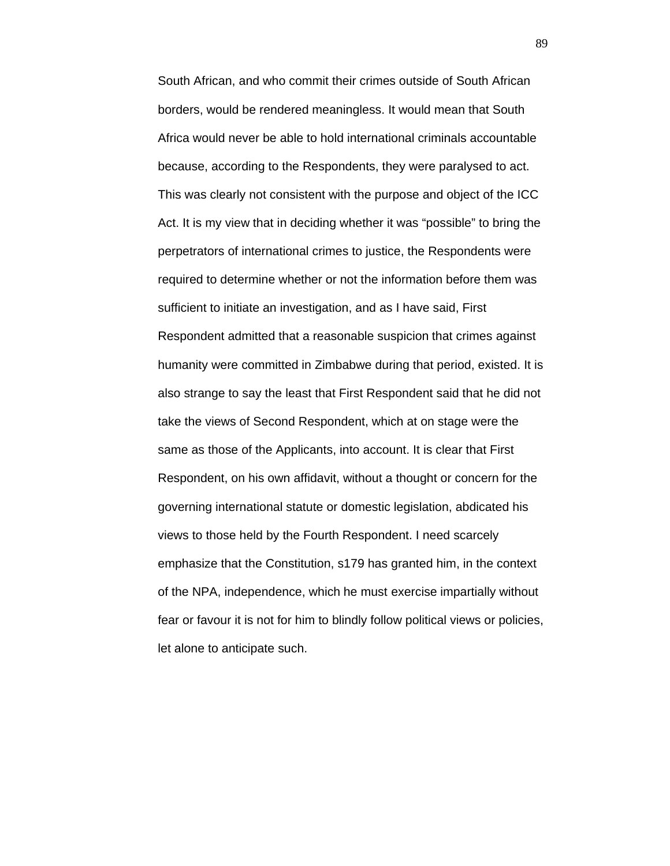South African, and who commit their crimes outside of South African borders, would be rendered meaningless. It would mean that South Africa would never be able to hold international criminals accountable because, according to the Respondents, they were paralysed to act. This was clearly not consistent with the purpose and object of the ICC Act. It is my view that in deciding whether it was "possible" to bring the perpetrators of international crimes to justice, the Respondents were required to determine whether or not the information before them was sufficient to initiate an investigation, and as I have said, First Respondent admitted that a reasonable suspicion that crimes against humanity were committed in Zimbabwe during that period, existed. It is also strange to say the least that First Respondent said that he did not take the views of Second Respondent, which at on stage were the same as those of the Applicants, into account. It is clear that First Respondent, on his own affidavit, without a thought or concern for the governing international statute or domestic legislation, abdicated his views to those held by the Fourth Respondent. I need scarcely emphasize that the Constitution, s179 has granted him, in the context of the NPA, independence, which he must exercise impartially without fear or favour it is not for him to blindly follow political views or policies, let alone to anticipate such.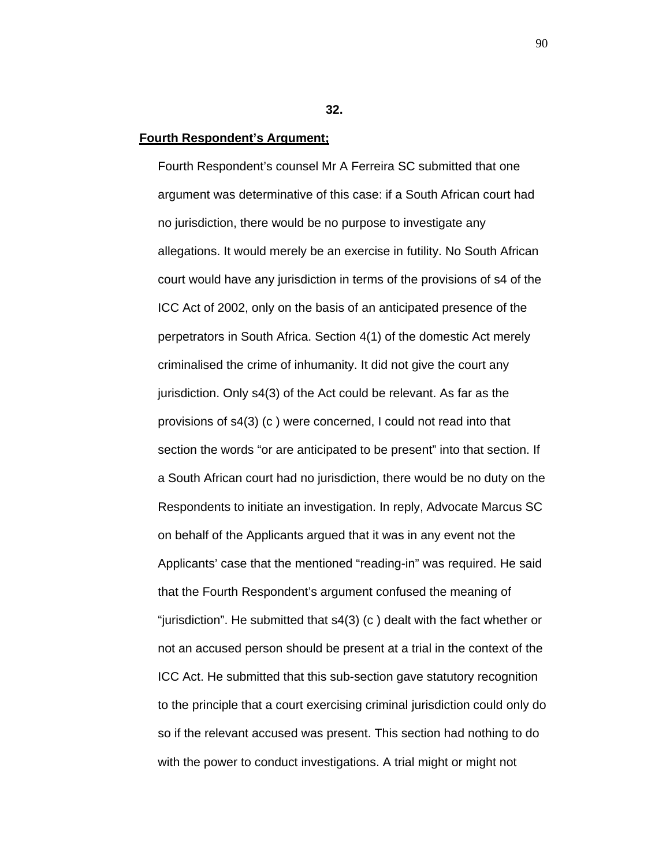**32.**

#### **Fourth Respondent's Argument;**

Fourth Respondent's counsel Mr A Ferreira SC submitted that one argument was determinative of this case: if a South African court had no jurisdiction, there would be no purpose to investigate any allegations. It would merely be an exercise in futility. No South African court would have any jurisdiction in terms of the provisions of s4 of the ICC Act of 2002, only on the basis of an anticipated presence of the perpetrators in South Africa. Section 4(1) of the domestic Act merely criminalised the crime of inhumanity. It did not give the court any jurisdiction. Only s4(3) of the Act could be relevant. As far as the provisions of s4(3) (c ) were concerned, I could not read into that section the words "or are anticipated to be present" into that section. If a South African court had no jurisdiction, there would be no duty on the Respondents to initiate an investigation. In reply, Advocate Marcus SC on behalf of the Applicants argued that it was in any event not the Applicants' case that the mentioned "reading-in" was required. He said that the Fourth Respondent's argument confused the meaning of "jurisdiction". He submitted that s4(3) (c ) dealt with the fact whether or not an accused person should be present at a trial in the context of the ICC Act. He submitted that this sub-section gave statutory recognition to the principle that a court exercising criminal jurisdiction could only do so if the relevant accused was present. This section had nothing to do with the power to conduct investigations. A trial might or might not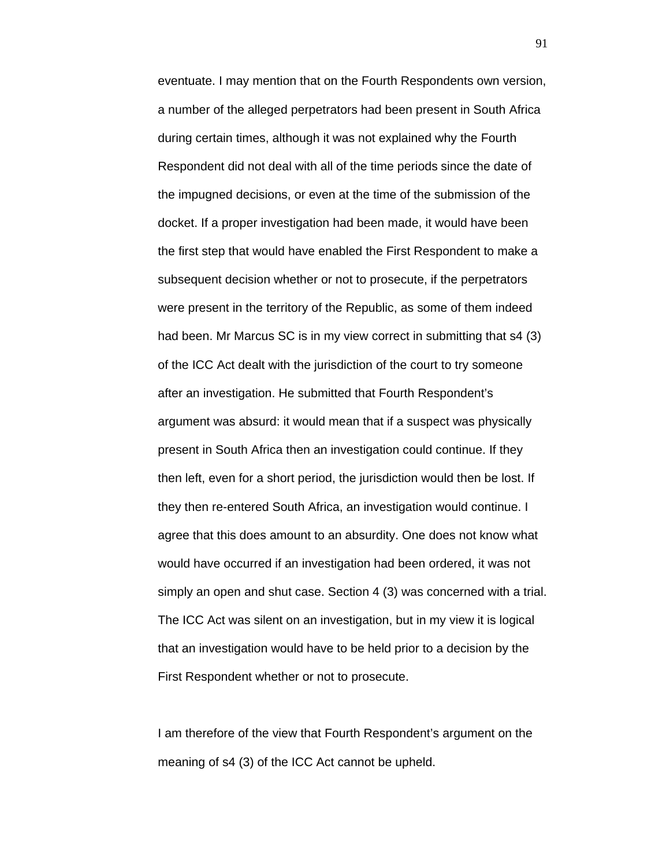eventuate. I may mention that on the Fourth Respondents own version, a number of the alleged perpetrators had been present in South Africa during certain times, although it was not explained why the Fourth Respondent did not deal with all of the time periods since the date of the impugned decisions, or even at the time of the submission of the docket. If a proper investigation had been made, it would have been the first step that would have enabled the First Respondent to make a subsequent decision whether or not to prosecute, if the perpetrators were present in the territory of the Republic, as some of them indeed had been. Mr Marcus SC is in my view correct in submitting that s4 (3) of the ICC Act dealt with the jurisdiction of the court to try someone after an investigation. He submitted that Fourth Respondent's argument was absurd: it would mean that if a suspect was physically present in South Africa then an investigation could continue. If they then left, even for a short period, the jurisdiction would then be lost. If they then re-entered South Africa, an investigation would continue. I agree that this does amount to an absurdity. One does not know what would have occurred if an investigation had been ordered, it was not simply an open and shut case. Section 4 (3) was concerned with a trial. The ICC Act was silent on an investigation, but in my view it is logical that an investigation would have to be held prior to a decision by the First Respondent whether or not to prosecute.

I am therefore of the view that Fourth Respondent's argument on the meaning of s4 (3) of the ICC Act cannot be upheld.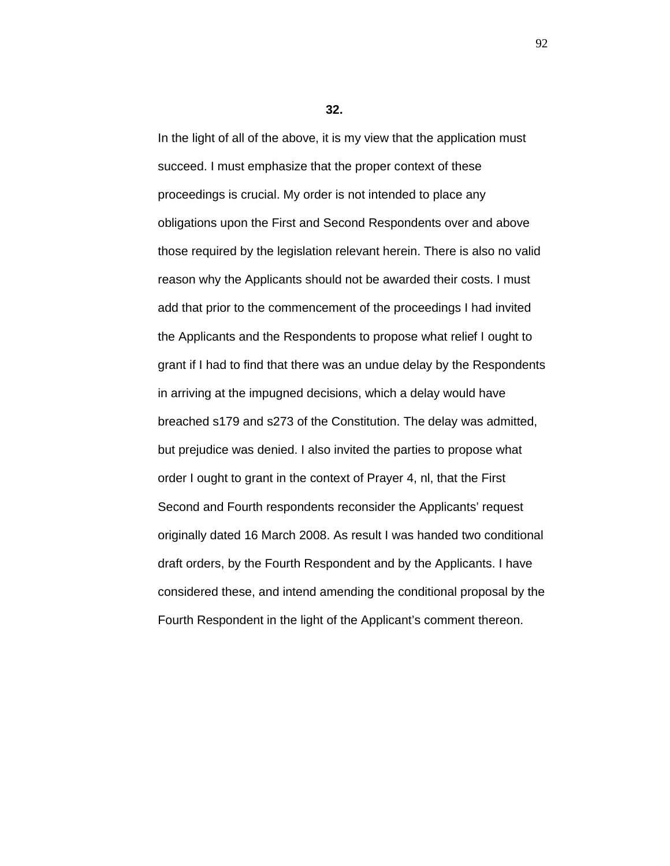**32.**

In the light of all of the above, it is my view that the application must succeed. I must emphasize that the proper context of these proceedings is crucial. My order is not intended to place any obligations upon the First and Second Respondents over and above those required by the legislation relevant herein. There is also no valid reason why the Applicants should not be awarded their costs. I must add that prior to the commencement of the proceedings I had invited the Applicants and the Respondents to propose what relief I ought to grant if I had to find that there was an undue delay by the Respondents in arriving at the impugned decisions, which a delay would have breached s179 and s273 of the Constitution. The delay was admitted, but prejudice was denied. I also invited the parties to propose what order I ought to grant in the context of Prayer 4, nl, that the First Second and Fourth respondents reconsider the Applicants' request originally dated 16 March 2008. As result I was handed two conditional draft orders, by the Fourth Respondent and by the Applicants. I have considered these, and intend amending the conditional proposal by the Fourth Respondent in the light of the Applicant's comment thereon.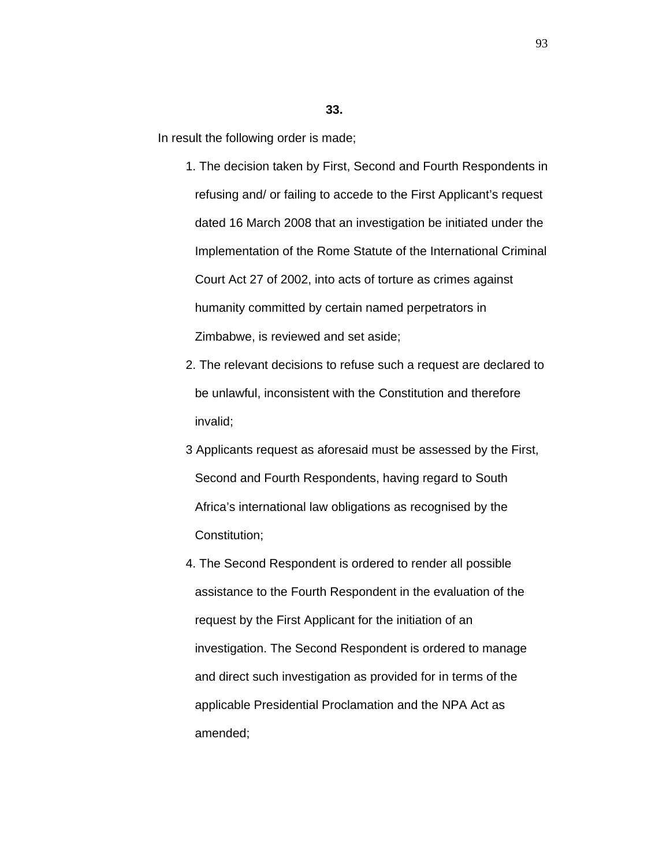#### **33.**

In result the following order is made;

- 1. The decision taken by First, Second and Fourth Respondents in refusing and/ or failing to accede to the First Applicant's request dated 16 March 2008 that an investigation be initiated under the Implementation of the Rome Statute of the International Criminal Court Act 27 of 2002, into acts of torture as crimes against humanity committed by certain named perpetrators in Zimbabwe, is reviewed and set aside;
- 2. The relevant decisions to refuse such a request are declared to be unlawful, inconsistent with the Constitution and therefore invalid;
- 3 Applicants request as aforesaid must be assessed by the First, Second and Fourth Respondents, having regard to South Africa's international law obligations as recognised by the Constitution;
- 4. The Second Respondent is ordered to render all possible assistance to the Fourth Respondent in the evaluation of the request by the First Applicant for the initiation of an investigation. The Second Respondent is ordered to manage and direct such investigation as provided for in terms of the applicable Presidential Proclamation and the NPA Act as amended;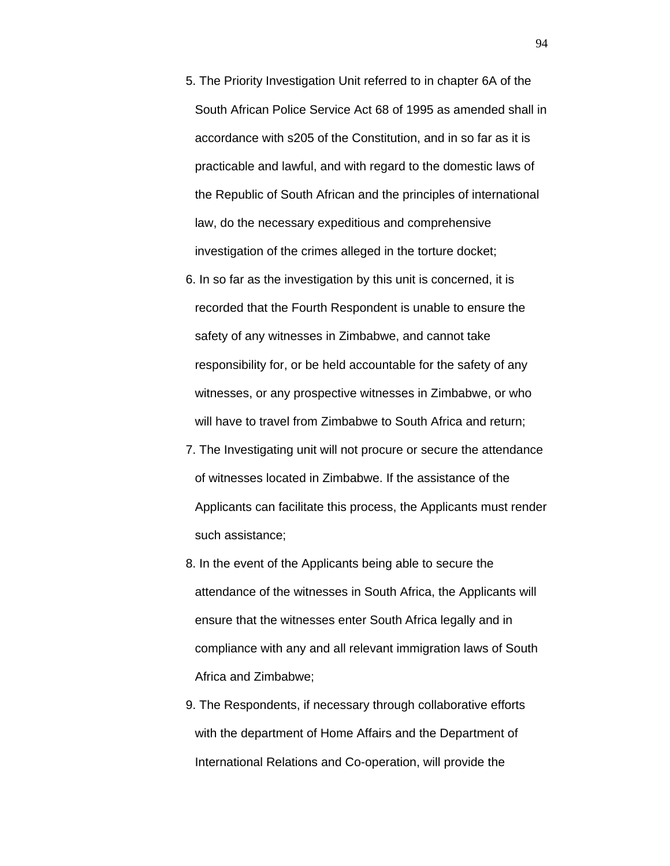- 5. The Priority Investigation Unit referred to in chapter 6A of the South African Police Service Act 68 of 1995 as amended shall in accordance with s205 of the Constitution, and in so far as it is practicable and lawful, and with regard to the domestic laws of the Republic of South African and the principles of international law, do the necessary expeditious and comprehensive investigation of the crimes alleged in the torture docket;
- 6. In so far as the investigation by this unit is concerned, it is recorded that the Fourth Respondent is unable to ensure the safety of any witnesses in Zimbabwe, and cannot take responsibility for, or be held accountable for the safety of any witnesses, or any prospective witnesses in Zimbabwe, or who will have to travel from Zimbabwe to South Africa and return;
- 7. The Investigating unit will not procure or secure the attendance of witnesses located in Zimbabwe. If the assistance of the Applicants can facilitate this process, the Applicants must render such assistance;
- 8. In the event of the Applicants being able to secure the attendance of the witnesses in South Africa, the Applicants will ensure that the witnesses enter South Africa legally and in compliance with any and all relevant immigration laws of South Africa and Zimbabwe;
- 9. The Respondents, if necessary through collaborative efforts with the department of Home Affairs and the Department of International Relations and Co-operation, will provide the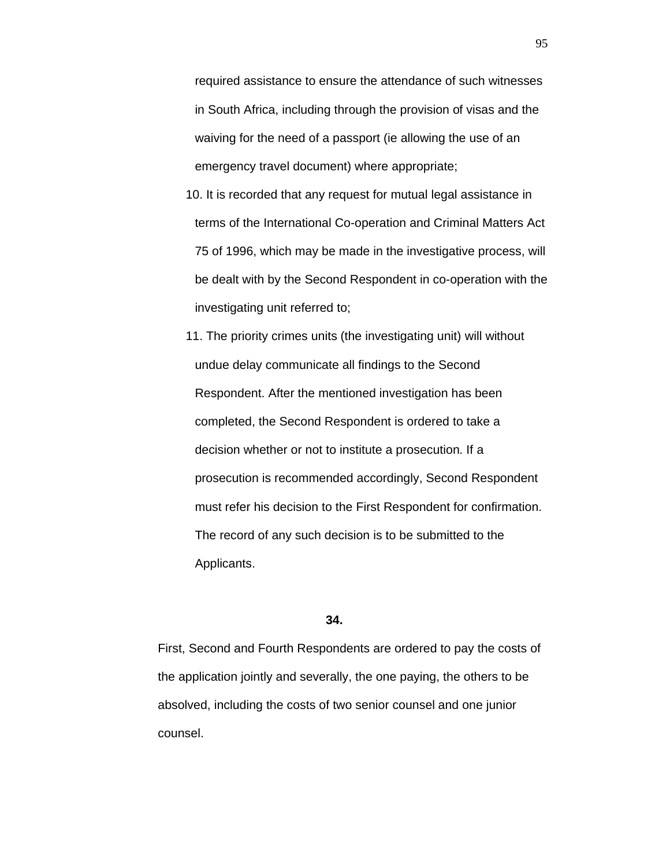required assistance to ensure the attendance of such witnesses in South Africa, including through the provision of visas and the waiving for the need of a passport (ie allowing the use of an emergency travel document) where appropriate;

- 10. It is recorded that any request for mutual legal assistance in terms of the International Co-operation and Criminal Matters Act 75 of 1996, which may be made in the investigative process, will be dealt with by the Second Respondent in co-operation with the investigating unit referred to;
- 11. The priority crimes units (the investigating unit) will without undue delay communicate all findings to the Second Respondent. After the mentioned investigation has been completed, the Second Respondent is ordered to take a decision whether or not to institute a prosecution. If a prosecution is recommended accordingly, Second Respondent must refer his decision to the First Respondent for confirmation. The record of any such decision is to be submitted to the Applicants.

## **34.**

First, Second and Fourth Respondents are ordered to pay the costs of the application jointly and severally, the one paying, the others to be absolved, including the costs of two senior counsel and one junior counsel.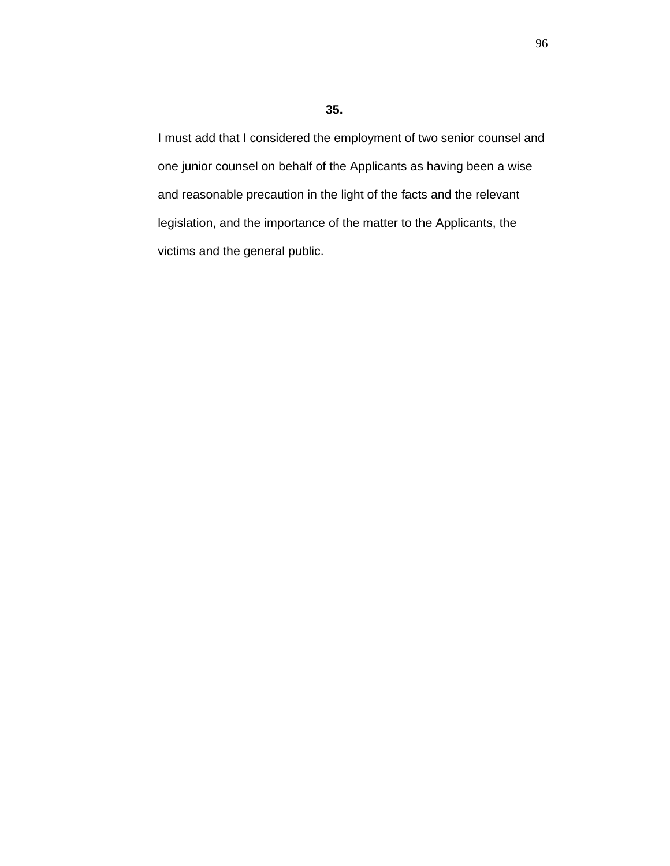I must add that I considered the employment of two senior counsel and one junior counsel on behalf of the Applicants as having been a wise and reasonable precaution in the light of the facts and the relevant legislation, and the importance of the matter to the Applicants, the victims and the general public.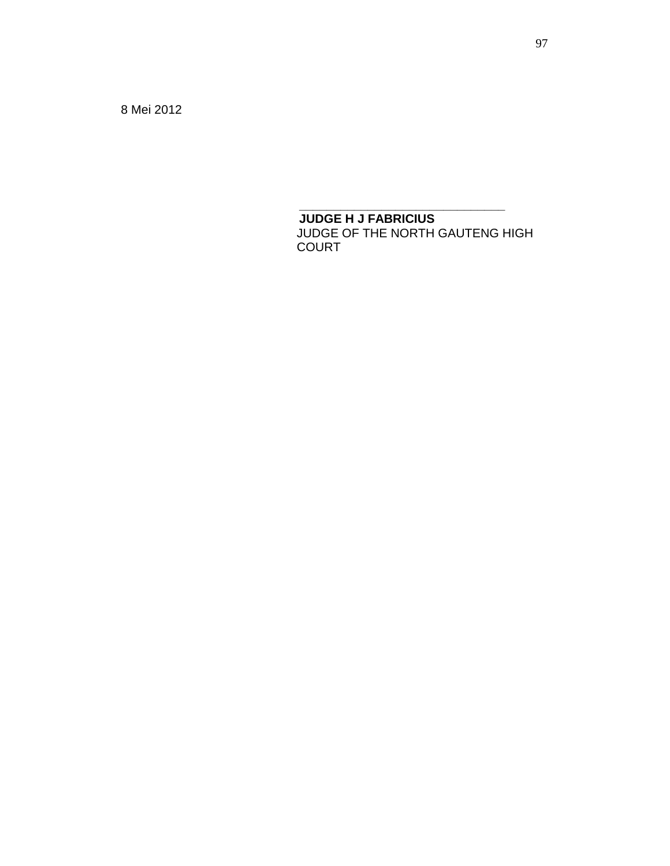8 Mei 2012

 **JUDGE H J FABRICIUS** JUDGE OF THE NORTH GAUTENG HIGH COURT

**\_\_\_\_\_\_\_\_\_\_\_\_\_\_\_\_\_\_\_\_\_\_\_\_\_\_\_\_\_\_**